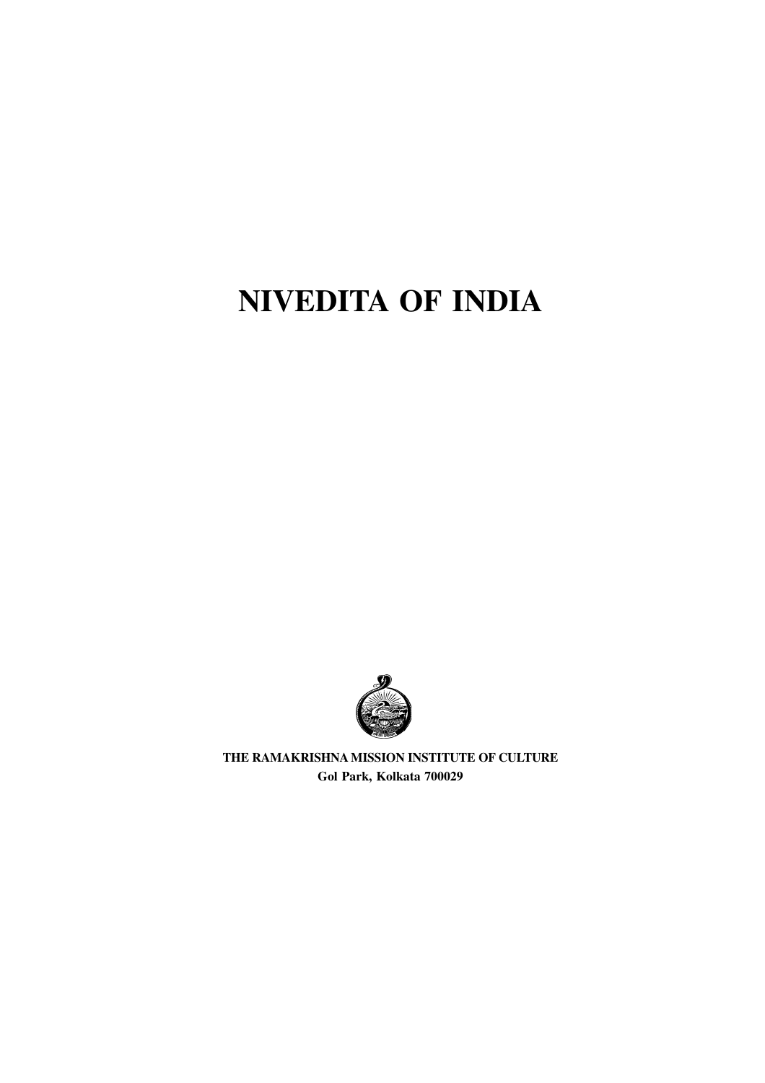

**THE RAMAKRISHNA MISSION INSTITUTE OF CULTURE Gol Park, Kolkata 700029**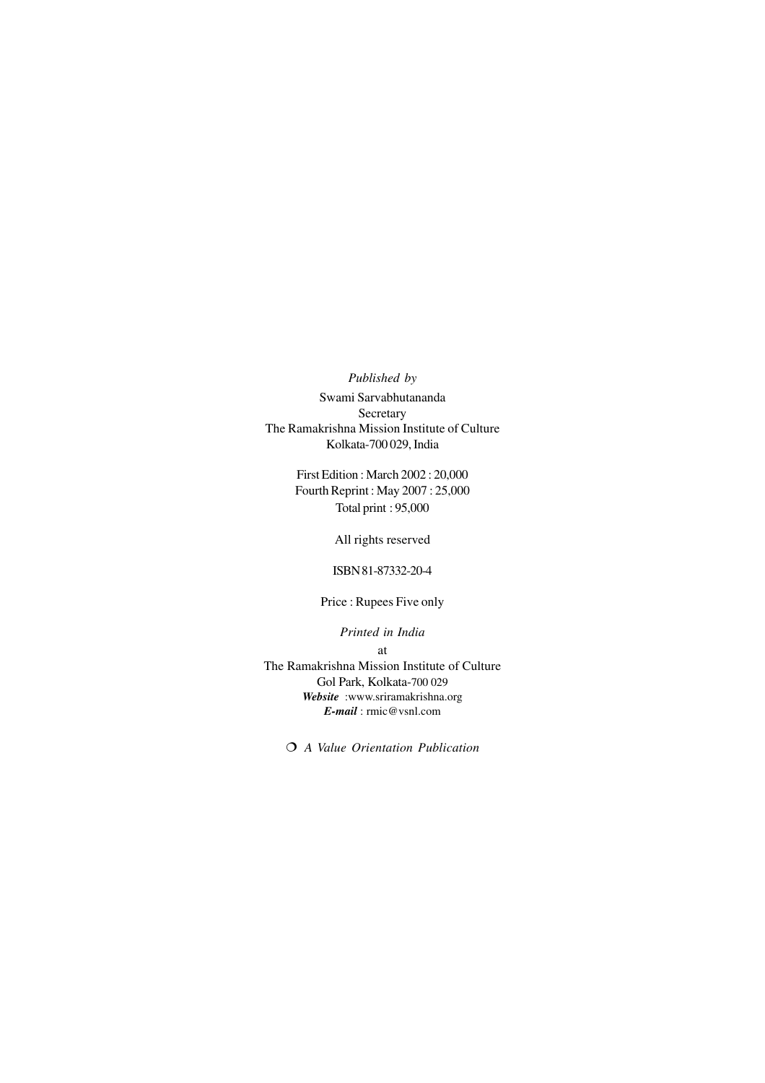*Published by*

Swami Sarvabhutananda Secretary The Ramakrishna Mission Institute of Culture Kolkata-700 029, India

> First Edition : March 2002 : 20,000 Fourth Reprint : May 2007 : 25,000 Total print : 95,000

> > All rights reserved

ISBN 81-87332-20-4

Price : Rupees Five only

*Printed in India*

at The Ramakrishna Mission Institute of Culture Gol Park, Kolkata-700 029 *Website* :www.sriramakrishna.org *E-mail* : rmic@vsnl.com

¦ *A Value Orientation Publication*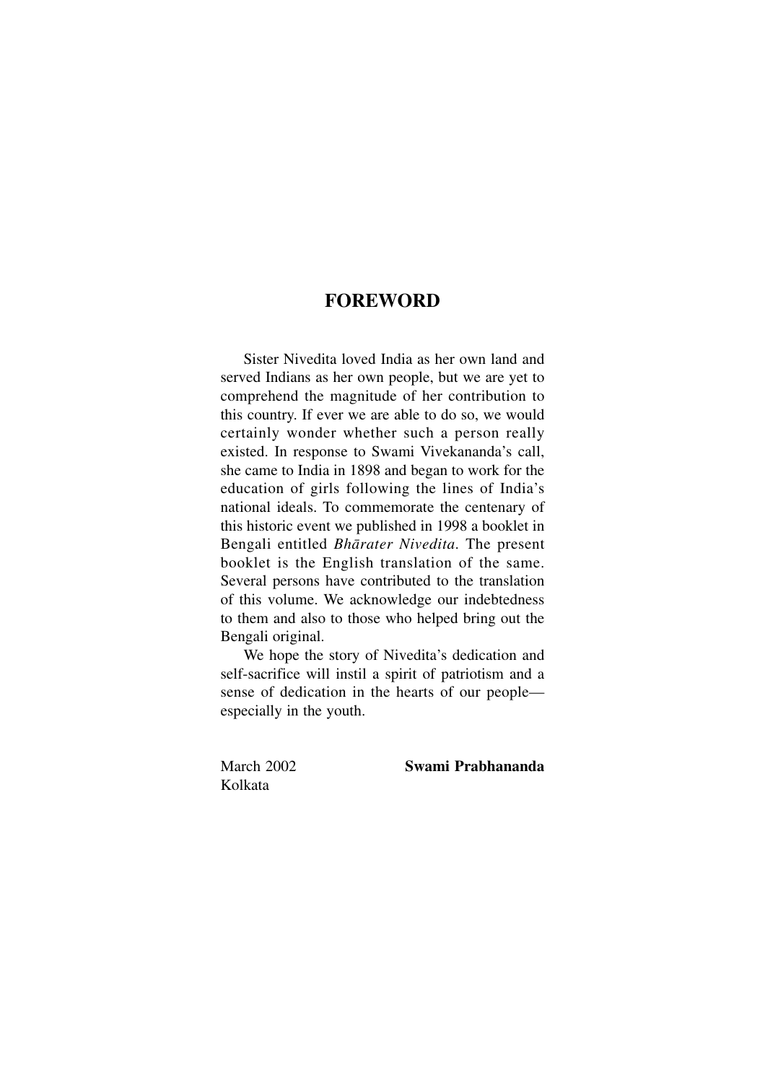## **FOREWORD**

Sister Nivedita loved India as her own land and served Indians as her own people, but we are yet to comprehend the magnitude of her contribution to this country. If ever we are able to do so, we would certainly wonder whether such a person really existed. In response to Swami Vivekananda's call, she came to India in 1898 and began to work for the education of girls following the lines of India's national ideals. To commemorate the centenary of this historic event we published in 1998 a booklet in Bengali entitled *Bh*à*rater Nivedita*. The present booklet is the English translation of the same. Several persons have contributed to the translation of this volume. We acknowledge our indebtedness to them and also to those who helped bring out the Bengali original.

We hope the story of Nivedita's dedication and self-sacrifice will instil a spirit of patriotism and a sense of dedication in the hearts of our people especially in the youth.

Kolkata

March 2002 **Swami Prabhananda**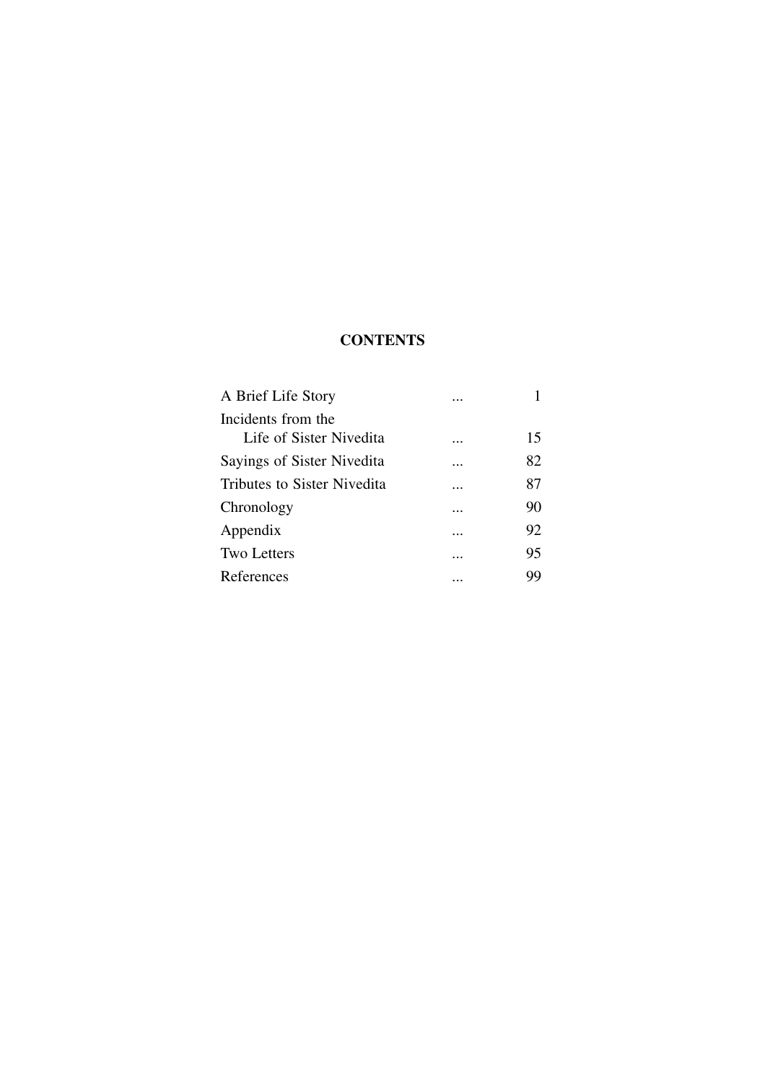# **CONTENTS**

| A Brief Life Story          |   |    |
|-----------------------------|---|----|
| Incidents from the          |   |    |
| Life of Sister Nivedita     | . | 15 |
| Sayings of Sister Nivedita  |   | 82 |
| Tributes to Sister Nivedita | . | 87 |
| Chronology                  |   | 90 |
| Appendix                    | . | 92 |
| <b>Two Letters</b>          |   | 95 |
| References                  |   | 99 |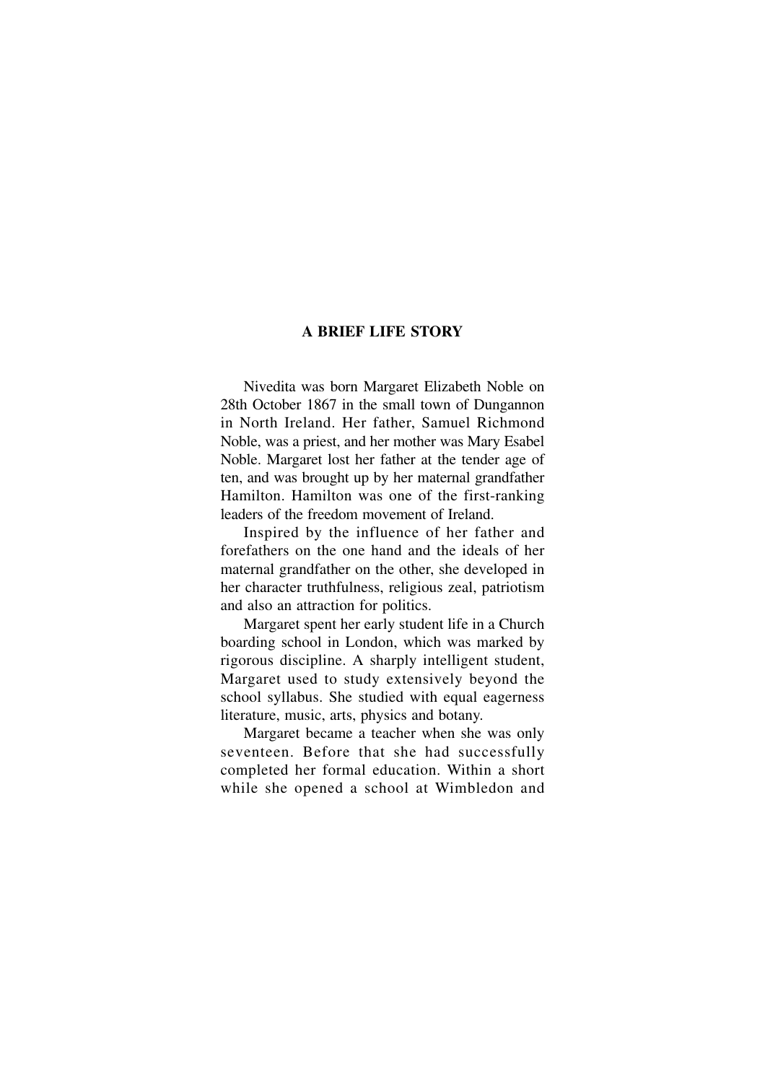### **A BRIEF LIFE STORY**

Nivedita was born Margaret Elizabeth Noble on 28th October 1867 in the small town of Dungannon in North Ireland. Her father, Samuel Richmond Noble, was a priest, and her mother was Mary Esabel Noble. Margaret lost her father at the tender age of ten, and was brought up by her maternal grandfather Hamilton. Hamilton was one of the first-ranking leaders of the freedom movement of Ireland.

Inspired by the influence of her father and forefathers on the one hand and the ideals of her maternal grandfather on the other, she developed in her character truthfulness, religious zeal, patriotism and also an attraction for politics.

Margaret spent her early student life in a Church boarding school in London, which was marked by rigorous discipline. A sharply intelligent student, Margaret used to study extensively beyond the school syllabus. She studied with equal eagerness literature, music, arts, physics and botany.

Margaret became a teacher when she was only seventeen. Before that she had successfully completed her formal education. Within a short while she opened a school at Wimbledon and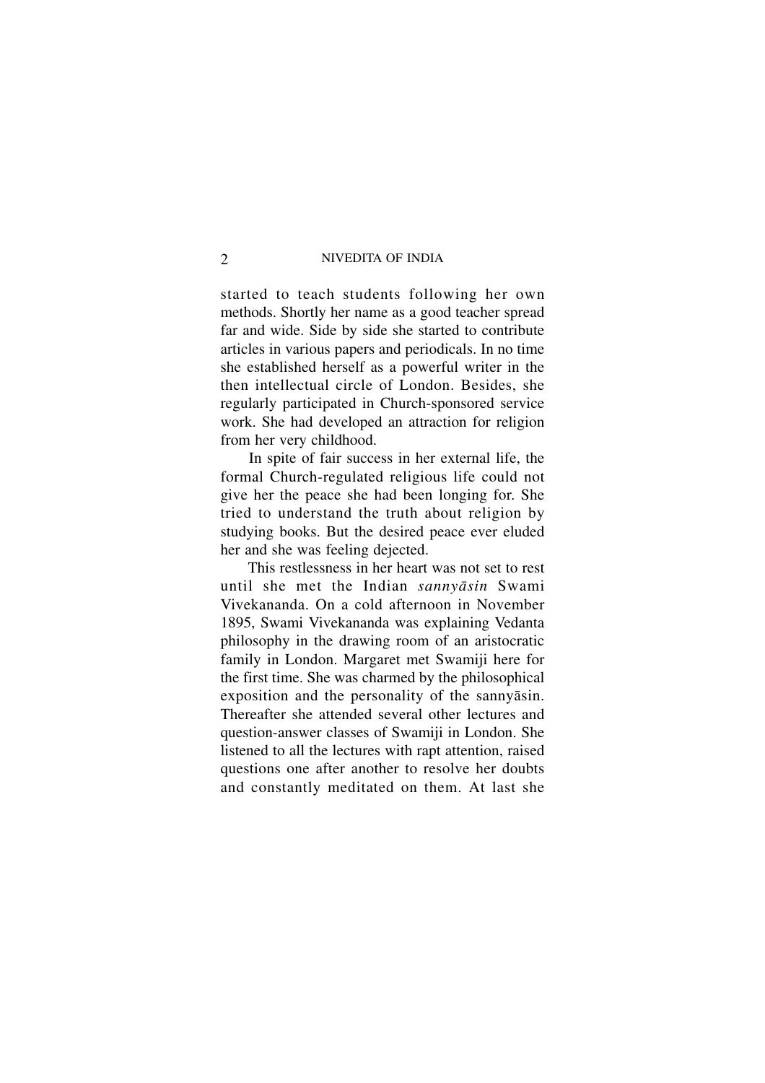started to teach students following her own methods. Shortly her name as a good teacher spread far and wide. Side by side she started to contribute articles in various papers and periodicals. In no time she established herself as a powerful writer in the then intellectual circle of London. Besides, she regularly participated in Church-sponsored service work. She had developed an attraction for religion from her very childhood.

 In spite of fair success in her external life, the formal Church-regulated religious life could not give her the peace she had been longing for. She tried to understand the truth about religion by studying books. But the desired peace ever eluded her and she was feeling dejected.

 This restlessness in her heart was not set to rest until she met the Indian *sanny*à*sin* Swami Vivekananda. On a cold afternoon in November 1895, Swami Vivekananda was explaining Vedanta philosophy in the drawing room of an aristocratic family in London. Margaret met Swamiji here for the first time. She was charmed by the philosophical exposition and the personality of the sannyàsin. Thereafter she attended several other lectures and question-answer classes of Swamiji in London. She listened to all the lectures with rapt attention, raised questions one after another to resolve her doubts and constantly meditated on them. At last she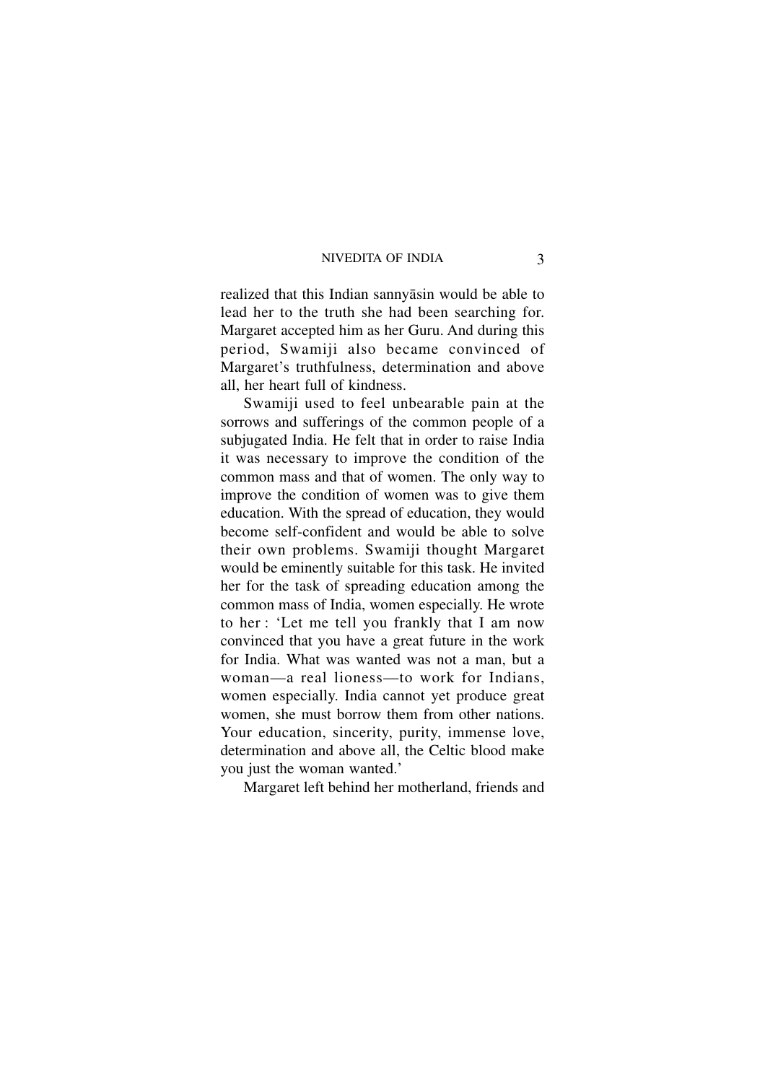realized that this Indian sannyàsin would be able to lead her to the truth she had been searching for. Margaret accepted him as her Guru. And during this period, Swamiji also became convinced of Margaret's truthfulness, determination and above all, her heart full of kindness.

Swamiji used to feel unbearable pain at the sorrows and sufferings of the common people of a subjugated India. He felt that in order to raise India it was necessary to improve the condition of the common mass and that of women. The only way to improve the condition of women was to give them education. With the spread of education, they would become self-confident and would be able to solve their own problems. Swamiji thought Margaret would be eminently suitable for this task. He invited her for the task of spreading education among the common mass of India, women especially. He wrote to her : 'Let me tell you frankly that I am now convinced that you have a great future in the work for India. What was wanted was not a man, but a woman—a real lioness—to work for Indians, women especially. India cannot yet produce great women, she must borrow them from other nations. Your education, sincerity, purity, immense love, determination and above all, the Celtic blood make you just the woman wanted.'

Margaret left behind her motherland, friends and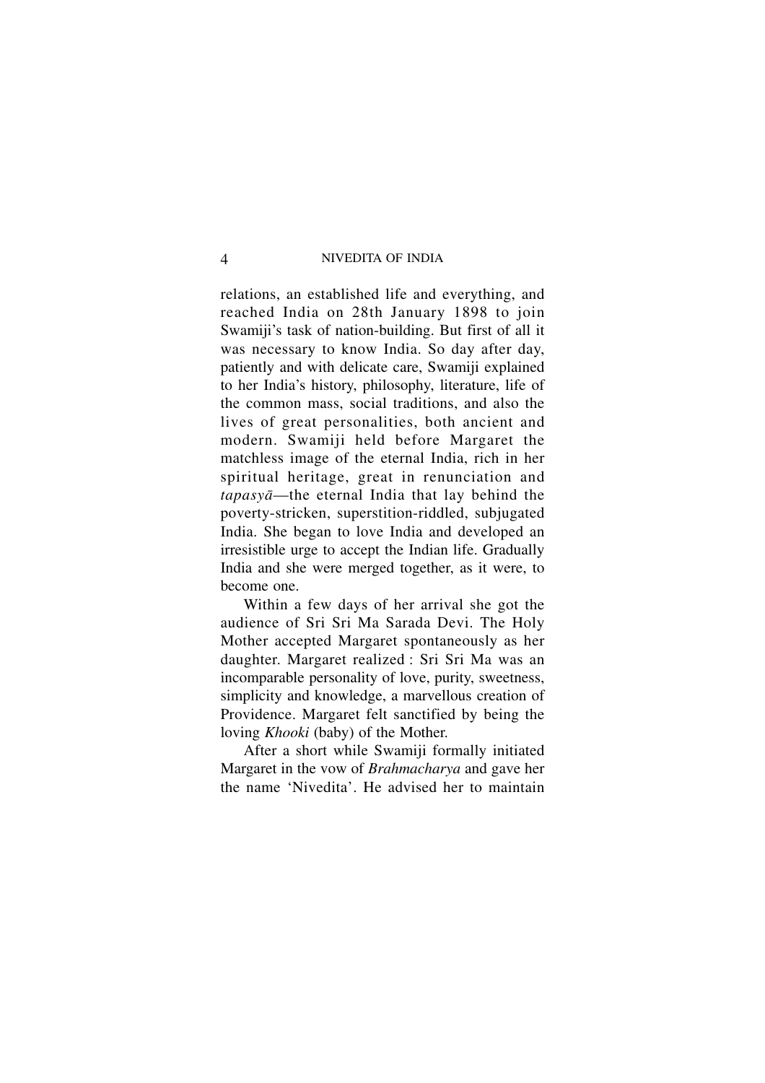relations, an established life and everything, and reached India on 28th January 1898 to join Swamiji's task of nation-building. But first of all it was necessary to know India. So day after day, patiently and with delicate care, Swamiji explained to her India's history, philosophy, literature, life of the common mass, social traditions, and also the lives of great personalities, both ancient and modern. Swamiji held before Margaret the matchless image of the eternal India, rich in her spiritual heritage, great in renunciation and *tapasy*à—the eternal India that lay behind the poverty-stricken, superstition-riddled, subjugated India. She began to love India and developed an irresistible urge to accept the Indian life. Gradually India and she were merged together, as it were, to become one.

Within a few days of her arrival she got the audience of Sri Sri Ma Sarada Devi. The Holy Mother accepted Margaret spontaneously as her daughter. Margaret realized : Sri Sri Ma was an incomparable personality of love, purity, sweetness, simplicity and knowledge, a marvellous creation of Providence. Margaret felt sanctified by being the loving *Khooki* (baby) of the Mother.

After a short while Swamiji formally initiated Margaret in the vow of *Brahmacharya* and gave her the name 'Nivedita'. He advised her to maintain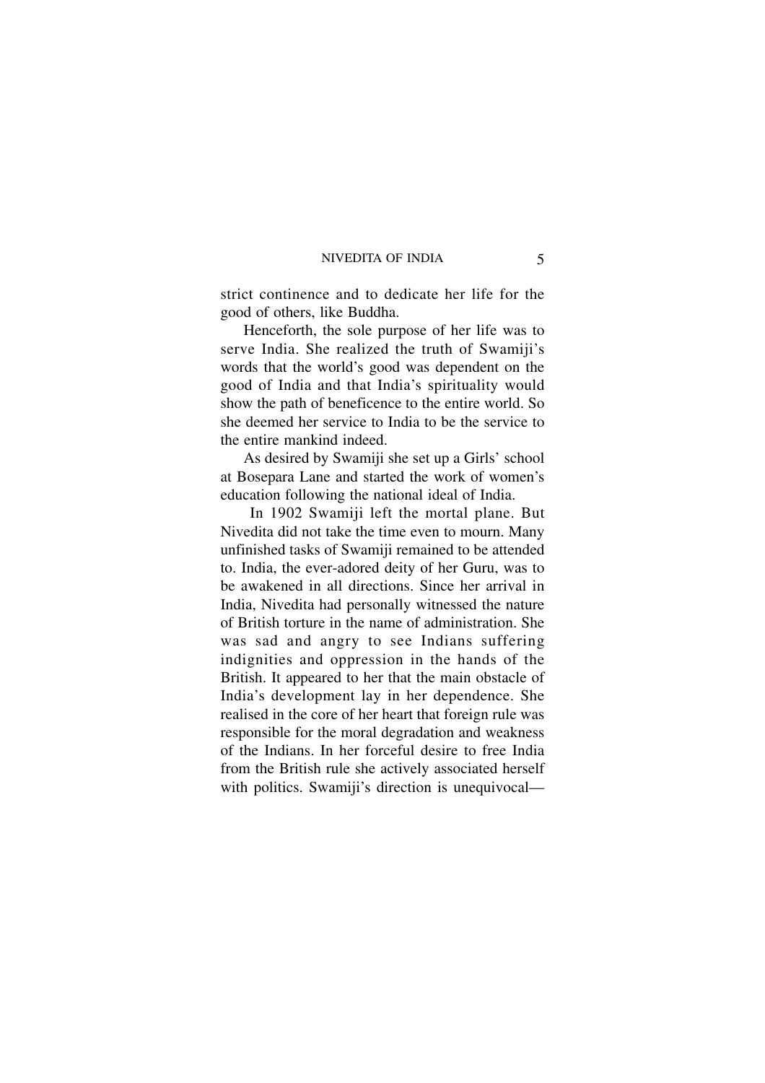strict continence and to dedicate her life for the good of others, like Buddha.

Henceforth, the sole purpose of her life was to serve India. She realized the truth of Swamiji's words that the world's good was dependent on the good of India and that India's spirituality would show the path of beneficence to the entire world. So she deemed her service to India to be the service to the entire mankind indeed.

As desired by Swamiji she set up a Girls' school at Bosepara Lane and started the work of women's education following the national ideal of India.

 In 1902 Swamiji left the mortal plane. But Nivedita did not take the time even to mourn. Many unfinished tasks of Swamiji remained to be attended to. India, the ever-adored deity of her Guru, was to be awakened in all directions. Since her arrival in India, Nivedita had personally witnessed the nature of British torture in the name of administration. She was sad and angry to see Indians suffering indignities and oppression in the hands of the British. It appeared to her that the main obstacle of India's development lay in her dependence. She realised in the core of her heart that foreign rule was responsible for the moral degradation and weakness of the Indians. In her forceful desire to free India from the British rule she actively associated herself with politics. Swamiji's direction is unequivocal—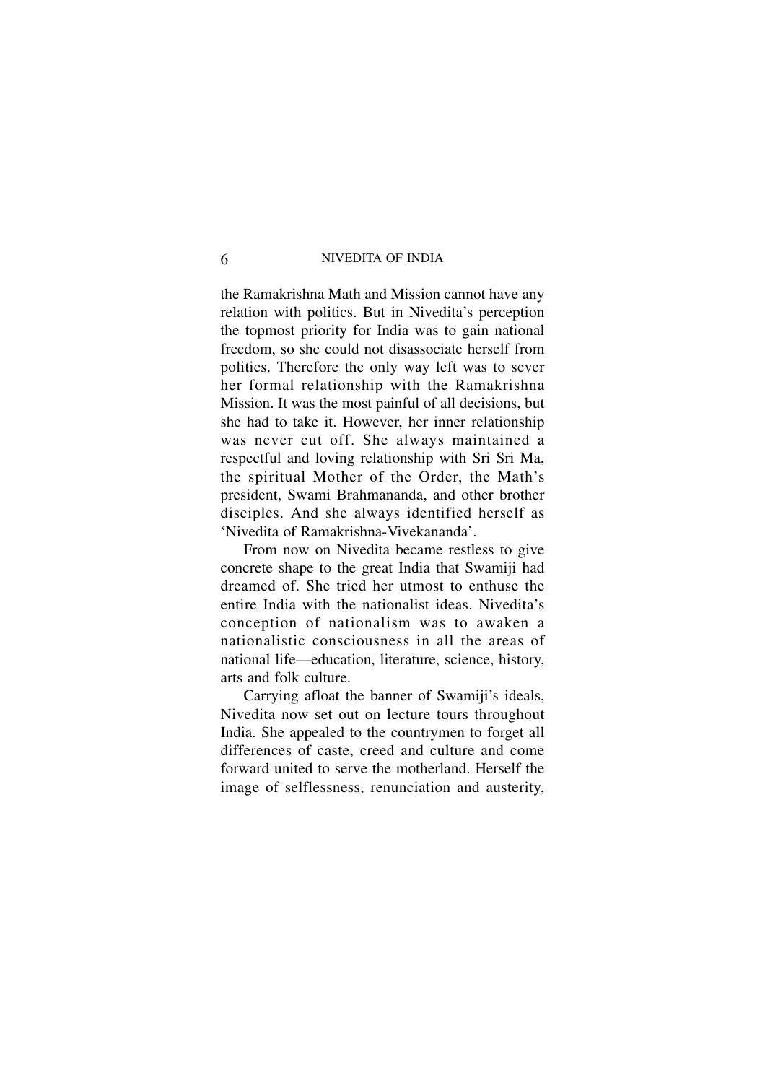the Ramakrishna Math and Mission cannot have any relation with politics. But in Nivedita's perception the topmost priority for India was to gain national freedom, so she could not disassociate herself from politics. Therefore the only way left was to sever her formal relationship with the Ramakrishna Mission. It was the most painful of all decisions, but she had to take it. However, her inner relationship was never cut off. She always maintained a respectful and loving relationship with Sri Sri Ma, the spiritual Mother of the Order, the Math's president, Swami Brahmananda, and other brother disciples. And she always identified herself as 'Nivedita of Ramakrishna-Vivekananda'.

From now on Nivedita became restless to give concrete shape to the great India that Swamiji had dreamed of. She tried her utmost to enthuse the entire India with the nationalist ideas. Nivedita's conception of nationalism was to awaken a nationalistic consciousness in all the areas of national life—education, literature, science, history, arts and folk culture.

Carrying afloat the banner of Swamiji's ideals, Nivedita now set out on lecture tours throughout India. She appealed to the countrymen to forget all differences of caste, creed and culture and come forward united to serve the motherland. Herself the image of selflessness, renunciation and austerity,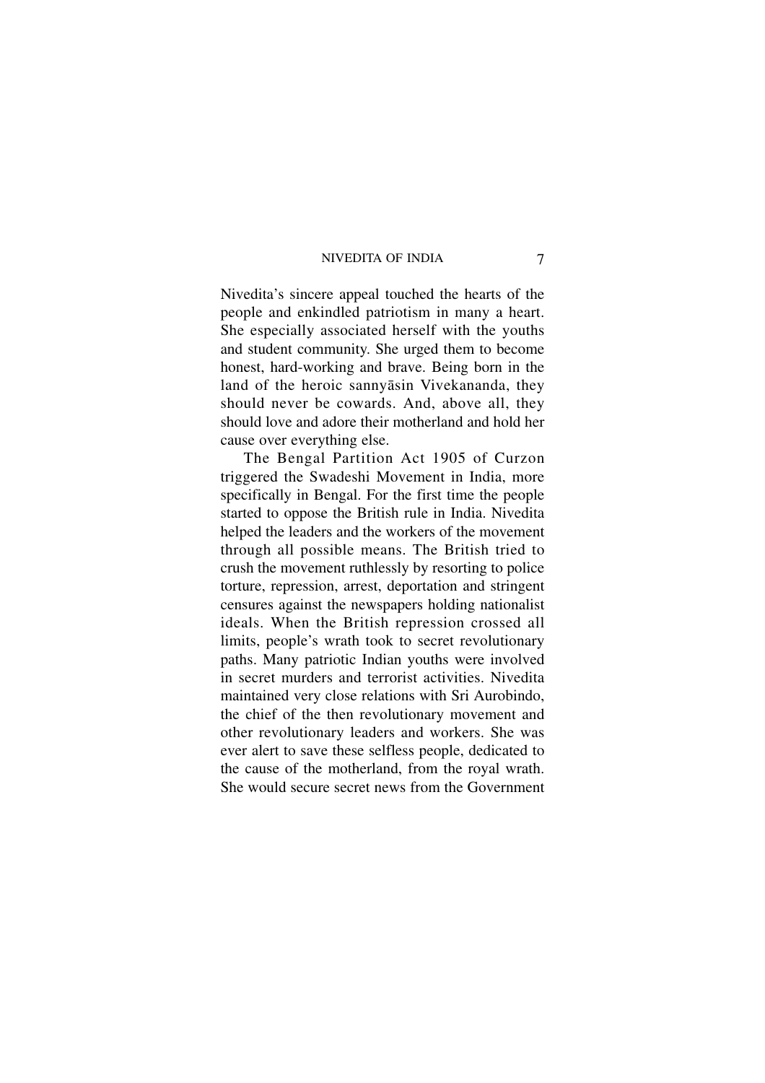Nivedita's sincere appeal touched the hearts of the people and enkindled patriotism in many a heart. She especially associated herself with the youths and student community. She urged them to become honest, hard-working and brave. Being born in the land of the heroic sannyàsin Vivekananda, they should never be cowards. And, above all, they should love and adore their motherland and hold her cause over everything else.

The Bengal Partition Act 1905 of Curzon triggered the Swadeshi Movement in India, more specifically in Bengal. For the first time the people started to oppose the British rule in India. Nivedita helped the leaders and the workers of the movement through all possible means. The British tried to crush the movement ruthlessly by resorting to police torture, repression, arrest, deportation and stringent censures against the newspapers holding nationalist ideals. When the British repression crossed all limits, people's wrath took to secret revolutionary paths. Many patriotic Indian youths were involved in secret murders and terrorist activities. Nivedita maintained very close relations with Sri Aurobindo, the chief of the then revolutionary movement and other revolutionary leaders and workers. She was ever alert to save these selfless people, dedicated to the cause of the motherland, from the royal wrath. She would secure secret news from the Government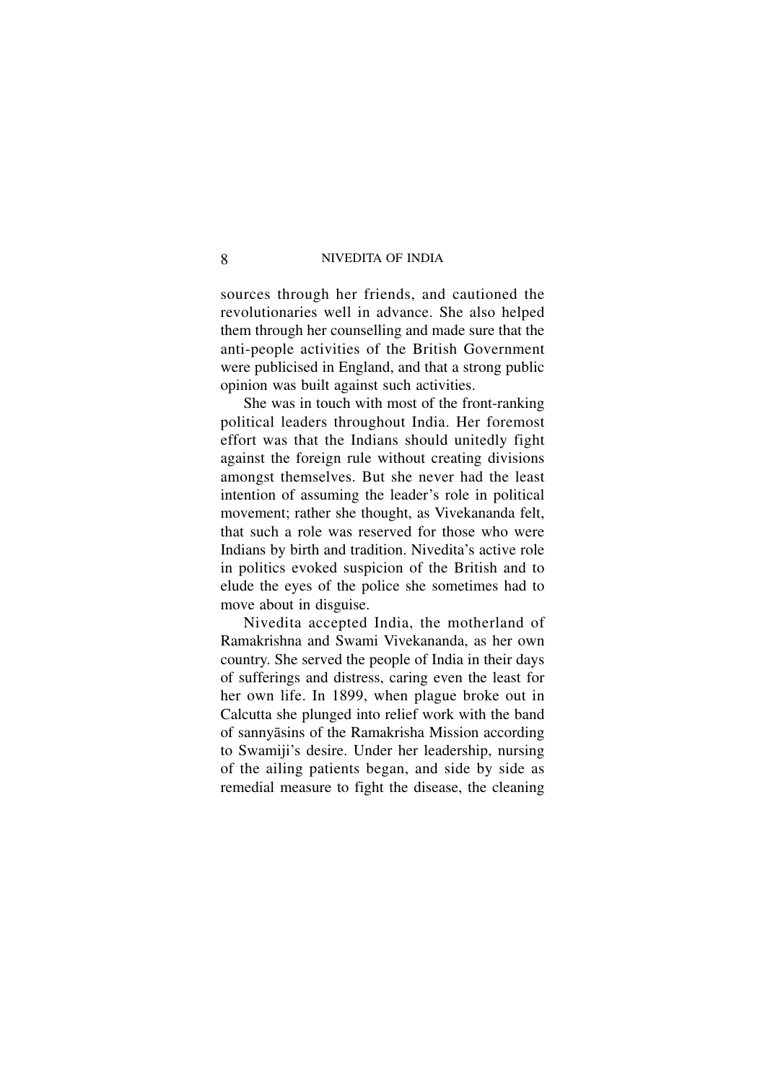sources through her friends, and cautioned the revolutionaries well in advance. She also helped them through her counselling and made sure that the anti-people activities of the British Government were publicised in England, and that a strong public opinion was built against such activities.

She was in touch with most of the front-ranking political leaders throughout India. Her foremost effort was that the Indians should unitedly fight against the foreign rule without creating divisions amongst themselves. But she never had the least intention of assuming the leader's role in political movement; rather she thought, as Vivekananda felt, that such a role was reserved for those who were Indians by birth and tradition. Nivedita's active role in politics evoked suspicion of the British and to elude the eyes of the police she sometimes had to move about in disguise.

Nivedita accepted India, the motherland of Ramakrishna and Swami Vivekananda, as her own country. She served the people of India in their days of sufferings and distress, caring even the least for her own life. In 1899, when plague broke out in Calcutta she plunged into relief work with the band of sannyàsins of the Ramakrisha Mission according to Swamiji's desire. Under her leadership, nursing of the ailing patients began, and side by side as remedial measure to fight the disease, the cleaning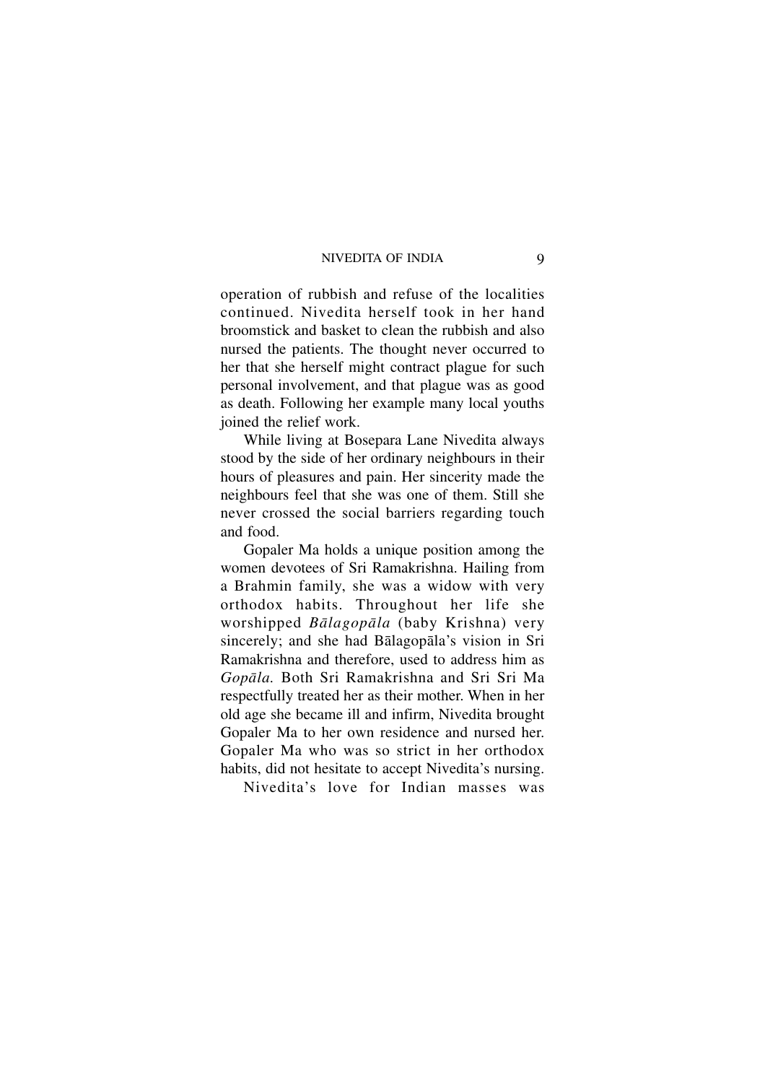operation of rubbish and refuse of the localities continued. Nivedita herself took in her hand broomstick and basket to clean the rubbish and also nursed the patients. The thought never occurred to her that she herself might contract plague for such personal involvement, and that plague was as good as death. Following her example many local youths joined the relief work.

While living at Bosepara Lane Nivedita always stood by the side of her ordinary neighbours in their hours of pleasures and pain. Her sincerity made the neighbours feel that she was one of them. Still she never crossed the social barriers regarding touch and food.

Gopaler Ma holds a unique position among the women devotees of Sri Ramakrishna. Hailing from a Brahmin family, she was a widow with very orthodox habits. Throughout her life she worshipped *B*à*lagop*à*la* (baby Krishna) very sincerely; and she had Bàlagopàla's vision in Sri Ramakrishna and therefore, used to address him as *Gop*à*la.* Both Sri Ramakrishna and Sri Sri Ma respectfully treated her as their mother. When in her old age she became ill and infirm, Nivedita brought Gopaler Ma to her own residence and nursed her. Gopaler Ma who was so strict in her orthodox habits, did not hesitate to accept Nivedita's nursing. Nivedita's love for Indian masses was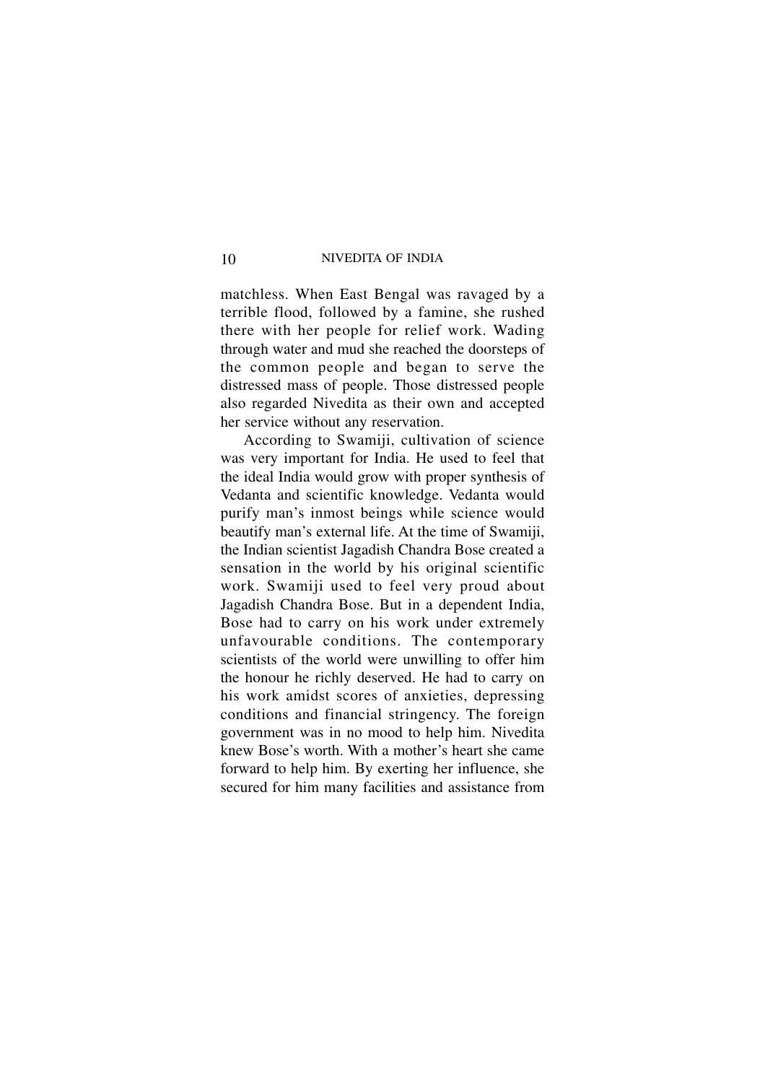matchless. When East Bengal was ravaged by a terrible flood, followed by a famine, she rushed there with her people for relief work. Wading through water and mud she reached the doorsteps of the common people and began to serve the distressed mass of people. Those distressed people also regarded Nivedita as their own and accepted her service without any reservation.

According to Swamiji, cultivation of science was very important for India. He used to feel that the ideal India would grow with proper synthesis of Vedanta and scientific knowledge. Vedanta would purify man's inmost beings while science would beautify man's external life. At the time of Swamiji, the Indian scientist Jagadish Chandra Bose created a sensation in the world by his original scientific work. Swamiji used to feel very proud about Jagadish Chandra Bose. But in a dependent India, Bose had to carry on his work under extremely unfavourable conditions. The contemporary scientists of the world were unwilling to offer him the honour he richly deserved. He had to carry on his work amidst scores of anxieties, depressing conditions and financial stringency. The foreign government was in no mood to help him. Nivedita knew Bose's worth. With a mother's heart she came forward to help him. By exerting her influence, she secured for him many facilities and assistance from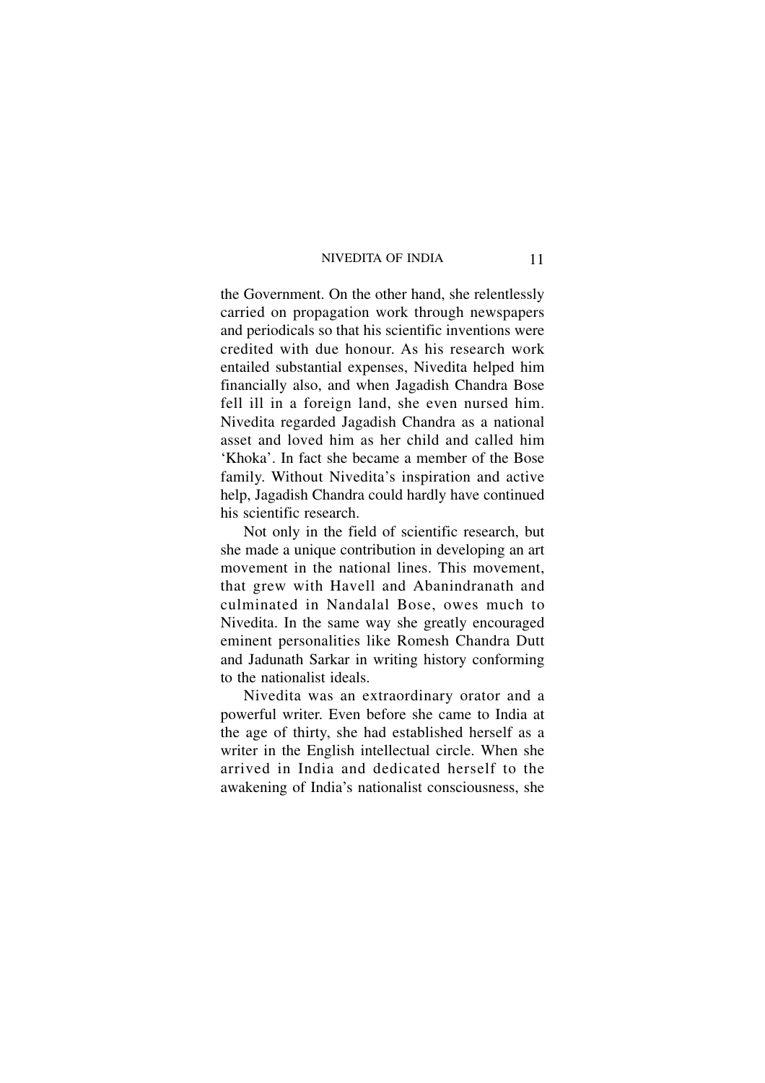the Government. On the other hand, she relentlessly carried on propagation work through newspapers and periodicals so that his scientific inventions were credited with due honour. As his research work entailed substantial expenses, Nivedita helped him financially also, and when Jagadish Chandra Bose fell ill in a foreign land, she even nursed him. Nivedita regarded Jagadish Chandra as a national asset and loved him as her child and called him 'Khoka'. In fact she became a member of the Bose family. Without Nivedita's inspiration and active help, Jagadish Chandra could hardly have continued his scientific research.

Not only in the field of scientific research, but she made a unique contribution in developing an art movement in the national lines. This movement, that grew with Havell and Abanindranath and culminated in Nandalal Bose, owes much to Nivedita. In the same way she greatly encouraged eminent personalities like Romesh Chandra Dutt and Jadunath Sarkar in writing history conforming to the nationalist ideals.

Nivedita was an extraordinary orator and a powerful writer. Even before she came to India at the age of thirty, she had established herself as a writer in the English intellectual circle. When she arrived in India and dedicated herself to the awakening of India's nationalist consciousness, she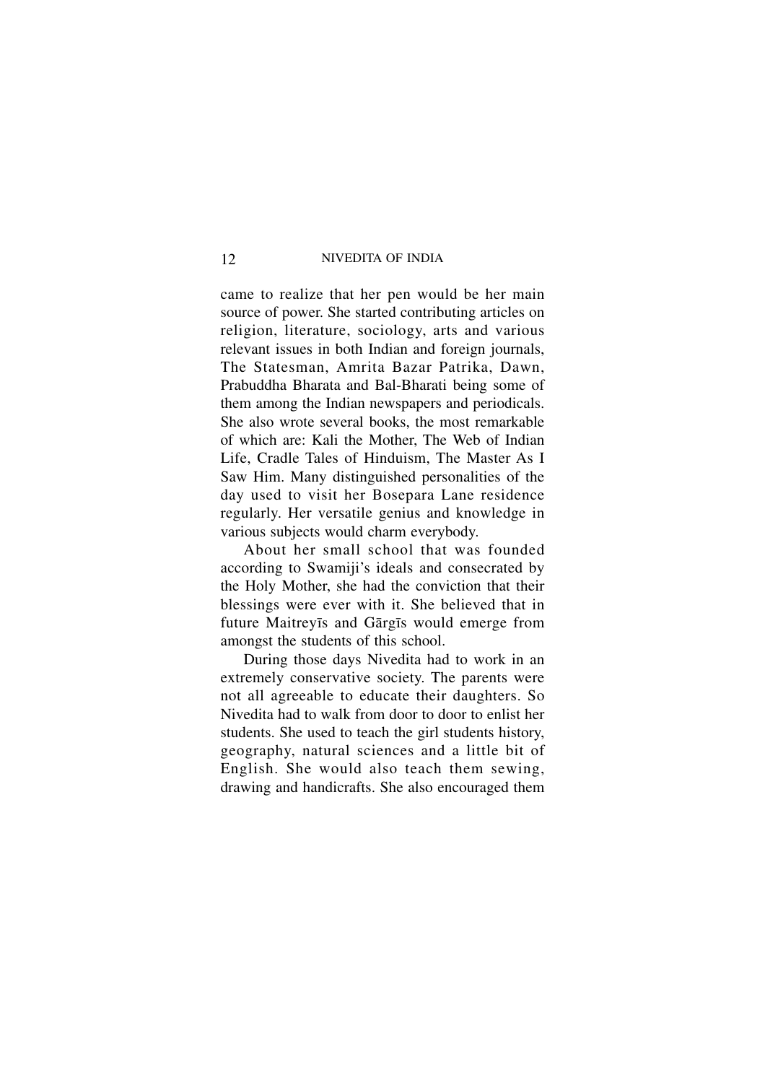came to realize that her pen would be her main source of power. She started contributing articles on religion, literature, sociology, arts and various relevant issues in both Indian and foreign journals, The Statesman, Amrita Bazar Patrika, Dawn, Prabuddha Bharata and Bal-Bharati being some of them among the Indian newspapers and periodicals. She also wrote several books, the most remarkable of which are: Kali the Mother, The Web of Indian Life, Cradle Tales of Hinduism, The Master As I Saw Him. Many distinguished personalities of the day used to visit her Bosepara Lane residence regularly. Her versatile genius and knowledge in various subjects would charm everybody.

About her small school that was founded according to Swamiji's ideals and consecrated by the Holy Mother, she had the conviction that their blessings were ever with it. She believed that in future Maitreyãs and Gàrgãs would emerge from amongst the students of this school.

During those days Nivedita had to work in an extremely conservative society. The parents were not all agreeable to educate their daughters. So Nivedita had to walk from door to door to enlist her students. She used to teach the girl students history, geography, natural sciences and a little bit of English. She would also teach them sewing, drawing and handicrafts. She also encouraged them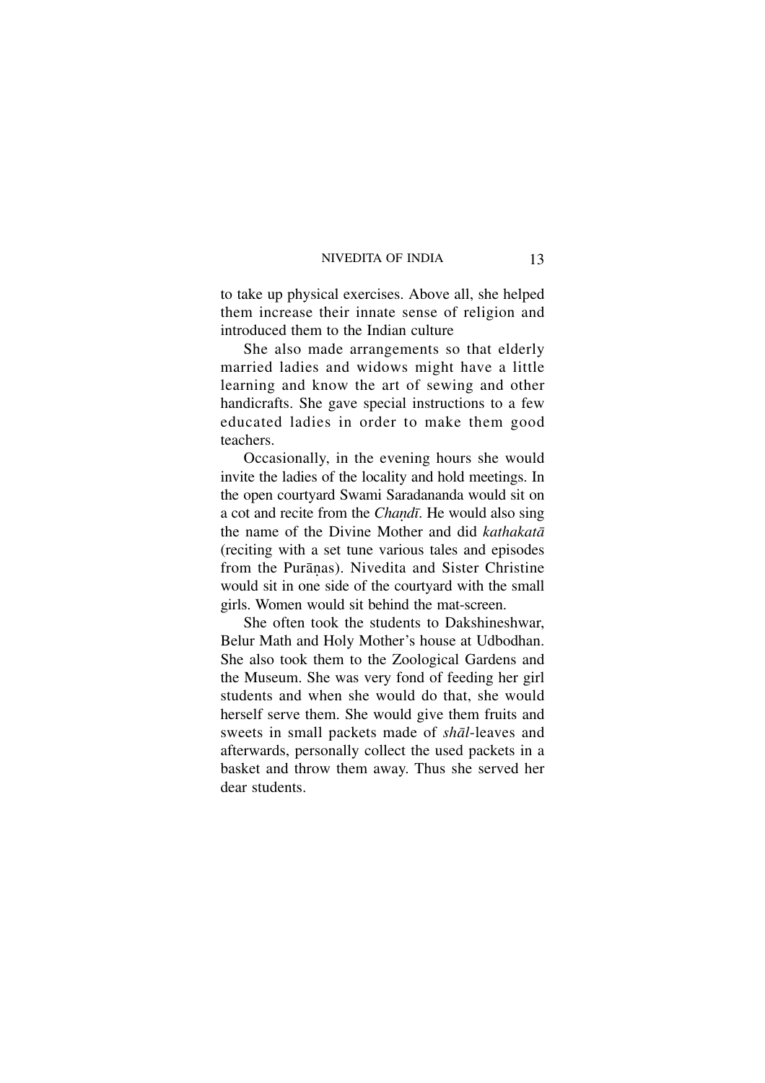to take up physical exercises. Above all, she helped them increase their innate sense of religion and introduced them to the Indian culture

She also made arrangements so that elderly married ladies and widows might have a little learning and know the art of sewing and other handicrafts. She gave special instructions to a few educated ladies in order to make them good teachers.

Occasionally, in the evening hours she would invite the ladies of the locality and hold meetings. In the open courtyard Swami Saradananda would sit on a cot and recite from the *Chandī*. He would also sing the name of the Divine Mother and did *kathakat*à (reciting with a set tune various tales and episodes from the Purānas). Nivedita and Sister Christine would sit in one side of the courtyard with the small girls. Women would sit behind the mat-screen.

She often took the students to Dakshineshwar, Belur Math and Holy Mother's house at Udbodhan. She also took them to the Zoological Gardens and the Museum. She was very fond of feeding her girl students and when she would do that, she would herself serve them. She would give them fruits and sweets in small packets made of *sh*à*l*-leaves and afterwards, personally collect the used packets in a basket and throw them away. Thus she served her dear students.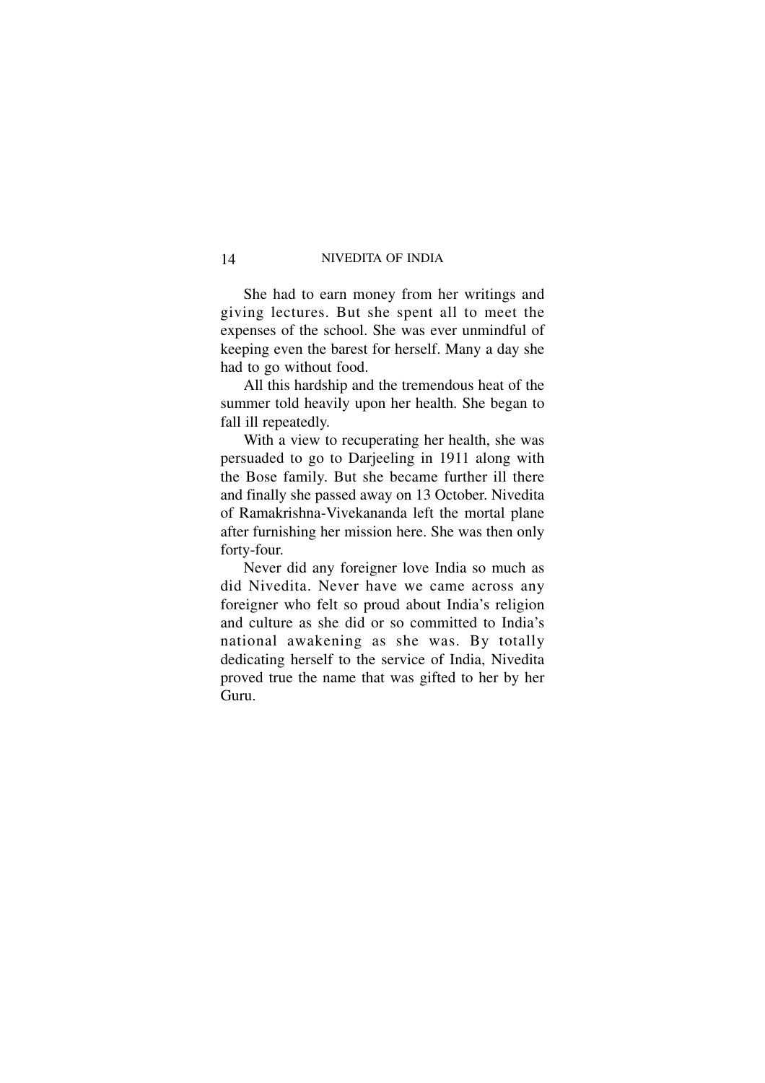She had to earn money from her writings and giving lectures. But she spent all to meet the expenses of the school. She was ever unmindful of keeping even the barest for herself. Many a day she had to go without food.

All this hardship and the tremendous heat of the summer told heavily upon her health. She began to fall ill repeatedly.

With a view to recuperating her health, she was persuaded to go to Darjeeling in 1911 along with the Bose family. But she became further ill there and finally she passed away on 13 October. Nivedita of Ramakrishna-Vivekananda left the mortal plane after furnishing her mission here. She was then only forty-four.

Never did any foreigner love India so much as did Nivedita. Never have we came across any foreigner who felt so proud about India's religion and culture as she did or so committed to India's national awakening as she was. By totally dedicating herself to the service of India, Nivedita proved true the name that was gifted to her by her Guru.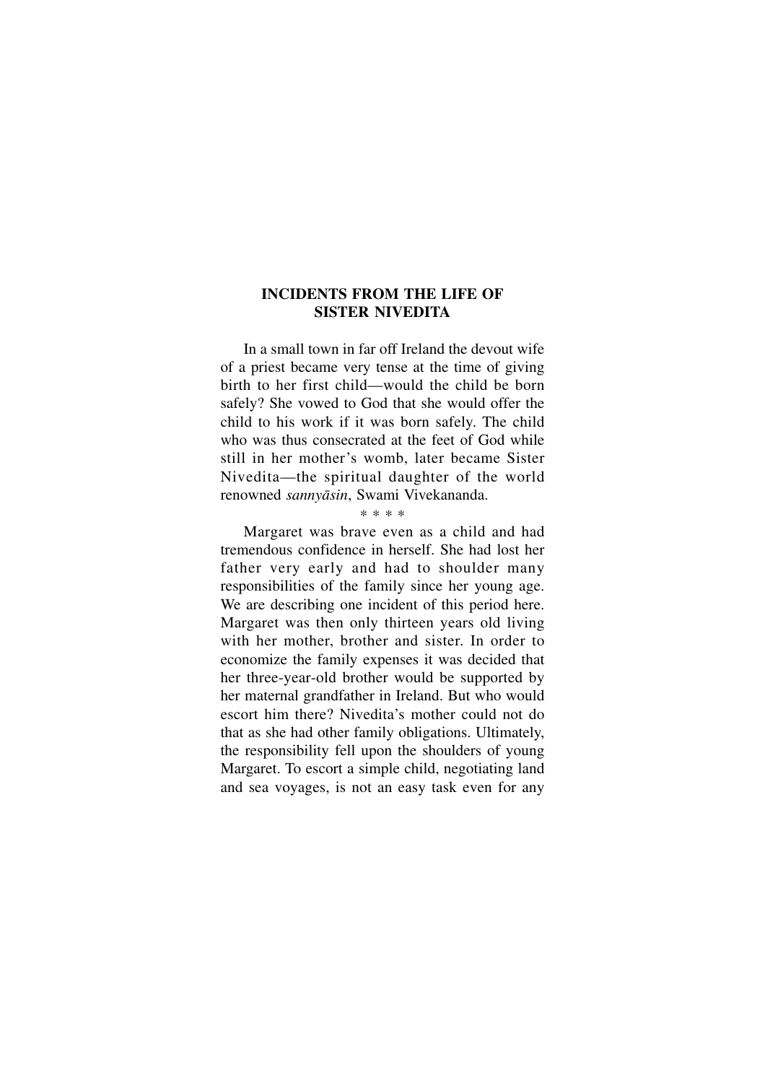### **INCIDENTS FROM THE LIFE OF SISTER NIVEDITA**

In a small town in far off Ireland the devout wife of a priest became very tense at the time of giving birth to her first child—would the child be born safely? She vowed to God that she would offer the child to his work if it was born safely. The child who was thus consecrated at the feet of God while still in her mother's womb, later became Sister Nivedita—the spiritual daughter of the world renowned *sanny*à*sin*, Swami Vivekananda.

\* \* \* \*

Margaret was brave even as a child and had tremendous confidence in herself. She had lost her father very early and had to shoulder many responsibilities of the family since her young age. We are describing one incident of this period here. Margaret was then only thirteen years old living with her mother, brother and sister. In order to economize the family expenses it was decided that her three-year-old brother would be supported by her maternal grandfather in Ireland. But who would escort him there? Nivedita's mother could not do that as she had other family obligations. Ultimately, the responsibility fell upon the shoulders of young Margaret. To escort a simple child, negotiating land and sea voyages, is not an easy task even for any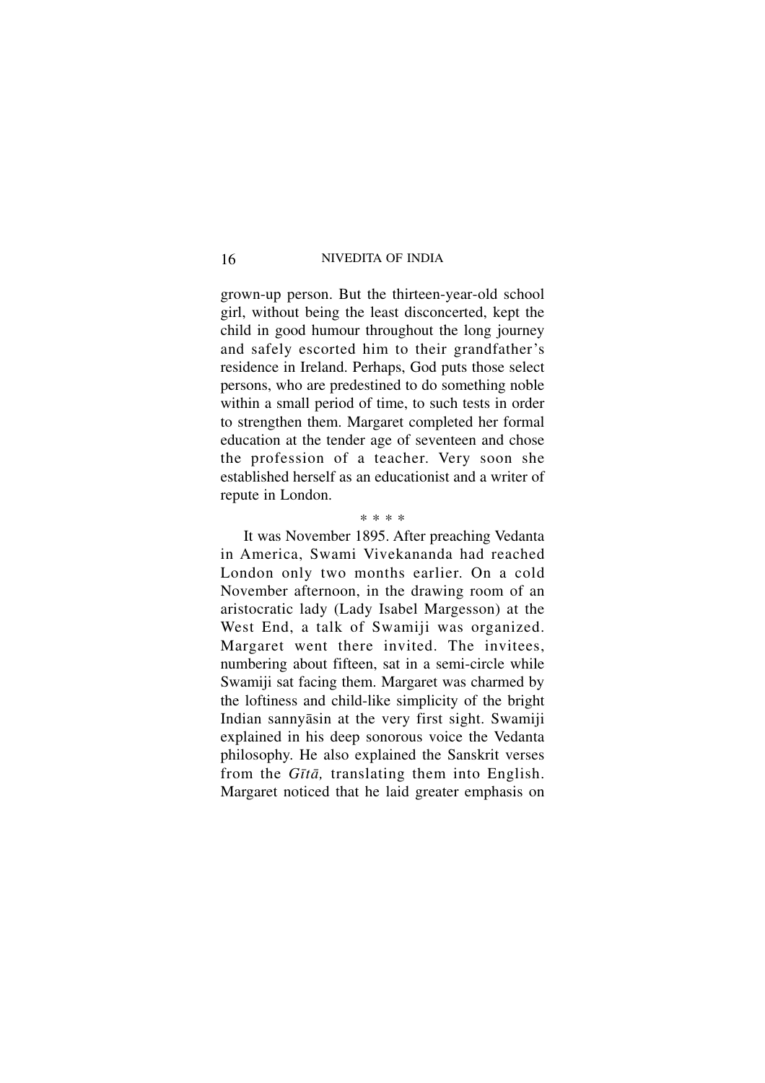grown-up person. But the thirteen-year-old school girl, without being the least disconcerted, kept the child in good humour throughout the long journey and safely escorted him to their grandfather's residence in Ireland. Perhaps, God puts those select persons, who are predestined to do something noble within a small period of time, to such tests in order to strengthen them. Margaret completed her formal education at the tender age of seventeen and chose the profession of a teacher. Very soon she established herself as an educationist and a writer of repute in London.

#### \* \* \* \*

It was November 1895. After preaching Vedanta in America, Swami Vivekananda had reached London only two months earlier. On a cold November afternoon, in the drawing room of an aristocratic lady (Lady Isabel Margesson) at the West End, a talk of Swamiji was organized. Margaret went there invited. The invitees, numbering about fifteen, sat in a semi-circle while Swamiji sat facing them. Margaret was charmed by the loftiness and child-like simplicity of the bright Indian sannyàsin at the very first sight. Swamiji explained in his deep sonorous voice the Vedanta philosophy. He also explained the Sanskrit verses from the *Gītā*, translating them into English. Margaret noticed that he laid greater emphasis on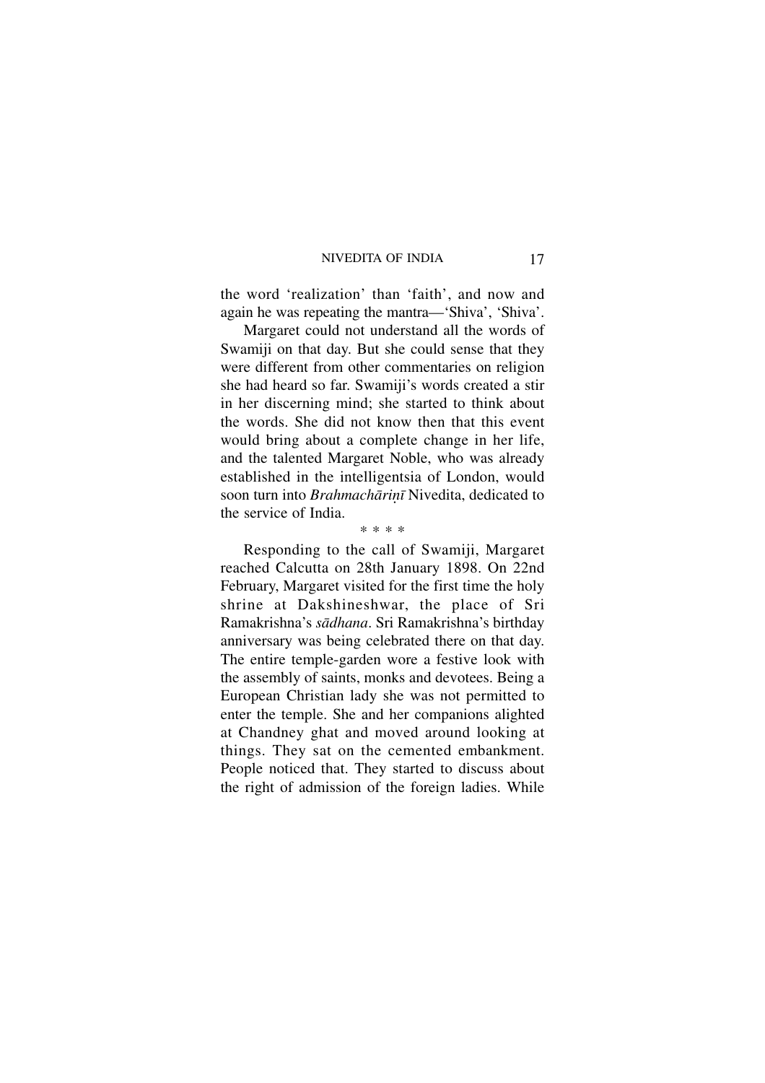the word 'realization' than 'faith', and now and again he was repeating the mantra—'Shiva', 'Shiva'.

Margaret could not understand all the words of Swamiji on that day. But she could sense that they were different from other commentaries on religion she had heard so far. Swamiji's words created a stir in her discerning mind; she started to think about the words. She did not know then that this event would bring about a complete change in her life, and the talented Margaret Noble, who was already established in the intelligentsia of London, would soon turn into *Brahmachārinī* Nivedita, dedicated to the service of India.

\* \* \* \*

Responding to the call of Swamiji, Margaret reached Calcutta on 28th January 1898. On 22nd February, Margaret visited for the first time the holy shrine at Dakshineshwar, the place of Sri Ramakrishna's *s*à*dhana*. Sri Ramakrishna's birthday anniversary was being celebrated there on that day. The entire temple-garden wore a festive look with the assembly of saints, monks and devotees. Being a European Christian lady she was not permitted to enter the temple. She and her companions alighted at Chandney ghat and moved around looking at things. They sat on the cemented embankment. People noticed that. They started to discuss about the right of admission of the foreign ladies. While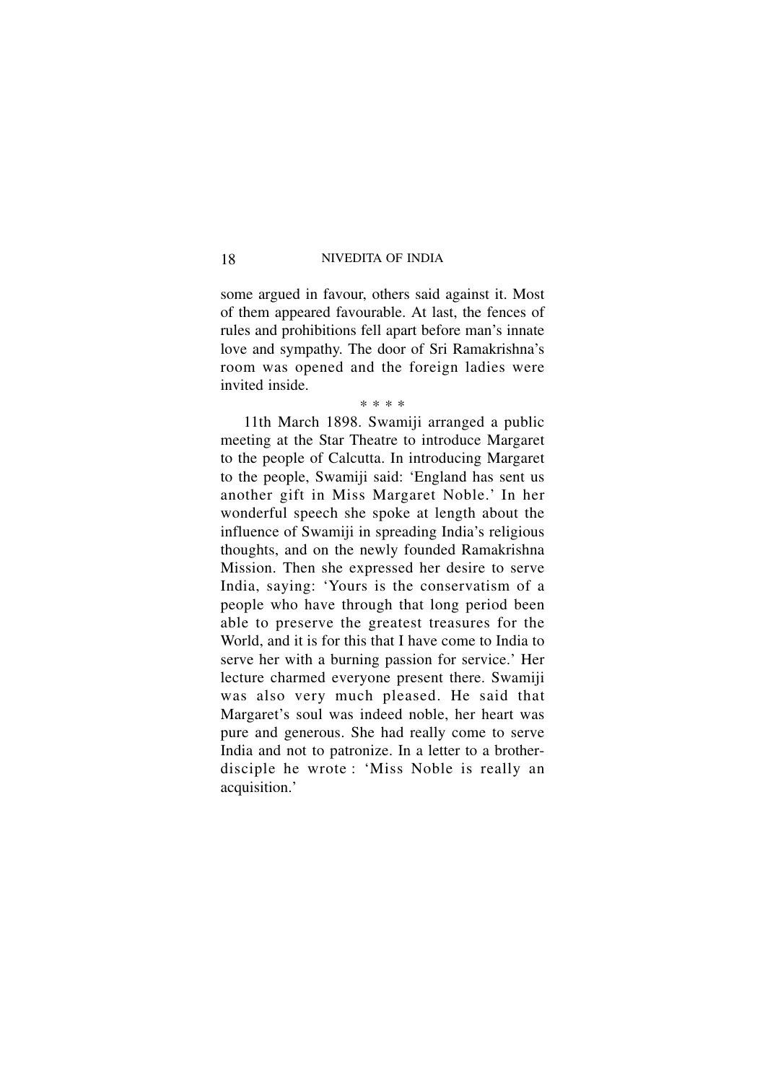some argued in favour, others said against it. Most of them appeared favourable. At last, the fences of rules and prohibitions fell apart before man's innate love and sympathy. The door of Sri Ramakrishna's room was opened and the foreign ladies were invited inside.

#### \* \* \* \*

11th March 1898. Swamiji arranged a public meeting at the Star Theatre to introduce Margaret to the people of Calcutta. In introducing Margaret to the people, Swamiji said: 'England has sent us another gift in Miss Margaret Noble.' In her wonderful speech she spoke at length about the influence of Swamiji in spreading India's religious thoughts, and on the newly founded Ramakrishna Mission. Then she expressed her desire to serve India, saying: 'Yours is the conservatism of a people who have through that long period been able to preserve the greatest treasures for the World, and it is for this that I have come to India to serve her with a burning passion for service.' Her lecture charmed everyone present there. Swamiji was also very much pleased. He said that Margaret's soul was indeed noble, her heart was pure and generous. She had really come to serve India and not to patronize. In a letter to a brotherdisciple he wrote : 'Miss Noble is really an acquisition.'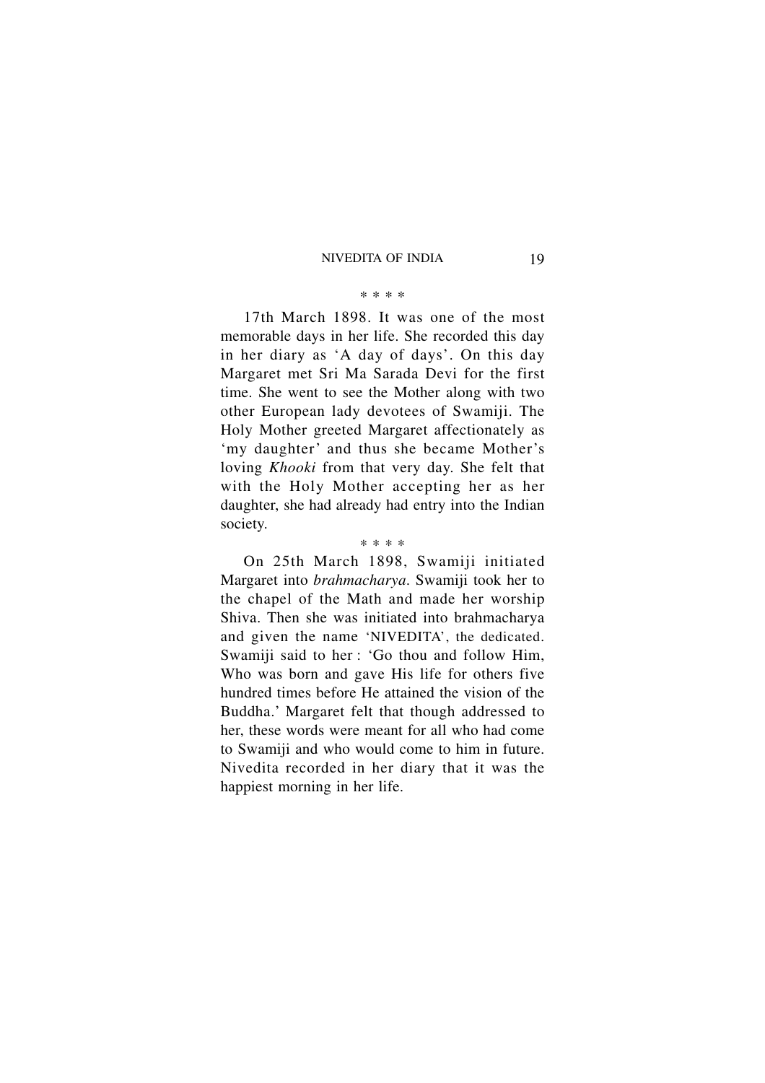#### \* \* \* \*

17th March 1898. It was one of the most memorable days in her life. She recorded this day in her diary as 'A day of days'. On this day Margaret met Sri Ma Sarada Devi for the first time. She went to see the Mother along with two other European lady devotees of Swamiji. The Holy Mother greeted Margaret affectionately as 'my daughter' and thus she became Mother's loving *Khooki* from that very day. She felt that with the Holy Mother accepting her as her daughter, she had already had entry into the Indian society.

#### \* \* \* \*

On 25th March 1898, Swamiji initiated Margaret into *brahmacharya*. Swamiji took her to the chapel of the Math and made her worship Shiva. Then she was initiated into brahmacharya and given the name 'NIVEDITA', the dedicated. Swamiji said to her : 'Go thou and follow Him, Who was born and gave His life for others five hundred times before He attained the vision of the Buddha.' Margaret felt that though addressed to her, these words were meant for all who had come to Swamiji and who would come to him in future. Nivedita recorded in her diary that it was the happiest morning in her life.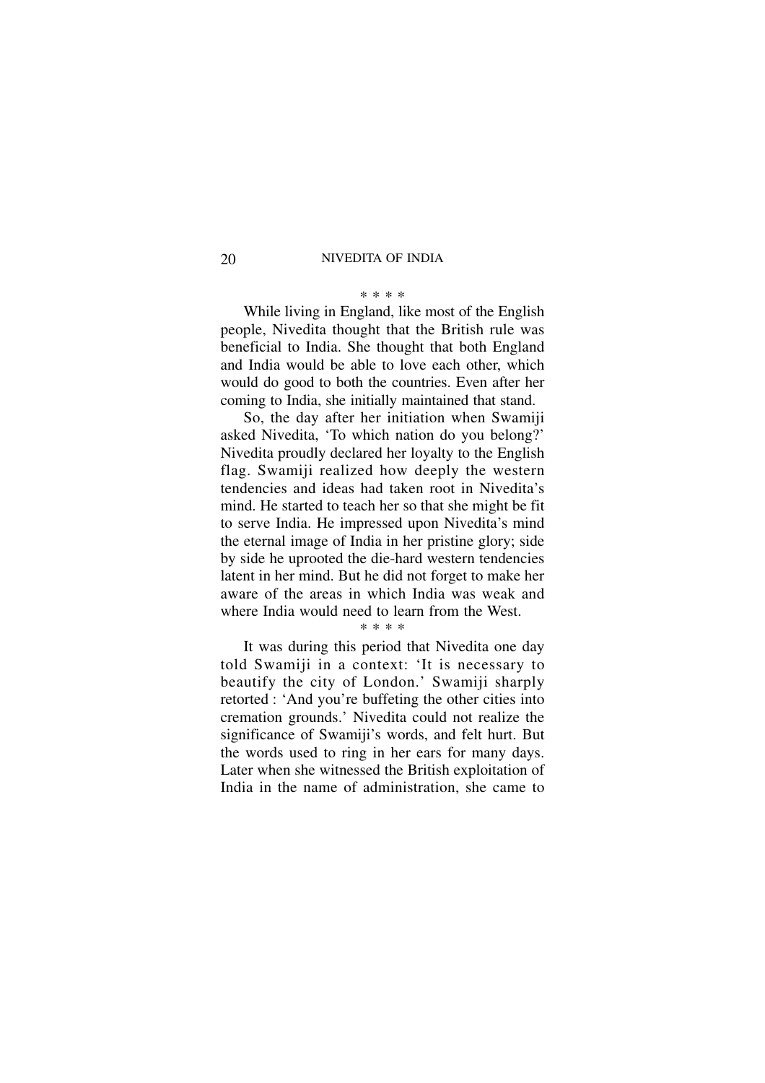#### \* \* \* \*

While living in England, like most of the English people, Nivedita thought that the British rule was beneficial to India. She thought that both England and India would be able to love each other, which would do good to both the countries. Even after her coming to India, she initially maintained that stand.

So, the day after her initiation when Swamiji asked Nivedita, 'To which nation do you belong?' Nivedita proudly declared her loyalty to the English flag. Swamiji realized how deeply the western tendencies and ideas had taken root in Nivedita's mind. He started to teach her so that she might be fit to serve India. He impressed upon Nivedita's mind the eternal image of India in her pristine glory; side by side he uprooted the die-hard western tendencies latent in her mind. But he did not forget to make her aware of the areas in which India was weak and where India would need to learn from the West.

#### \* \* \* \*

It was during this period that Nivedita one day told Swamiji in a context: 'It is necessary to beautify the city of London.' Swamiji sharply retorted : 'And you're buffeting the other cities into cremation grounds.' Nivedita could not realize the significance of Swamiji's words, and felt hurt. But the words used to ring in her ears for many days. Later when she witnessed the British exploitation of India in the name of administration, she came to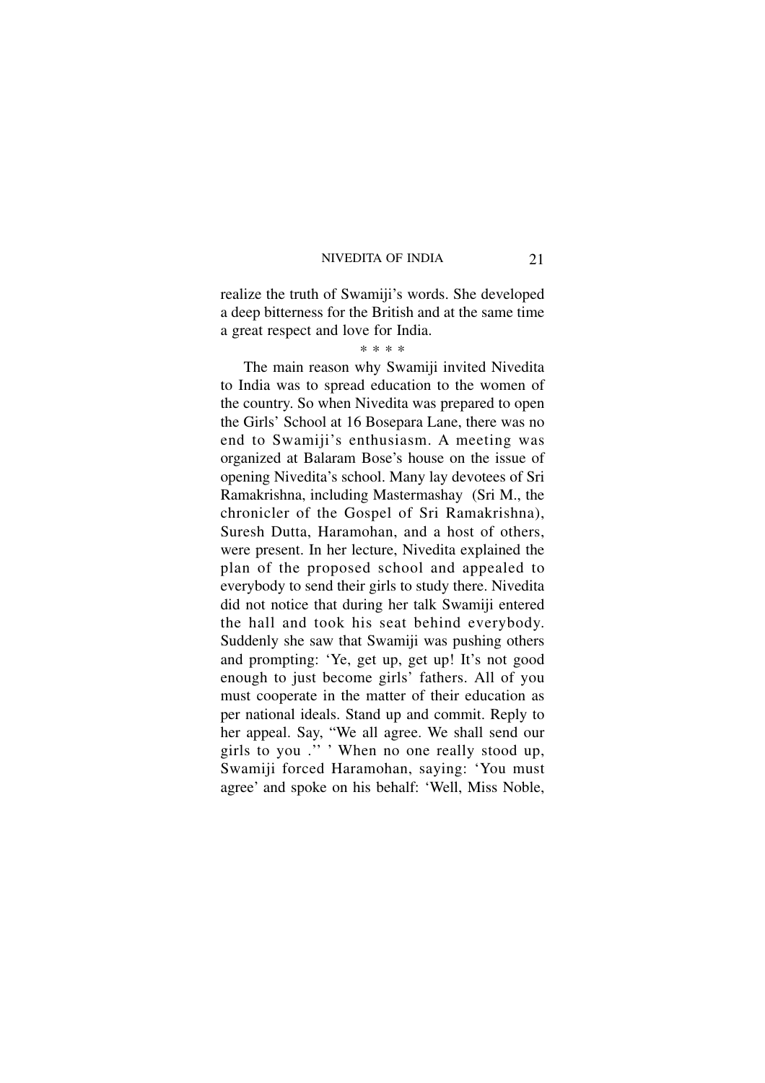realize the truth of Swamiji's words. She developed a deep bitterness for the British and at the same time a great respect and love for India.

### \* \* \* \*

The main reason why Swamiji invited Nivedita to India was to spread education to the women of the country. So when Nivedita was prepared to open the Girls' School at 16 Bosepara Lane, there was no end to Swamiji's enthusiasm. A meeting was organized at Balaram Bose's house on the issue of opening Nivedita's school. Many lay devotees of Sri Ramakrishna, including Mastermashay (Sri M., the chronicler of the Gospel of Sri Ramakrishna), Suresh Dutta, Haramohan, and a host of others, were present. In her lecture, Nivedita explained the plan of the proposed school and appealed to everybody to send their girls to study there. Nivedita did not notice that during her talk Swamiji entered the hall and took his seat behind everybody. Suddenly she saw that Swamiji was pushing others and prompting: 'Ye, get up, get up! It's not good enough to just become girls' fathers. All of you must cooperate in the matter of their education as per national ideals. Stand up and commit. Reply to her appeal. Say, "We all agree. We shall send our girls to you ." When no one really stood up, Swamiji forced Haramohan, saying: 'You must agree' and spoke on his behalf: 'Well, Miss Noble,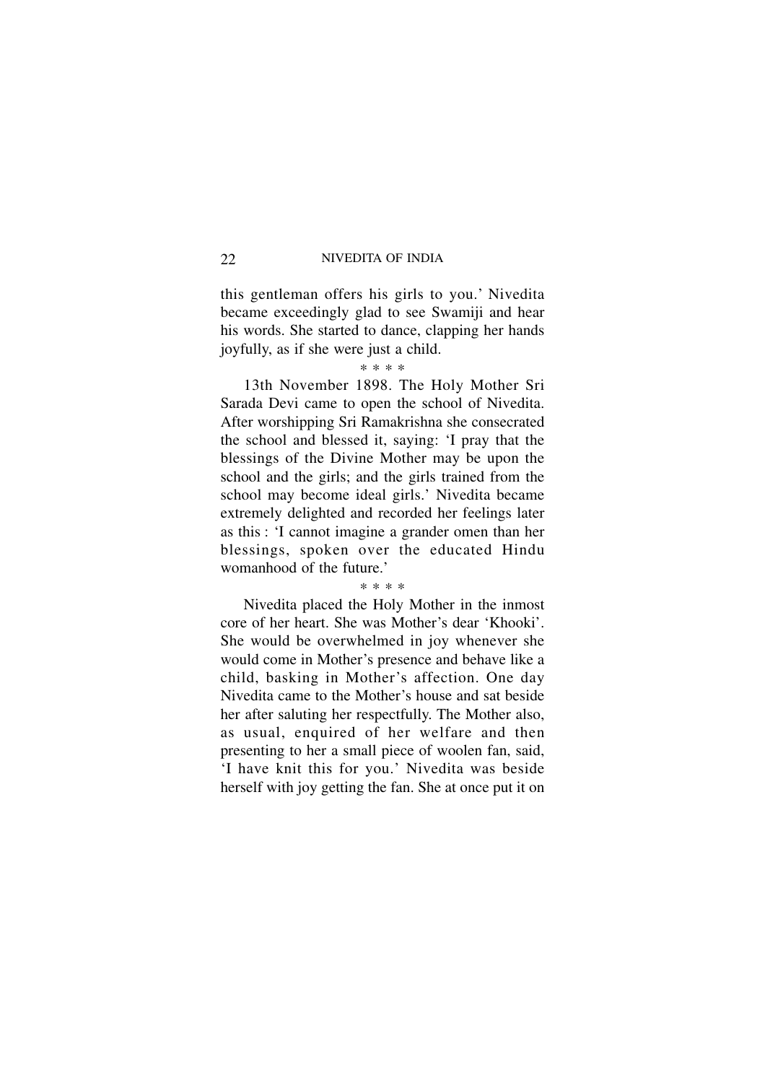this gentleman offers his girls to you.' Nivedita became exceedingly glad to see Swamiji and hear his words. She started to dance, clapping her hands joyfully, as if she were just a child.

\* \* \* \*

13th November 1898. The Holy Mother Sri Sarada Devi came to open the school of Nivedita. After worshipping Sri Ramakrishna she consecrated the school and blessed it, saying: 'I pray that the blessings of the Divine Mother may be upon the school and the girls; and the girls trained from the school may become ideal girls.' Nivedita became extremely delighted and recorded her feelings later as this : 'I cannot imagine a grander omen than her blessings, spoken over the educated Hindu womanhood of the future.'

#### \* \* \* \*

Nivedita placed the Holy Mother in the inmost core of her heart. She was Mother's dear 'Khooki'. She would be overwhelmed in joy whenever she would come in Mother's presence and behave like a child, basking in Mother's affection. One day Nivedita came to the Mother's house and sat beside her after saluting her respectfully. The Mother also, as usual, enquired of her welfare and then presenting to her a small piece of woolen fan, said, 'I have knit this for you.' Nivedita was beside herself with joy getting the fan. She at once put it on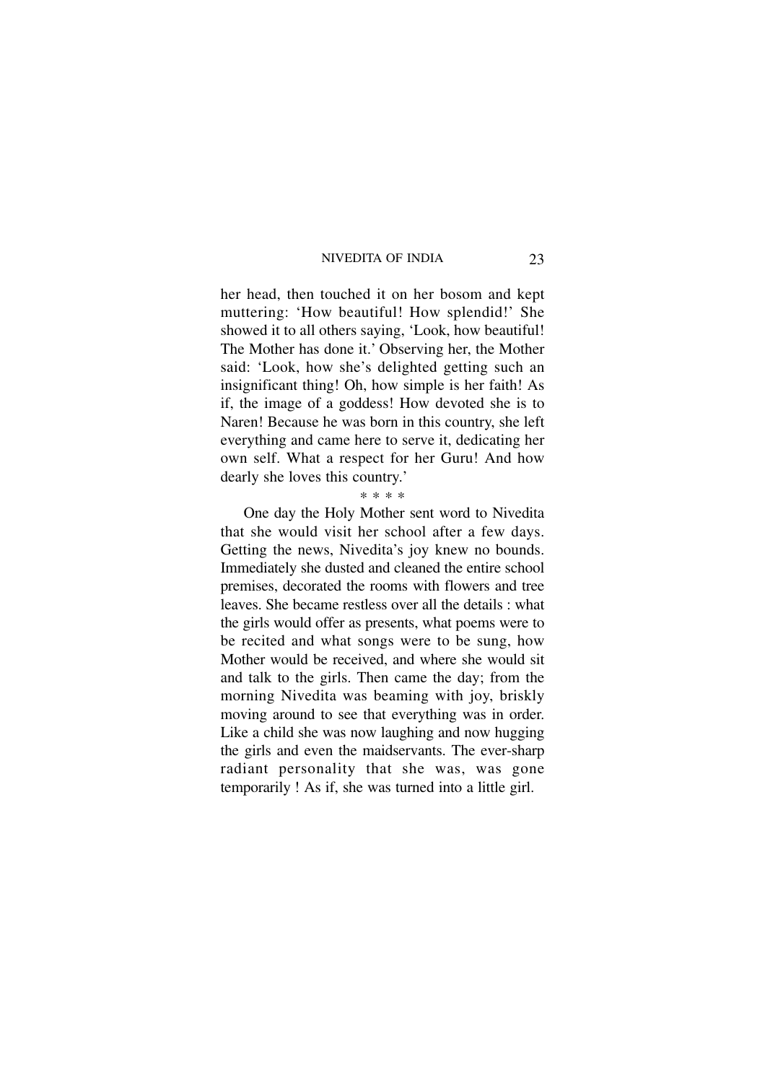her head, then touched it on her bosom and kept muttering: 'How beautiful! How splendid!' She showed it to all others saying, 'Look, how beautiful! The Mother has done it.' Observing her, the Mother said: 'Look, how she's delighted getting such an insignificant thing! Oh, how simple is her faith! As if, the image of a goddess! How devoted she is to Naren! Because he was born in this country, she left everything and came here to serve it, dedicating her own self. What a respect for her Guru! And how dearly she loves this country.'

#### \* \* \* \*

One day the Holy Mother sent word to Nivedita that she would visit her school after a few days. Getting the news, Nivedita's joy knew no bounds. Immediately she dusted and cleaned the entire school premises, decorated the rooms with flowers and tree leaves. She became restless over all the details : what the girls would offer as presents, what poems were to be recited and what songs were to be sung, how Mother would be received, and where she would sit and talk to the girls. Then came the day; from the morning Nivedita was beaming with joy, briskly moving around to see that everything was in order. Like a child she was now laughing and now hugging the girls and even the maidservants. The ever-sharp radiant personality that she was, was gone temporarily ! As if, she was turned into a little girl.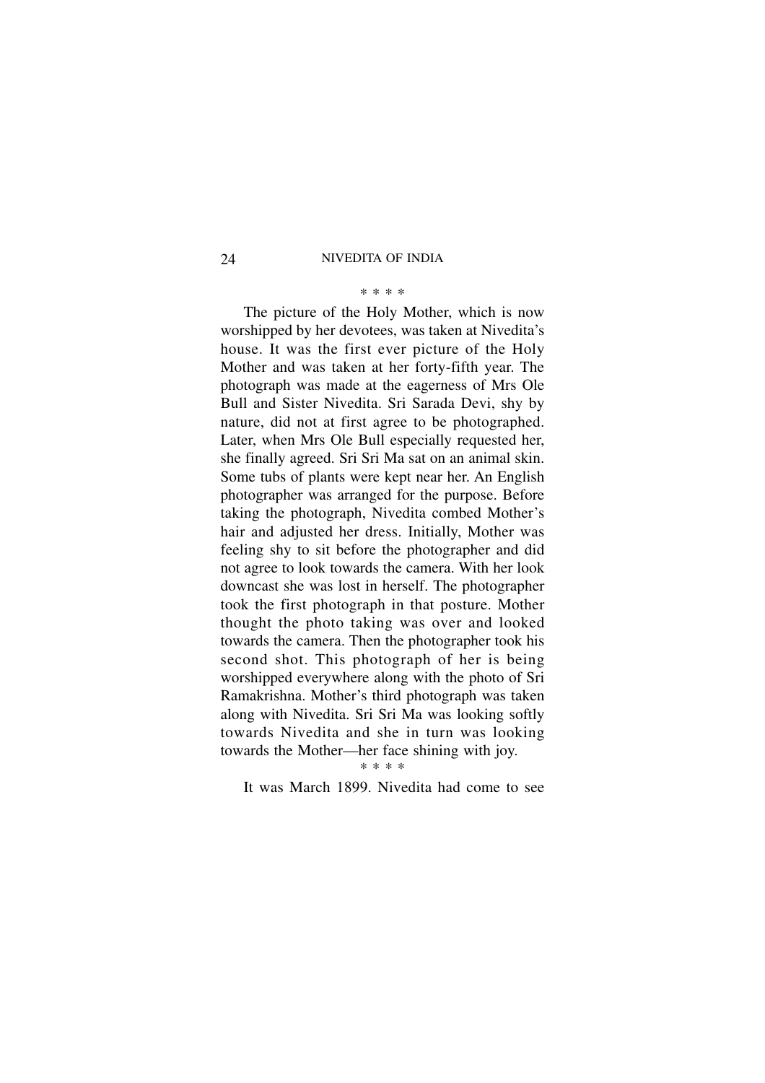### \* \* \* \*

The picture of the Holy Mother, which is now worshipped by her devotees, was taken at Nivedita's house. It was the first ever picture of the Holy Mother and was taken at her forty-fifth year. The photograph was made at the eagerness of Mrs Ole Bull and Sister Nivedita. Sri Sarada Devi, shy by nature, did not at first agree to be photographed. Later, when Mrs Ole Bull especially requested her, she finally agreed. Sri Sri Ma sat on an animal skin. Some tubs of plants were kept near her. An English photographer was arranged for the purpose. Before taking the photograph, Nivedita combed Mother's hair and adjusted her dress. Initially, Mother was feeling shy to sit before the photographer and did not agree to look towards the camera. With her look downcast she was lost in herself. The photographer took the first photograph in that posture. Mother thought the photo taking was over and looked towards the camera. Then the photographer took his second shot. This photograph of her is being worshipped everywhere along with the photo of Sri Ramakrishna. Mother's third photograph was taken along with Nivedita. Sri Sri Ma was looking softly towards Nivedita and she in turn was looking towards the Mother—her face shining with joy.

#### \* \* \* \*

It was March 1899. Nivedita had come to see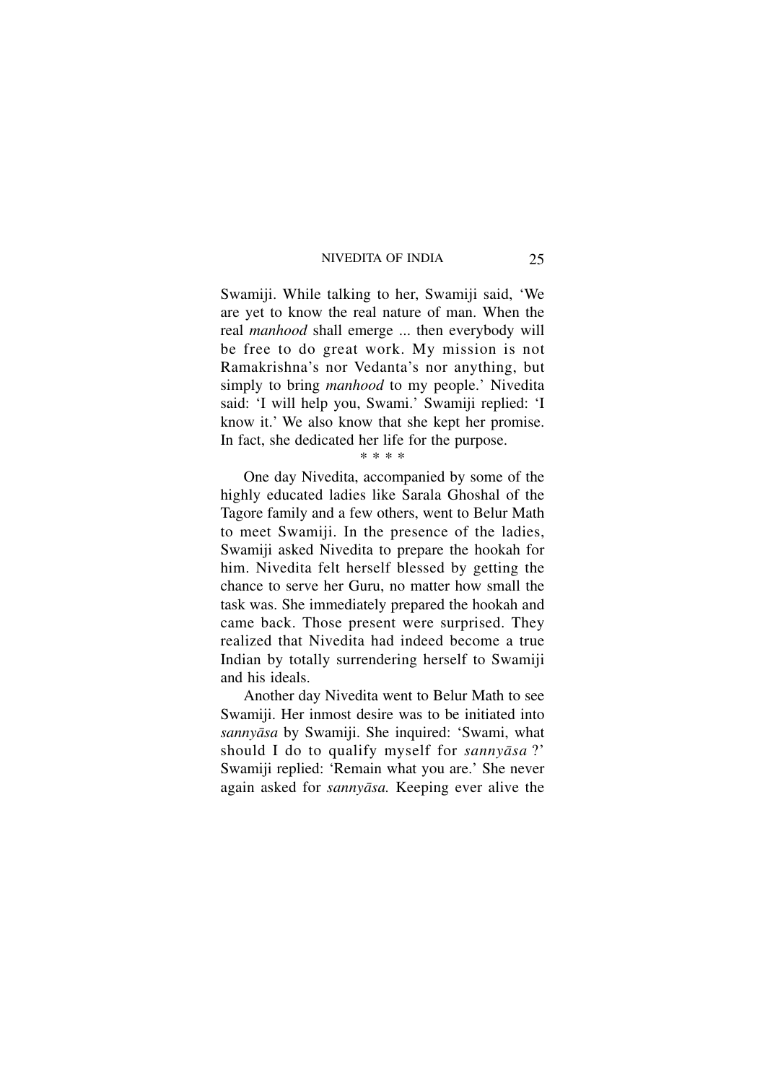Swamiji. While talking to her, Swamiji said, 'We are yet to know the real nature of man. When the real *manhood* shall emerge ... then everybody will be free to do great work. My mission is not Ramakrishna's nor Vedanta's nor anything, but simply to bring *manhood* to my people.' Nivedita said: 'I will help you, Swami.' Swamiji replied: 'I know it.' We also know that she kept her promise. In fact, she dedicated her life for the purpose.

\* \* \* \*

One day Nivedita, accompanied by some of the highly educated ladies like Sarala Ghoshal of the Tagore family and a few others, went to Belur Math to meet Swamiji. In the presence of the ladies, Swamiji asked Nivedita to prepare the hookah for him. Nivedita felt herself blessed by getting the chance to serve her Guru, no matter how small the task was. She immediately prepared the hookah and came back. Those present were surprised. They realized that Nivedita had indeed become a true Indian by totally surrendering herself to Swamiji and his ideals.

Another day Nivedita went to Belur Math to see Swamiji. Her inmost desire was to be initiated into *sanny*à*sa* by Swamiji. She inquired: 'Swami, what should I do to qualify myself for *sanny*à*sa* ?' Swamiji replied: 'Remain what you are.' She never again asked for *sanny*à*sa.* Keeping ever alive the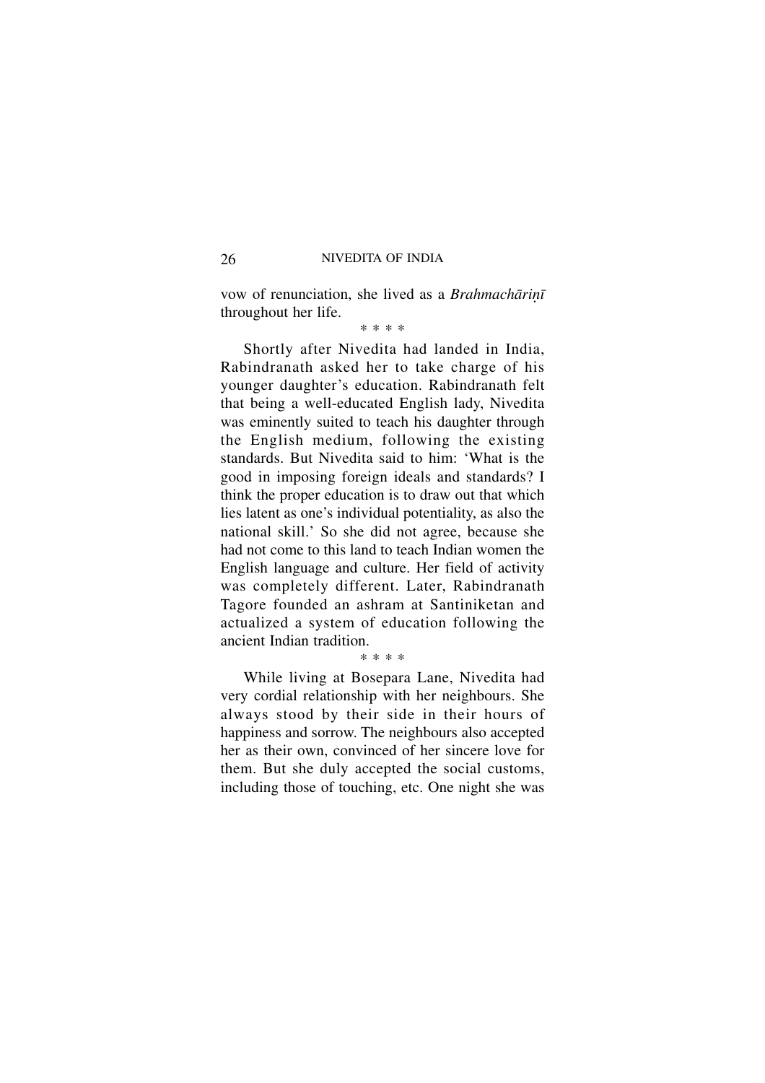vow of renunciation, she lived as a *Brahmachārinī* throughout her life.

\* \* \* \*

Shortly after Nivedita had landed in India, Rabindranath asked her to take charge of his younger daughter's education. Rabindranath felt that being a well-educated English lady, Nivedita was eminently suited to teach his daughter through the English medium, following the existing standards. But Nivedita said to him: 'What is the good in imposing foreign ideals and standards? I think the proper education is to draw out that which lies latent as one's individual potentiality, as also the national skill.' So she did not agree, because she had not come to this land to teach Indian women the English language and culture. Her field of activity was completely different. Later, Rabindranath Tagore founded an ashram at Santiniketan and actualized a system of education following the ancient Indian tradition.

\* \* \* \*

While living at Bosepara Lane, Nivedita had very cordial relationship with her neighbours. She always stood by their side in their hours of happiness and sorrow. The neighbours also accepted her as their own, convinced of her sincere love for them. But she duly accepted the social customs, including those of touching, etc. One night she was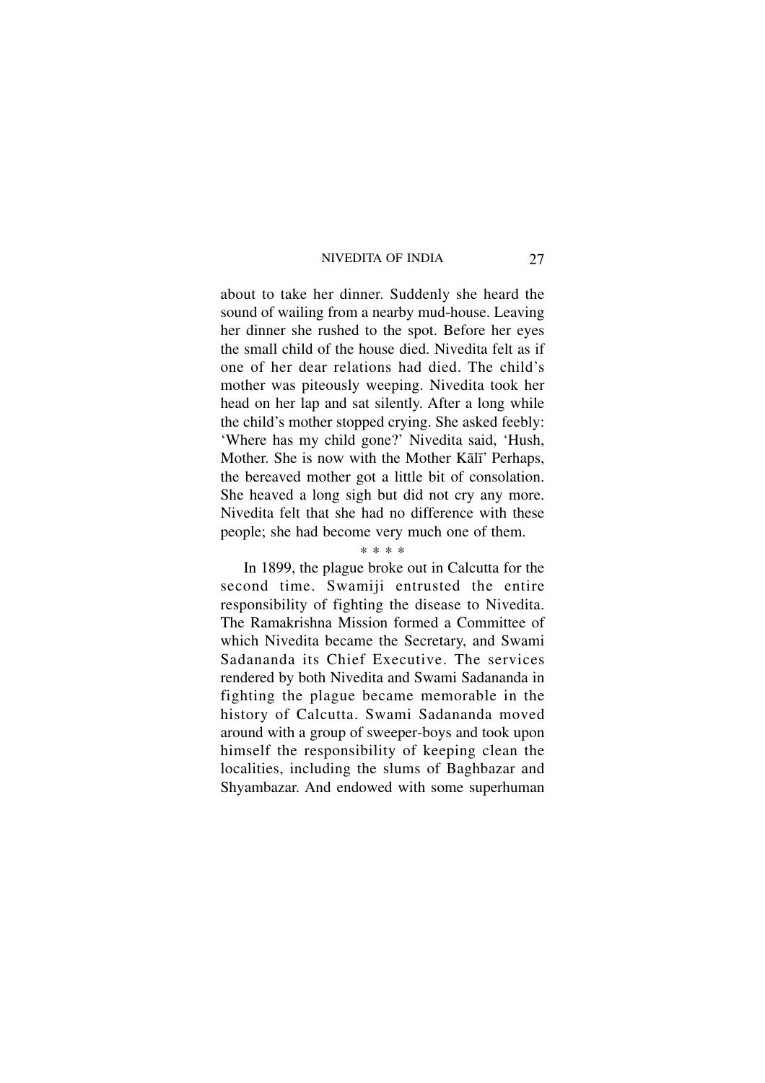about to take her dinner. Suddenly she heard the sound of wailing from a nearby mud-house. Leaving her dinner she rushed to the spot. Before her eyes the small child of the house died. Nivedita felt as if one of her dear relations had died. The child's mother was piteously weeping. Nivedita took her head on her lap and sat silently. After a long while the child's mother stopped crying. She asked feebly: 'Where has my child gone?' Nivedita said, 'Hush, Mother. She is now with the Mother Kalī' Perhaps, the bereaved mother got a little bit of consolation. She heaved a long sigh but did not cry any more. Nivedita felt that she had no difference with these people; she had become very much one of them.

#### \* \* \* \*

In 1899, the plague broke out in Calcutta for the second time. Swamiji entrusted the entire responsibility of fighting the disease to Nivedita. The Ramakrishna Mission formed a Committee of which Nivedita became the Secretary, and Swami Sadananda its Chief Executive. The services rendered by both Nivedita and Swami Sadananda in fighting the plague became memorable in the history of Calcutta. Swami Sadananda moved around with a group of sweeper-boys and took upon himself the responsibility of keeping clean the localities, including the slums of Baghbazar and Shyambazar. And endowed with some superhuman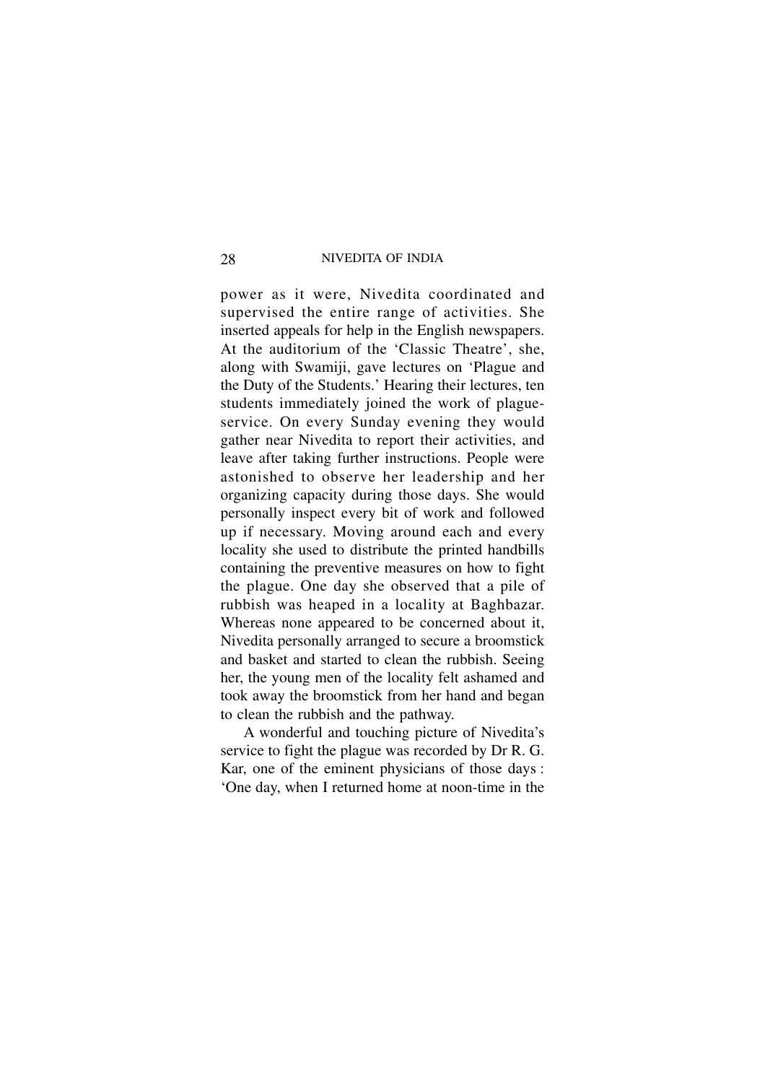power as it were, Nivedita coordinated and supervised the entire range of activities. She inserted appeals for help in the English newspapers. At the auditorium of the 'Classic Theatre', she, along with Swamiji, gave lectures on 'Plague and the Duty of the Students.' Hearing their lectures, ten students immediately joined the work of plagueservice. On every Sunday evening they would gather near Nivedita to report their activities, and leave after taking further instructions. People were astonished to observe her leadership and her organizing capacity during those days. She would personally inspect every bit of work and followed up if necessary. Moving around each and every locality she used to distribute the printed handbills containing the preventive measures on how to fight the plague. One day she observed that a pile of rubbish was heaped in a locality at Baghbazar. Whereas none appeared to be concerned about it, Nivedita personally arranged to secure a broomstick and basket and started to clean the rubbish. Seeing her, the young men of the locality felt ashamed and took away the broomstick from her hand and began to clean the rubbish and the pathway.

A wonderful and touching picture of Nivedita's service to fight the plague was recorded by Dr R. G. Kar, one of the eminent physicians of those days : 'One day, when I returned home at noon-time in the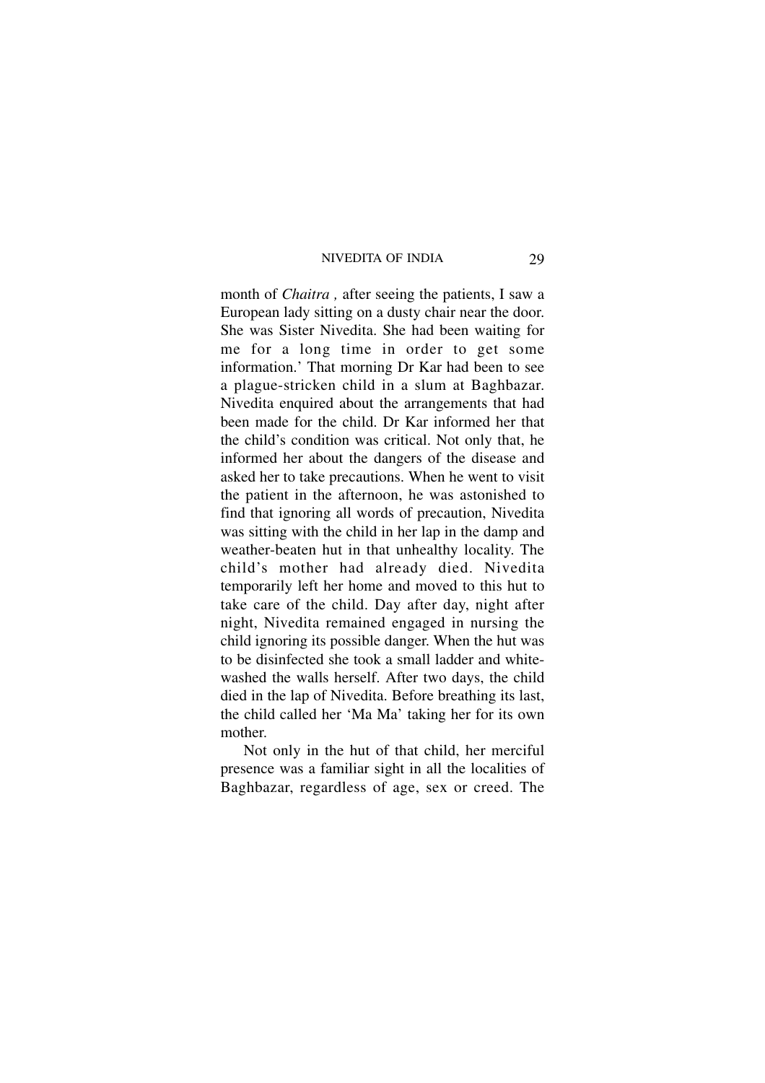month of *Chaitra ,* after seeing the patients, I saw a European lady sitting on a dusty chair near the door. She was Sister Nivedita. She had been waiting for me for a long time in order to get some information.' That morning Dr Kar had been to see a plague-stricken child in a slum at Baghbazar. Nivedita enquired about the arrangements that had been made for the child. Dr Kar informed her that the child's condition was critical. Not only that, he informed her about the dangers of the disease and asked her to take precautions. When he went to visit the patient in the afternoon, he was astonished to find that ignoring all words of precaution, Nivedita was sitting with the child in her lap in the damp and weather-beaten hut in that unhealthy locality. The child's mother had already died. Nivedita temporarily left her home and moved to this hut to take care of the child. Day after day, night after night, Nivedita remained engaged in nursing the child ignoring its possible danger. When the hut was to be disinfected she took a small ladder and whitewashed the walls herself. After two days, the child died in the lap of Nivedita. Before breathing its last, the child called her 'Ma Ma' taking her for its own mother.

Not only in the hut of that child, her merciful presence was a familiar sight in all the localities of Baghbazar, regardless of age, sex or creed. The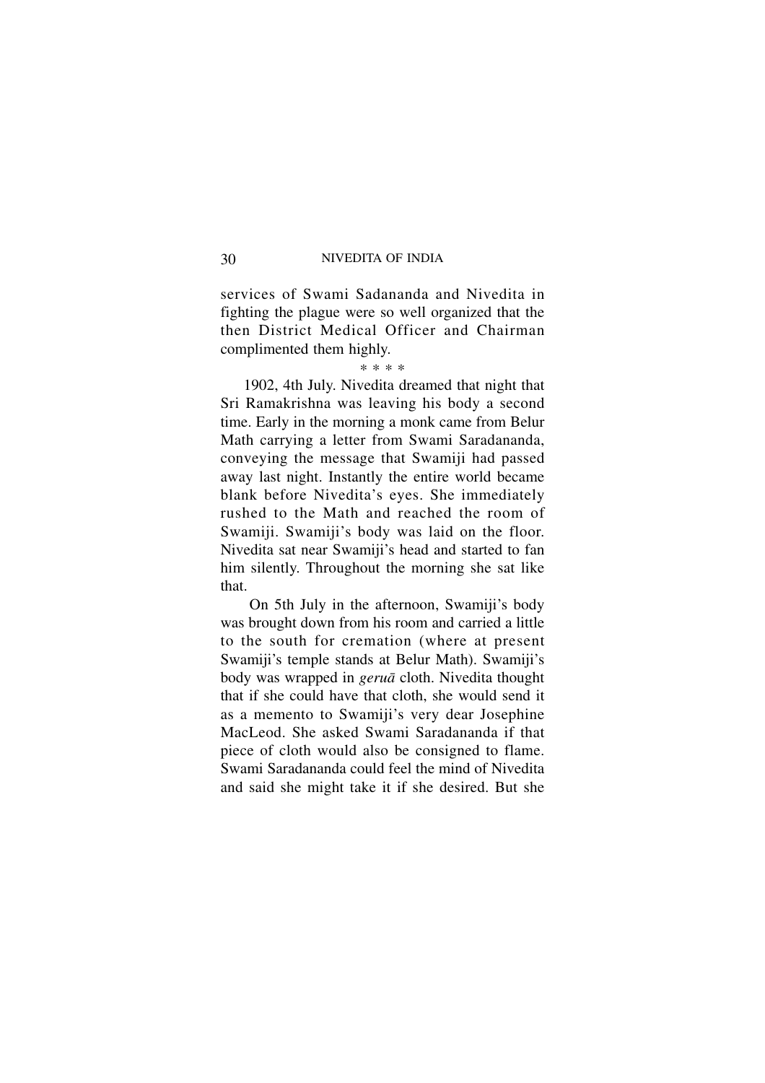services of Swami Sadananda and Nivedita in fighting the plague were so well organized that the then District Medical Officer and Chairman complimented them highly.

\* \* \* \*

1902, 4th July. Nivedita dreamed that night that Sri Ramakrishna was leaving his body a second time. Early in the morning a monk came from Belur Math carrying a letter from Swami Saradananda, conveying the message that Swamiji had passed away last night. Instantly the entire world became blank before Nivedita's eyes. She immediately rushed to the Math and reached the room of Swamiji. Swamiji's body was laid on the floor. Nivedita sat near Swamiji's head and started to fan him silently. Throughout the morning she sat like that.

 On 5th July in the afternoon, Swamiji's body was brought down from his room and carried a little to the south for cremation (where at present Swamiji's temple stands at Belur Math). Swamiji's body was wrapped in *geru*à cloth. Nivedita thought that if she could have that cloth, she would send it as a memento to Swamiji's very dear Josephine MacLeod. She asked Swami Saradananda if that piece of cloth would also be consigned to flame. Swami Saradananda could feel the mind of Nivedita and said she might take it if she desired. But she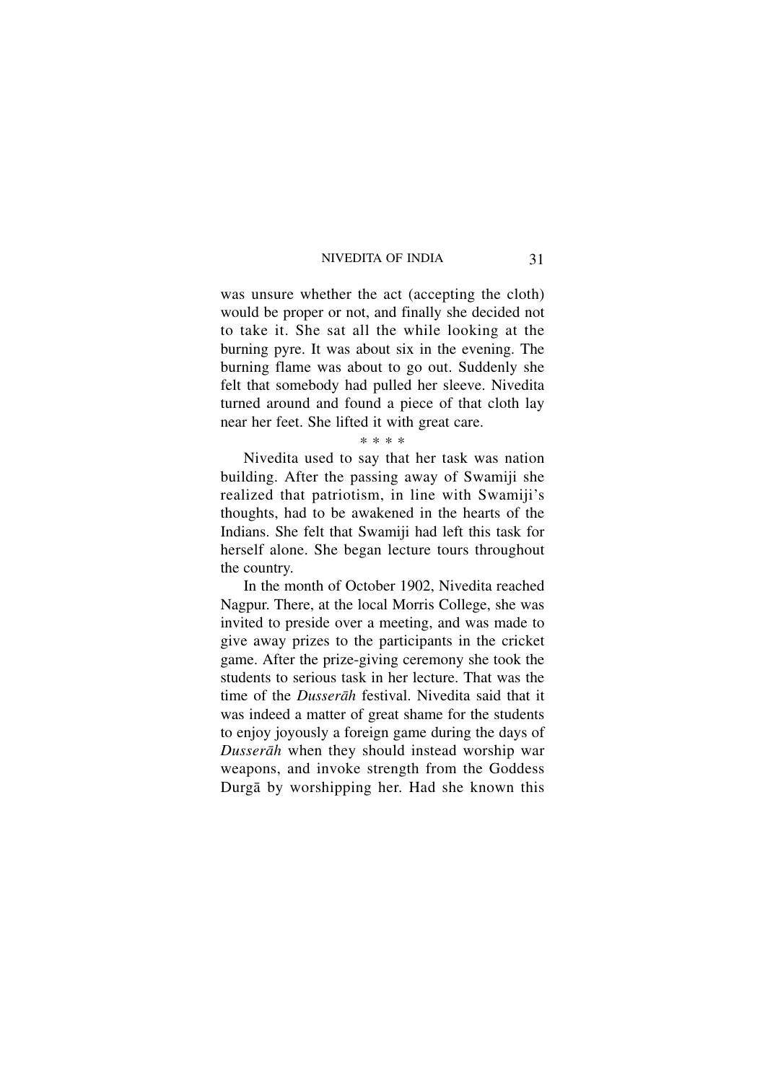was unsure whether the act (accepting the cloth) would be proper or not, and finally she decided not to take it. She sat all the while looking at the burning pyre. It was about six in the evening. The burning flame was about to go out. Suddenly she felt that somebody had pulled her sleeve. Nivedita turned around and found a piece of that cloth lay near her feet. She lifted it with great care.

\* \* \* \*

Nivedita used to say that her task was nation building. After the passing away of Swamiji she realized that patriotism, in line with Swamiji's thoughts, had to be awakened in the hearts of the Indians. She felt that Swamiji had left this task for herself alone. She began lecture tours throughout the country.

In the month of October 1902, Nivedita reached Nagpur. There, at the local Morris College, she was invited to preside over a meeting, and was made to give away prizes to the participants in the cricket game. After the prize-giving ceremony she took the students to serious task in her lecture. That was the time of the *Dusser*à*h* festival. Nivedita said that it was indeed a matter of great shame for the students to enjoy joyously a foreign game during the days of *Dusser*à*h* when they should instead worship war weapons, and invoke strength from the Goddess Durgà by worshipping her. Had she known this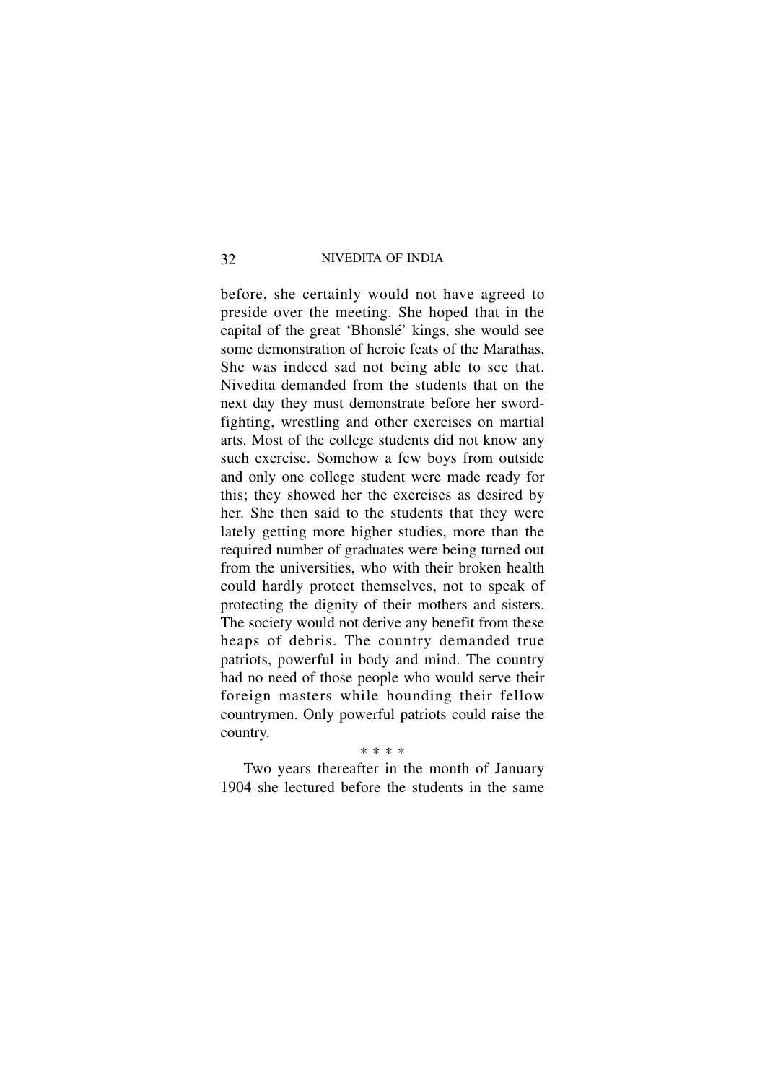before, she certainly would not have agreed to preside over the meeting. She hoped that in the capital of the great 'Bhonslé' kings, she would see some demonstration of heroic feats of the Marathas. She was indeed sad not being able to see that. Nivedita demanded from the students that on the next day they must demonstrate before her swordfighting, wrestling and other exercises on martial arts. Most of the college students did not know any such exercise. Somehow a few boys from outside and only one college student were made ready for this; they showed her the exercises as desired by her. She then said to the students that they were lately getting more higher studies, more than the required number of graduates were being turned out from the universities, who with their broken health could hardly protect themselves, not to speak of protecting the dignity of their mothers and sisters. The society would not derive any benefit from these heaps of debris. The country demanded true patriots, powerful in body and mind. The country had no need of those people who would serve their foreign masters while hounding their fellow countrymen. Only powerful patriots could raise the country.

### \* \* \* \*

Two years thereafter in the month of January 1904 she lectured before the students in the same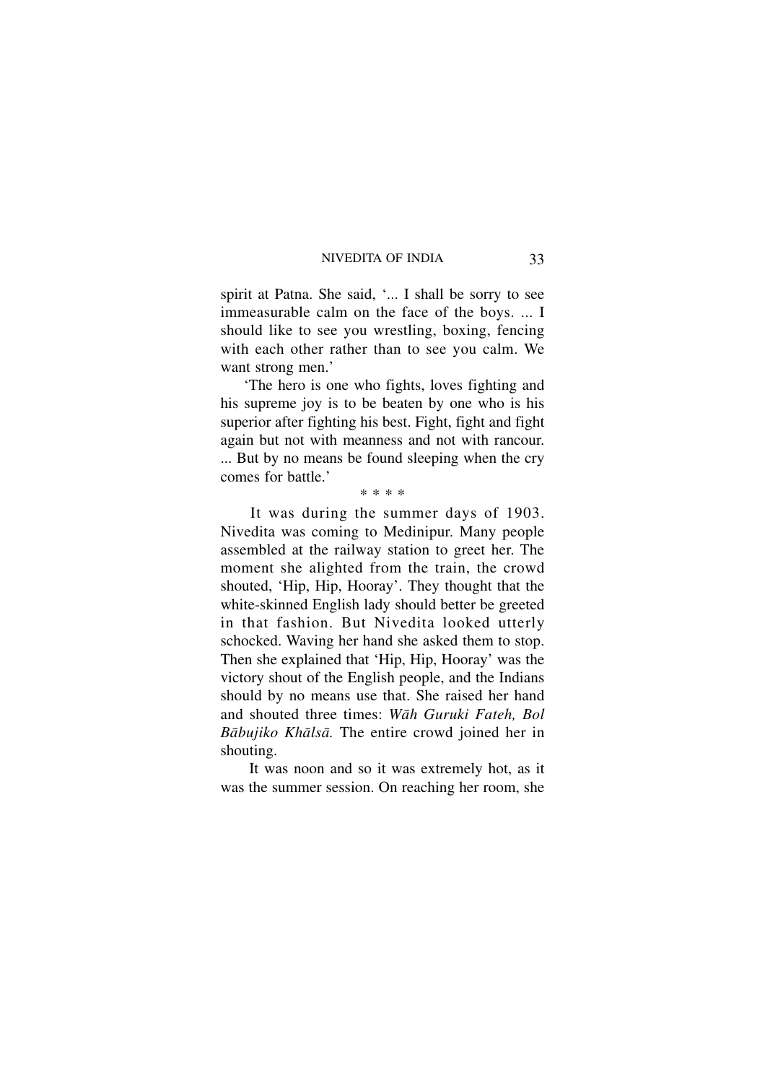spirit at Patna. She said, '... I shall be sorry to see immeasurable calm on the face of the boys. ... I should like to see you wrestling, boxing, fencing with each other rather than to see you calm. We want strong men.'

'The hero is one who fights, loves fighting and his supreme joy is to be beaten by one who is his superior after fighting his best. Fight, fight and fight again but not with meanness and not with rancour. ... But by no means be found sleeping when the cry comes for battle.'

\* \* \* \*

 It was during the summer days of 1903. Nivedita was coming to Medinipur. Many people assembled at the railway station to greet her. The moment she alighted from the train, the crowd shouted, 'Hip, Hip, Hooray'. They thought that the white-skinned English lady should better be greeted in that fashion. But Nivedita looked utterly schocked. Waving her hand she asked them to stop. Then she explained that 'Hip, Hip, Hooray' was the victory shout of the English people, and the Indians should by no means use that. She raised her hand and shouted three times: *W*à*h Guruki Fateh, Bol B*à*bujiko Kh*à*ls*à*.* The entire crowd joined her in shouting.

 It was noon and so it was extremely hot, as it was the summer session. On reaching her room, she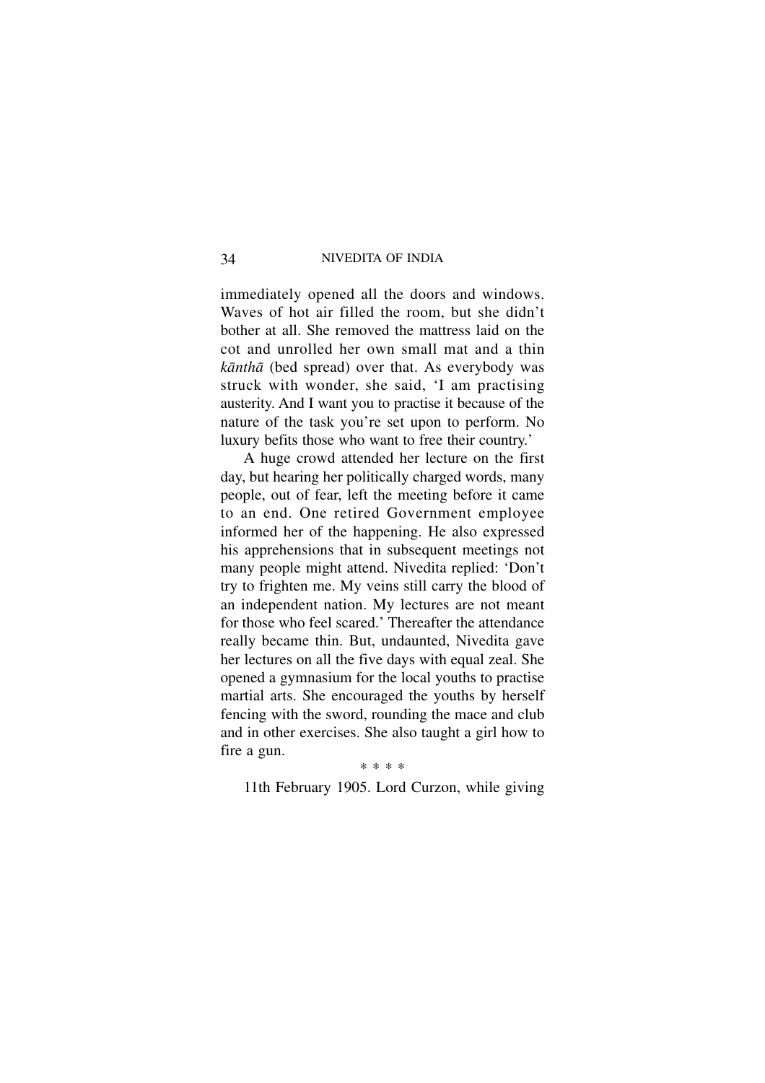immediately opened all the doors and windows. Waves of hot air filled the room, but she didn't bother at all. She removed the mattress laid on the cot and unrolled her own small mat and a thin *k*à*nth*à (bed spread) over that. As everybody was struck with wonder, she said, 'I am practising austerity. And I want you to practise it because of the nature of the task you're set upon to perform. No luxury befits those who want to free their country.'

A huge crowd attended her lecture on the first day, but hearing her politically charged words, many people, out of fear, left the meeting before it came to an end. One retired Government employee informed her of the happening. He also expressed his apprehensions that in subsequent meetings not many people might attend. Nivedita replied: 'Don't try to frighten me. My veins still carry the blood of an independent nation. My lectures are not meant for those who feel scared.' Thereafter the attendance really became thin. But, undaunted, Nivedita gave her lectures on all the five days with equal zeal. She opened a gymnasium for the local youths to practise martial arts. She encouraged the youths by herself fencing with the sword, rounding the mace and club and in other exercises. She also taught a girl how to fire a gun.

#### \* \* \* \*

11th February 1905. Lord Curzon, while giving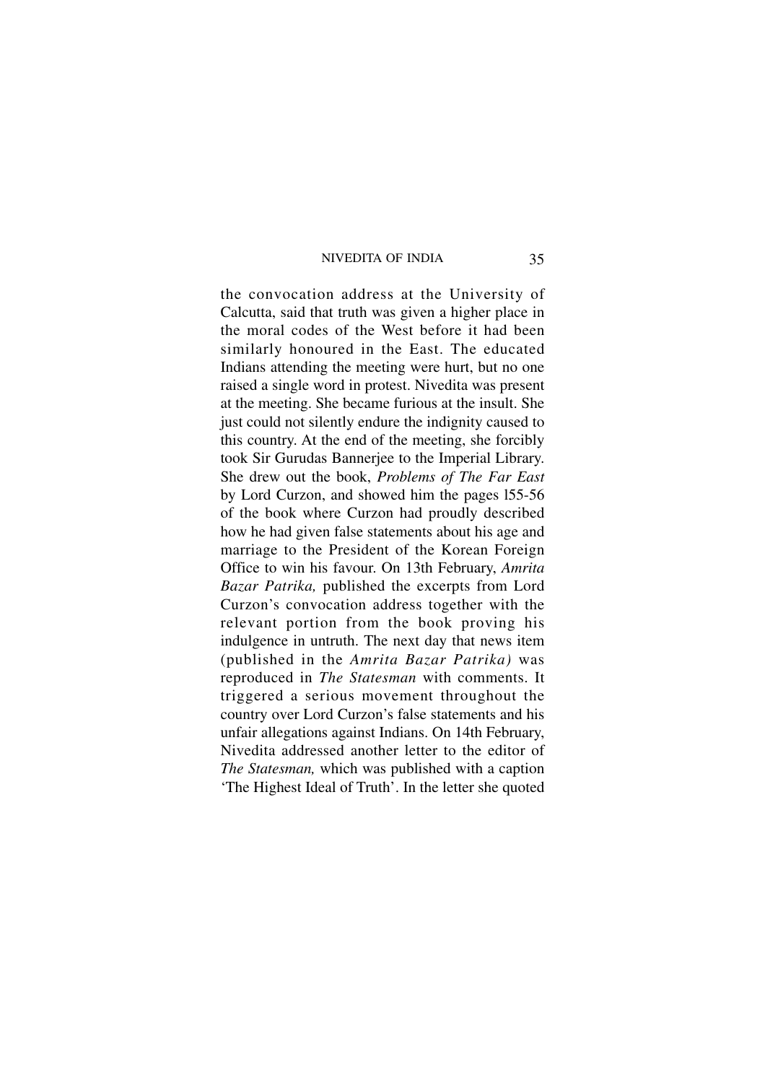the convocation address at the University of Calcutta, said that truth was given a higher place in the moral codes of the West before it had been similarly honoured in the East. The educated Indians attending the meeting were hurt, but no one raised a single word in protest. Nivedita was present at the meeting. She became furious at the insult. She just could not silently endure the indignity caused to this country. At the end of the meeting, she forcibly took Sir Gurudas Bannerjee to the Imperial Library. She drew out the book, *Problems of The Far East* by Lord Curzon, and showed him the pages l55-56 of the book where Curzon had proudly described how he had given false statements about his age and marriage to the President of the Korean Foreign Office to win his favour. On 13th February, *Amrita Bazar Patrika,* published the excerpts from Lord Curzon's convocation address together with the relevant portion from the book proving his indulgence in untruth. The next day that news item (published in the *Amrita Bazar Patrika)* was reproduced in *The Statesman* with comments. It triggered a serious movement throughout the country over Lord Curzon's false statements and his unfair allegations against Indians. On 14th February, Nivedita addressed another letter to the editor of *The Statesman,* which was published with a caption 'The Highest Ideal of Truth'. In the letter she quoted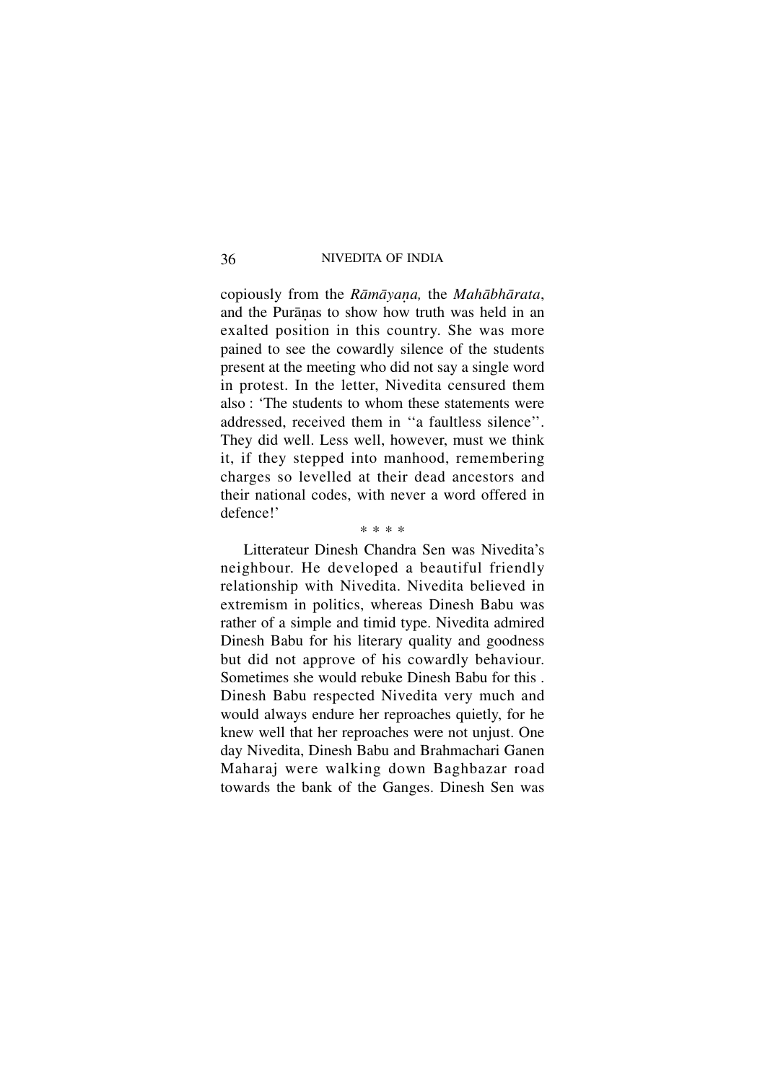copiously from the *R*à*m*à*ya*õ*a,* the *Mah*à*bh*à*rata*, and the Purānas to show how truth was held in an exalted position in this country. She was more pained to see the cowardly silence of the students present at the meeting who did not say a single word in protest. In the letter, Nivedita censured them also : 'The students to whom these statements were addressed, received them in ''a faultless silence''. They did well. Less well, however, must we think it, if they stepped into manhood, remembering charges so levelled at their dead ancestors and their national codes, with never a word offered in defence!'

\* \* \* \*

Litterateur Dinesh Chandra Sen was Nivedita's neighbour. He developed a beautiful friendly relationship with Nivedita. Nivedita believed in extremism in politics, whereas Dinesh Babu was rather of a simple and timid type. Nivedita admired Dinesh Babu for his literary quality and goodness but did not approve of his cowardly behaviour. Sometimes she would rebuke Dinesh Babu for this . Dinesh Babu respected Nivedita very much and would always endure her reproaches quietly, for he knew well that her reproaches were not unjust. One day Nivedita, Dinesh Babu and Brahmachari Ganen Maharaj were walking down Baghbazar road towards the bank of the Ganges. Dinesh Sen was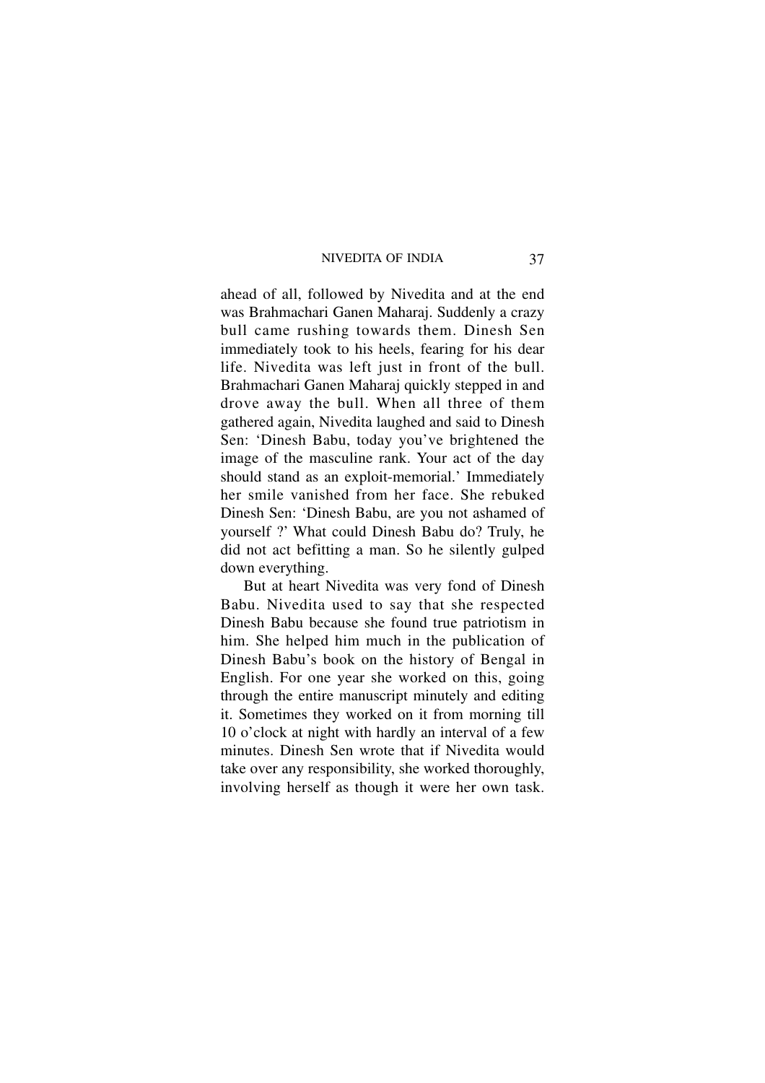ahead of all, followed by Nivedita and at the end was Brahmachari Ganen Maharaj. Suddenly a crazy bull came rushing towards them. Dinesh Sen immediately took to his heels, fearing for his dear life. Nivedita was left just in front of the bull. Brahmachari Ganen Maharaj quickly stepped in and drove away the bull. When all three of them gathered again, Nivedita laughed and said to Dinesh Sen: 'Dinesh Babu, today you've brightened the image of the masculine rank. Your act of the day should stand as an exploit-memorial.' Immediately her smile vanished from her face. She rebuked Dinesh Sen: 'Dinesh Babu, are you not ashamed of yourself ?' What could Dinesh Babu do? Truly, he did not act befitting a man. So he silently gulped down everything.

But at heart Nivedita was very fond of Dinesh Babu. Nivedita used to say that she respected Dinesh Babu because she found true patriotism in him. She helped him much in the publication of Dinesh Babu's book on the history of Bengal in English. For one year she worked on this, going through the entire manuscript minutely and editing it. Sometimes they worked on it from morning till 10 o'clock at night with hardly an interval of a few minutes. Dinesh Sen wrote that if Nivedita would take over any responsibility, she worked thoroughly, involving herself as though it were her own task.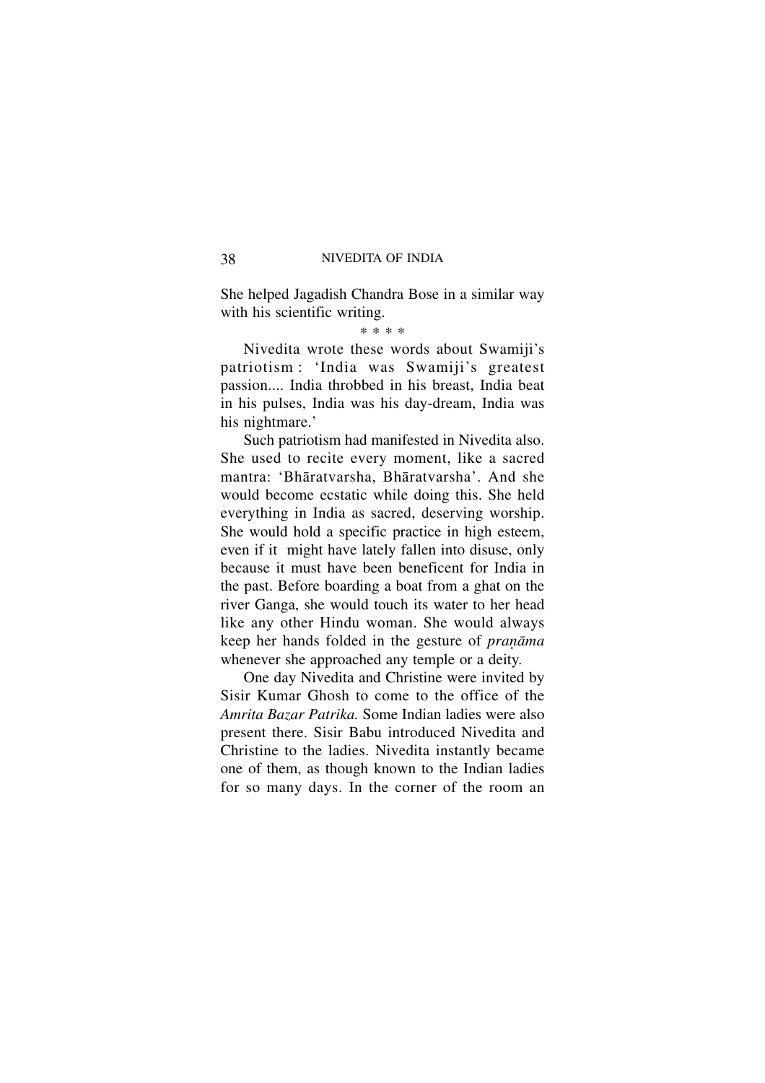She helped Jagadish Chandra Bose in a similar way with his scientific writing.

\* \* \* \*

Nivedita wrote these words about Swamiji's patriotism : 'India was Swamiji's greatest passion.... India throbbed in his breast, India beat in his pulses, India was his day-dream, India was his nightmare.'

Such patriotism had manifested in Nivedita also. She used to recite every moment, like a sacred mantra: 'Bhàratvarsha, Bhàratvarsha'. And she would become ecstatic while doing this. She held everything in India as sacred, deserving worship. She would hold a specific practice in high esteem, even if it might have lately fallen into disuse, only because it must have been beneficent for India in the past. Before boarding a boat from a ghat on the river Ganga, she would touch its water to her head like any other Hindu woman. She would always keep her hands folded in the gesture of *pra*õà*ma* whenever she approached any temple or a deity.

One day Nivedita and Christine were invited by Sisir Kumar Ghosh to come to the office of the *Amrita Bazar Patrika.* Some Indian ladies were also present there. Sisir Babu introduced Nivedita and Christine to the ladies. Nivedita instantly became one of them, as though known to the Indian ladies for so many days. In the corner of the room an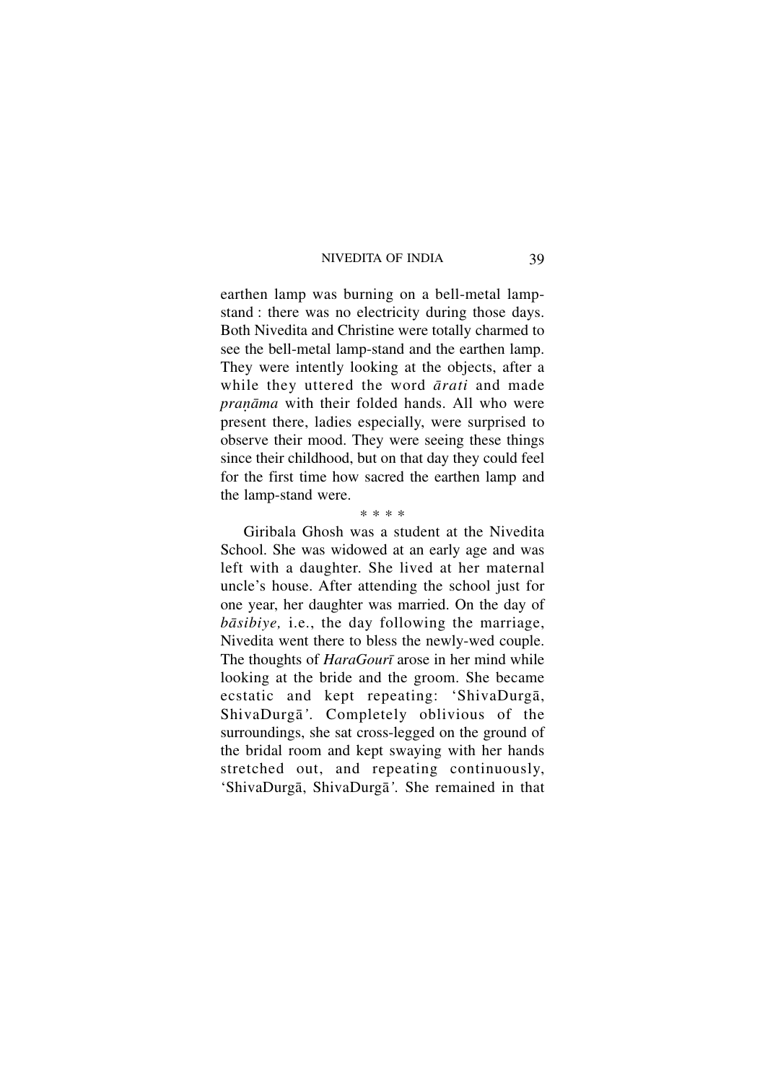earthen lamp was burning on a bell-metal lampstand : there was no electricity during those days. Both Nivedita and Christine were totally charmed to see the bell-metal lamp-stand and the earthen lamp. They were intently looking at the objects, after a while they uttered the word à*r*a*ti* and made *pra*õà*ma* with their folded hands. All who were present there, ladies especially, were surprised to observe their mood. They were seeing these things since their childhood, but on that day they could feel for the first time how sacred the earthen lamp and the lamp-stand were.

#### \* \* \* \*

Giribala Ghosh was a student at the Nivedita School. She was widowed at an early age and was left with a daughter. She lived at her maternal uncle's house. After attending the school just for one year, her daughter was married. On the day of *bāsibiye*, *i.e.*, the day following the marriage, Nivedita went there to bless the newly-wed couple. The thoughts of *HaraGour*ã arose in her mind while looking at the bride and the groom. She became ecstatic and kept repeating: 'ShivaDurgà, ShivaDurgà*'.* Completely oblivious of the surroundings, she sat cross-legged on the ground of the bridal room and kept swaying with her hands stretched out, and repeating continuously, 'ShivaDurgà, ShivaDurgà*'.* She remained in that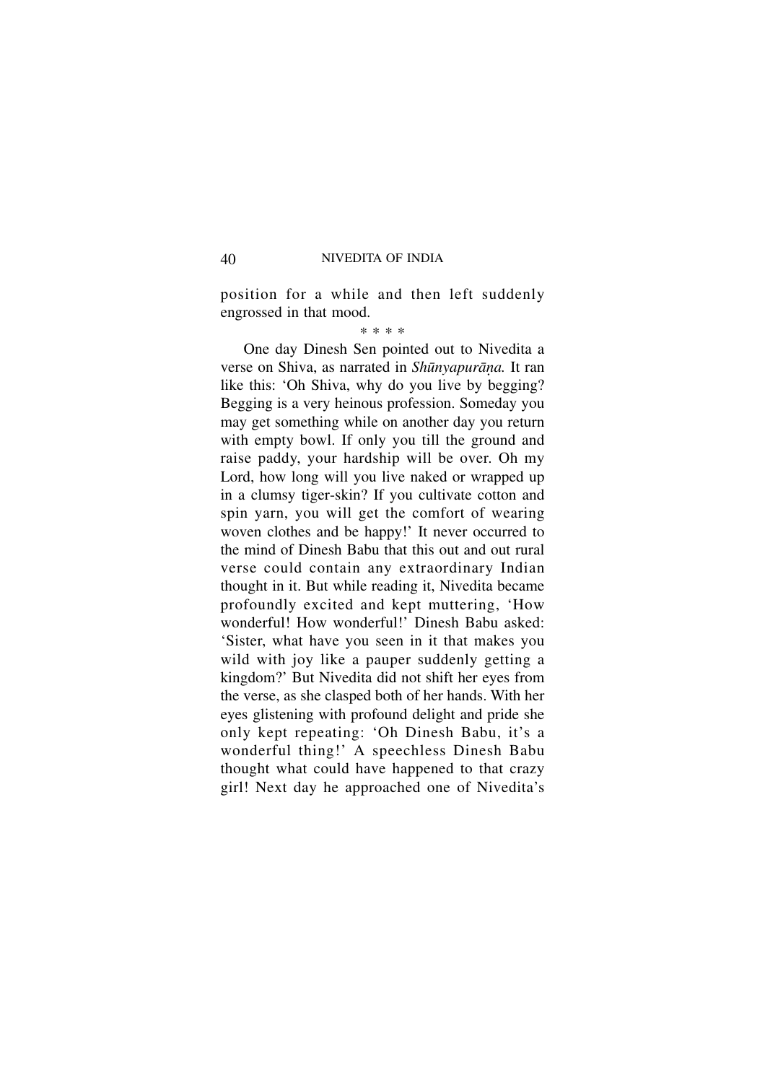position for a while and then left suddenly engrossed in that mood.

\* \* \* \*

One day Dinesh Sen pointed out to Nivedita a verse on Shiva, as narrated in *Sh*å*nyapur*àõ*a.* It ran like this: 'Oh Shiva, why do you live by begging? Begging is a very heinous profession. Someday you may get something while on another day you return with empty bowl. If only you till the ground and raise paddy, your hardship will be over. Oh my Lord, how long will you live naked or wrapped up in a clumsy tiger-skin? If you cultivate cotton and spin yarn, you will get the comfort of wearing woven clothes and be happy!' It never occurred to the mind of Dinesh Babu that this out and out rural verse could contain any extraordinary Indian thought in it. But while reading it, Nivedita became profoundly excited and kept muttering, 'How wonderful! How wonderful!' Dinesh Babu asked: 'Sister, what have you seen in it that makes you wild with joy like a pauper suddenly getting a kingdom?' But Nivedita did not shift her eyes from the verse, as she clasped both of her hands. With her eyes glistening with profound delight and pride she only kept repeating: 'Oh Dinesh Babu, it's a wonderful thing!' A speechless Dinesh Babu thought what could have happened to that crazy girl! Next day he approached one of Nivedita's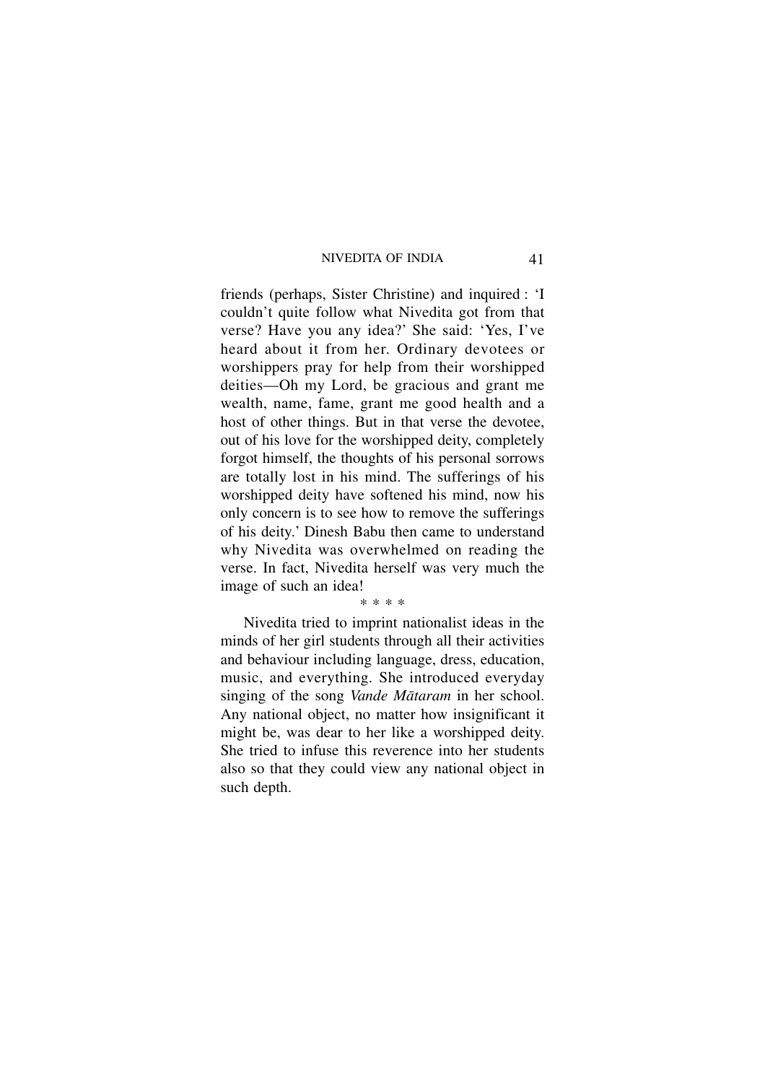friends (perhaps, Sister Christine) and inquired : 'I couldn't quite follow what Nivedita got from that verse? Have you any idea?' She said: 'Yes, I've heard about it from her. Ordinary devotees or worshippers pray for help from their worshipped deities—Oh my Lord, be gracious and grant me wealth, name, fame, grant me good health and a host of other things. But in that verse the devotee, out of his love for the worshipped deity, completely forgot himself, the thoughts of his personal sorrows are totally lost in his mind. The sufferings of his worshipped deity have softened his mind, now his only concern is to see how to remove the sufferings of his deity.' Dinesh Babu then came to understand why Nivedita was overwhelmed on reading the verse. In fact, Nivedita herself was very much the image of such an idea!

\* \* \* \*

Nivedita tried to imprint nationalist ideas in the minds of her girl students through all their activities and behaviour including language, dress, education, music, and everything. She introduced everyday singing of the song *Vande M*à*taram* in her school. Any national object, no matter how insignificant it might be, was dear to her like a worshipped deity. She tried to infuse this reverence into her students also so that they could view any national object in such depth.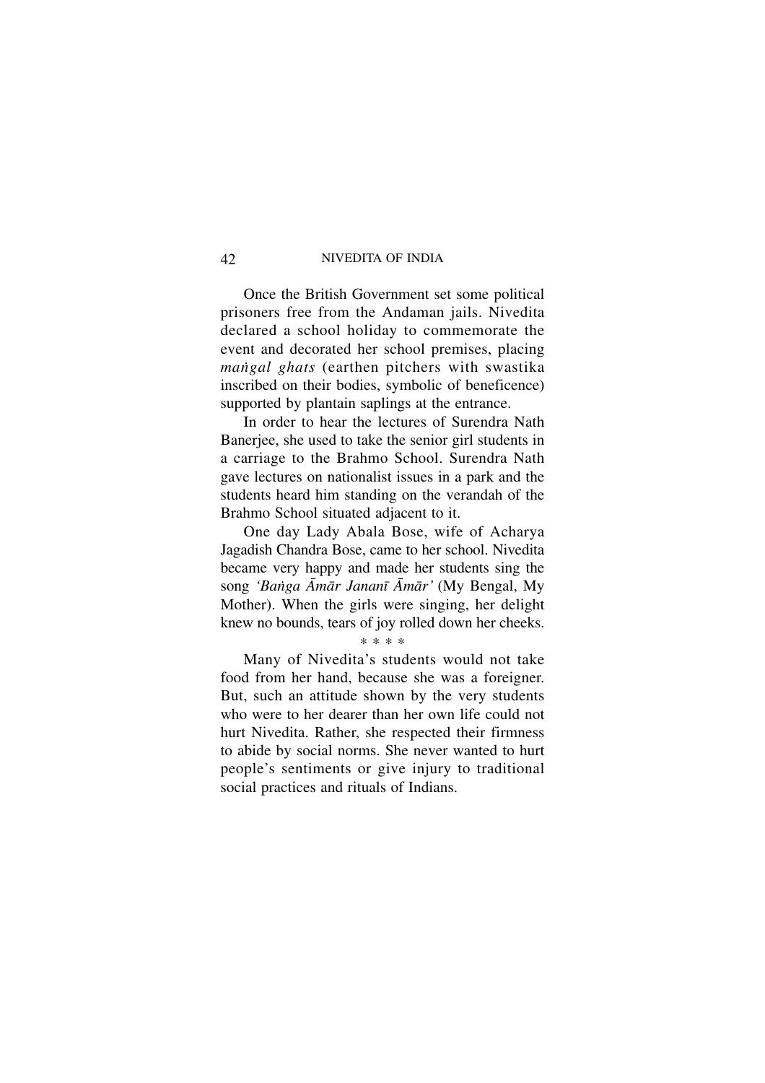Once the British Government set some political prisoners free from the Andaman jails. Nivedita declared a school holiday to commemorate the event and decorated her school premises, placing *ma*ï*gal ghats* (earthen pitchers with swastika inscribed on their bodies, symbolic of beneficence) supported by plantain saplings at the entrance.

In order to hear the lectures of Surendra Nath Banerjee, she used to take the senior girl students in a carriage to the Brahmo School. Surendra Nath gave lectures on nationalist issues in a park and the students heard him standing on the verandah of the Brahmo School situated adjacent to it.

One day Lady Abala Bose, wife of Acharya Jagadish Chandra Bose, came to her school. Nivedita became very happy and made her students sing the song *'Ba*ï*ga* â*m*à*r Janan*ã â*m*à*r'* (My Bengal, My Mother). When the girls were singing, her delight knew no bounds, tears of joy rolled down her cheeks.

# \* \* \* \*

Many of Nivedita's students would not take food from her hand, because she was a foreigner. But, such an attitude shown by the very students who were to her dearer than her own life could not hurt Nivedita. Rather, she respected their firmness to abide by social norms. She never wanted to hurt people's sentiments or give injury to traditional social practices and rituals of Indians.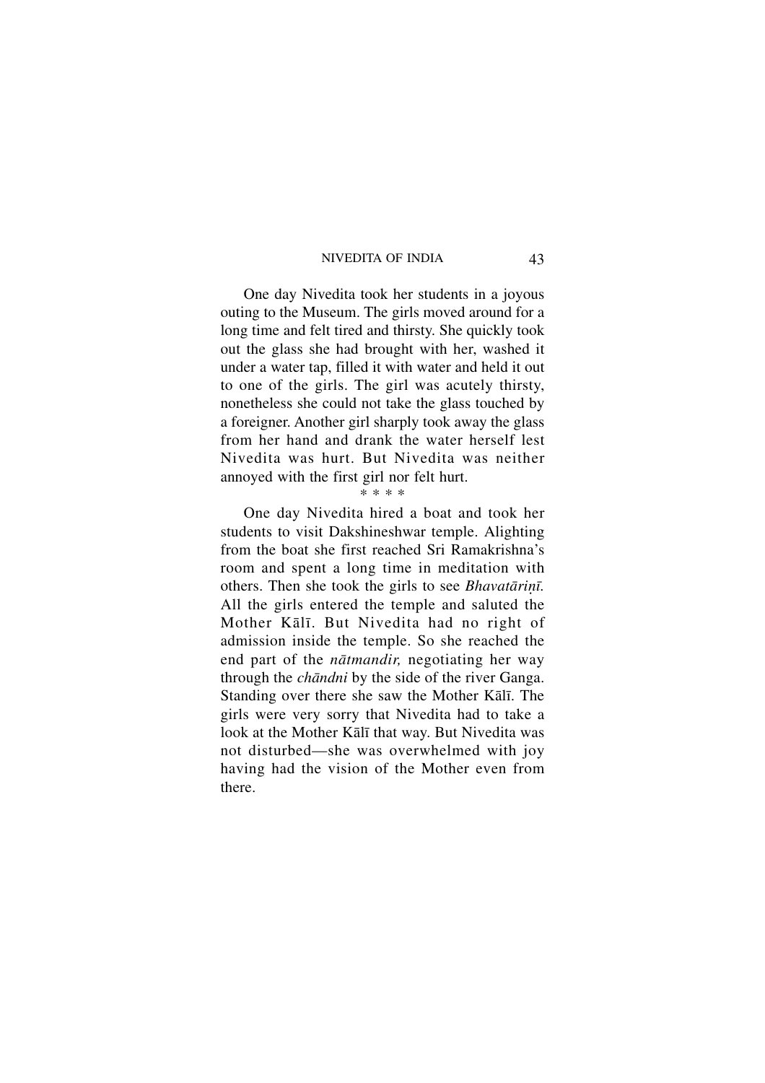One day Nivedita took her students in a joyous outing to the Museum. The girls moved around for a long time and felt tired and thirsty. She quickly took out the glass she had brought with her, washed it under a water tap, filled it with water and held it out to one of the girls. The girl was acutely thirsty, nonetheless she could not take the glass touched by a foreigner. Another girl sharply took away the glass from her hand and drank the water herself lest Nivedita was hurt. But Nivedita was neither annoyed with the first girl nor felt hurt.

#### \* \* \* \*

One day Nivedita hired a boat and took her students to visit Dakshineshwar temple. Alighting from the boat she first reached Sri Ramakrishna's room and spent a long time in meditation with others. Then she took the girls to see *Bhavat*à*ri*õã*.* All the girls entered the temple and saluted the Mother Kàlã. But Nivedita had no right of admission inside the temple. So she reached the end part of the *n*à*tmandir,* negotiating her way through the *ch*à*ndn*i by the side of the river Ganga. Standing over there she saw the Mother Kàlã. The girls were very sorry that Nivedita had to take a look at the Mother Kālī that way. But Nivedita was not disturbed—she was overwhelmed with joy having had the vision of the Mother even from there.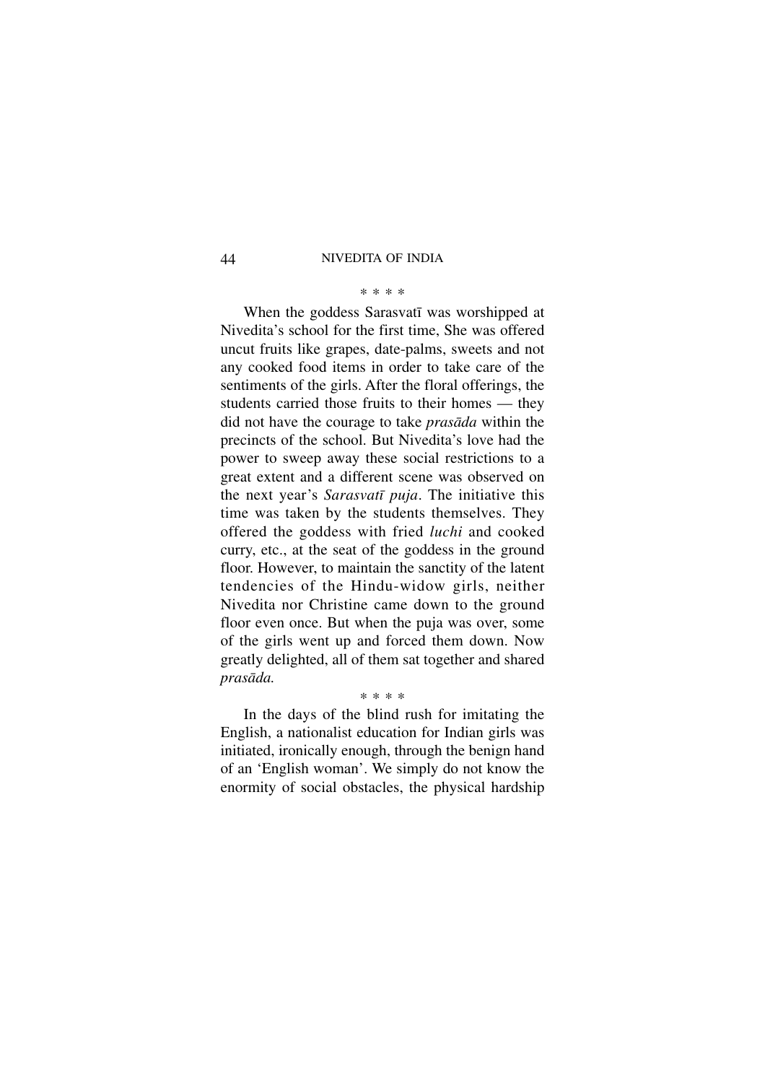# \* \* \* \*

When the goddess Sarasvatã was worshipped at Nivedita's school for the first time, She was offered uncut fruits like grapes, date-palms, sweets and not any cooked food items in order to take care of the sentiments of the girls. After the floral offerings, the students carried those fruits to their homes — they did not have the courage to take *pras*à*da* within the precincts of the school. But Nivedita's love had the power to sweep away these social restrictions to a great extent and a different scene was observed on the next year's *Sarasvat*ã *puja*. The initiative this time was taken by the students themselves. They offered the goddess with fried *luchi* and cooked curry, etc., at the seat of the goddess in the ground floor. However, to maintain the sanctity of the latent tendencies of the Hindu-widow girls, neither Nivedita nor Christine came down to the ground floor even once. But when the puja was over, some of the girls went up and forced them down. Now greatly delighted, all of them sat together and shared *pras*à*da.*

# \* \* \* \*

In the days of the blind rush for imitating the English, a nationalist education for Indian girls was initiated, ironically enough, through the benign hand of an 'English woman'. We simply do not know the enormity of social obstacles, the physical hardship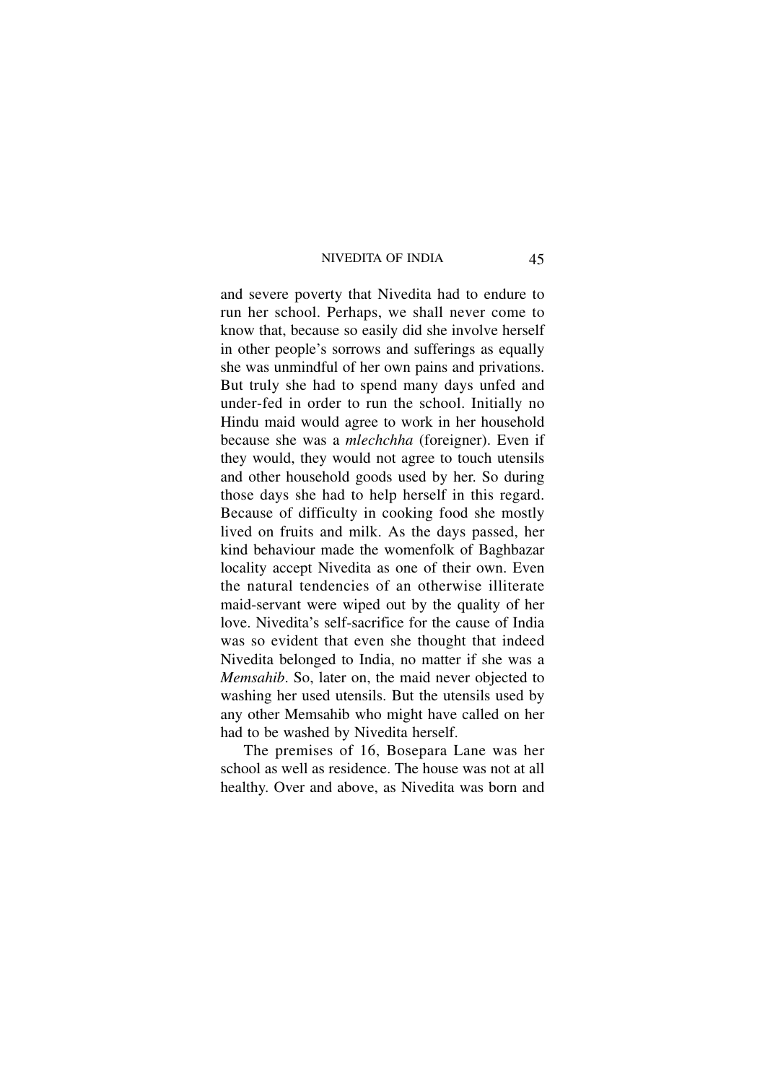and severe poverty that Nivedita had to endure to run her school. Perhaps, we shall never come to know that, because so easily did she involve herself in other people's sorrows and sufferings as equally she was unmindful of her own pains and privations. But truly she had to spend many days unfed and under-fed in order to run the school. Initially no Hindu maid would agree to work in her household because she was a *mlechchha* (foreigner). Even if they would, they would not agree to touch utensils and other household goods used by her. So during those days she had to help herself in this regard. Because of difficulty in cooking food she mostly lived on fruits and milk. As the days passed, her kind behaviour made the womenfolk of Baghbazar locality accept Nivedita as one of their own. Even the natural tendencies of an otherwise illiterate maid-servant were wiped out by the quality of her love. Nivedita's self-sacrifice for the cause of India was so evident that even she thought that indeed Nivedita belonged to India, no matter if she was a *Memsahib*. So, later on, the maid never objected to washing her used utensils. But the utensils used by any other Memsahib who might have called on her had to be washed by Nivedita herself.

The premises of 16, Bosepara Lane was her school as well as residence. The house was not at all healthy. Over and above, as Nivedita was born and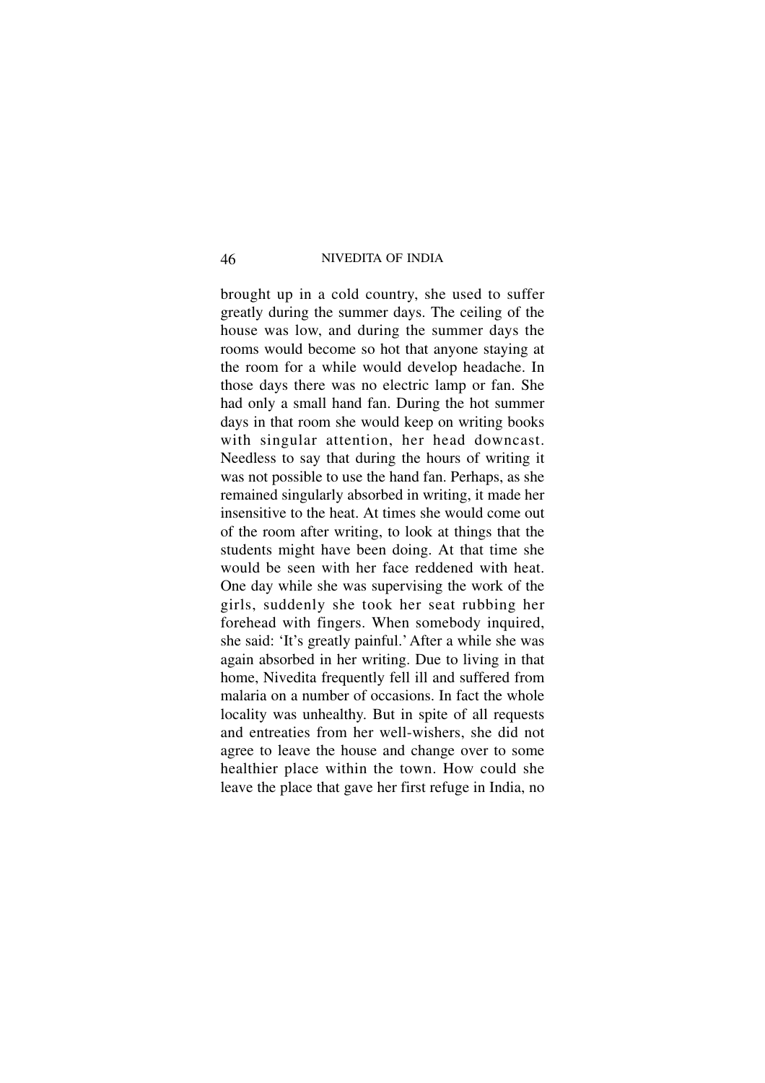brought up in a cold country, she used to suffer greatly during the summer days. The ceiling of the house was low, and during the summer days the rooms would become so hot that anyone staying at the room for a while would develop headache. In those days there was no electric lamp or fan. She had only a small hand fan. During the hot summer days in that room she would keep on writing books with singular attention, her head downcast. Needless to say that during the hours of writing it was not possible to use the hand fan. Perhaps, as she remained singularly absorbed in writing, it made her insensitive to the heat. At times she would come out of the room after writing, to look at things that the students might have been doing. At that time she would be seen with her face reddened with heat. One day while she was supervising the work of the girls, suddenly she took her seat rubbing her forehead with fingers. When somebody inquired, she said: 'It's greatly painful.'After a while she was again absorbed in her writing. Due to living in that home, Nivedita frequently fell ill and suffered from malaria on a number of occasions. In fact the whole locality was unhealthy. But in spite of all requests and entreaties from her well-wishers, she did not agree to leave the house and change over to some healthier place within the town. How could she leave the place that gave her first refuge in India, no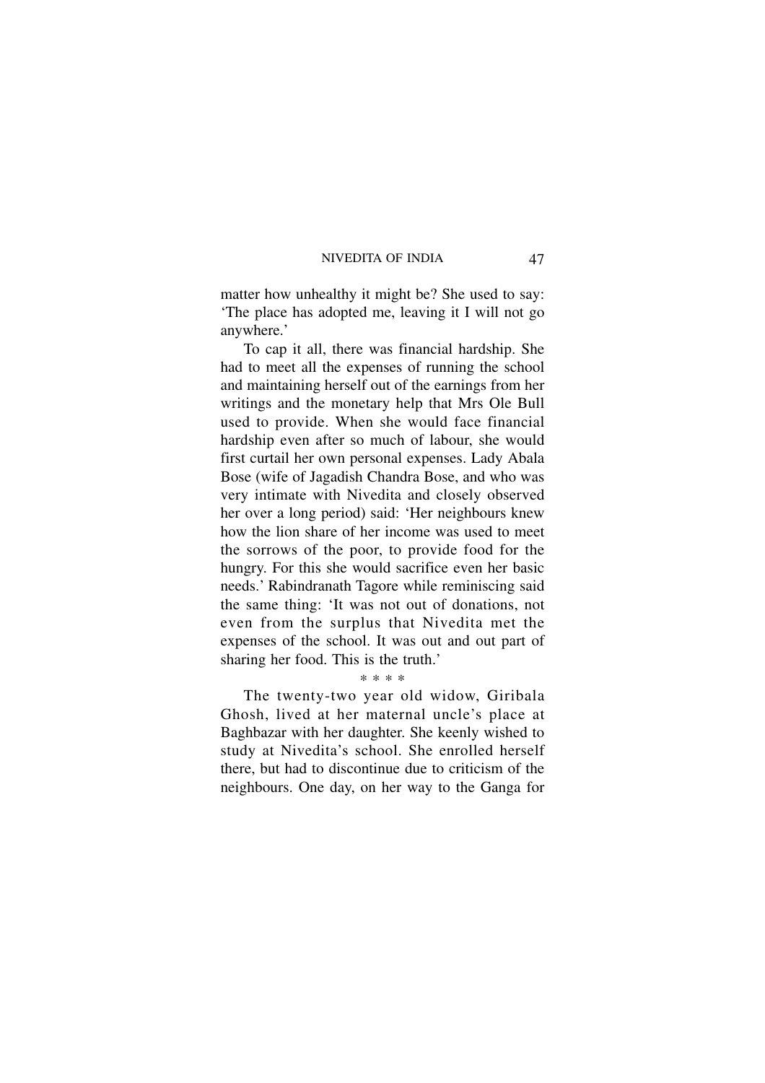matter how unhealthy it might be? She used to say: 'The place has adopted me, leaving it I will not go anywhere.'

To cap it all, there was financial hardship. She had to meet all the expenses of running the school and maintaining herself out of the earnings from her writings and the monetary help that Mrs Ole Bull used to provide. When she would face financial hardship even after so much of labour, she would first curtail her own personal expenses. Lady Abala Bose (wife of Jagadish Chandra Bose, and who was very intimate with Nivedita and closely observed her over a long period) said: 'Her neighbours knew how the lion share of her income was used to meet the sorrows of the poor, to provide food for the hungry. For this she would sacrifice even her basic needs.' Rabindranath Tagore while reminiscing said the same thing: 'It was not out of donations, not even from the surplus that Nivedita met the expenses of the school. It was out and out part of sharing her food. This is the truth.'

\* \* \* \*

The twenty-two year old widow, Giribala Ghosh, lived at her maternal uncle's place at Baghbazar with her daughter. She keenly wished to study at Nivedita's school. She enrolled herself there, but had to discontinue due to criticism of the neighbours. One day, on her way to the Ganga for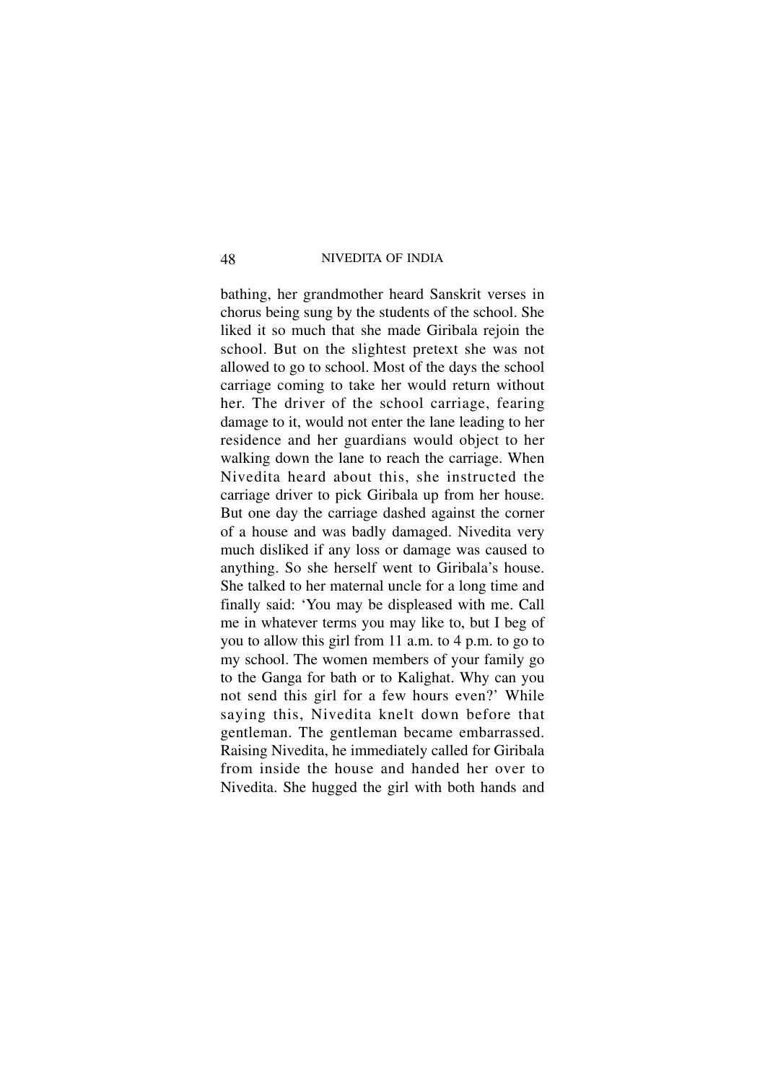bathing, her grandmother heard Sanskrit verses in chorus being sung by the students of the school. She liked it so much that she made Giribala rejoin the school. But on the slightest pretext she was not allowed to go to school. Most of the days the school carriage coming to take her would return without her. The driver of the school carriage, fearing damage to it, would not enter the lane leading to her residence and her guardians would object to her walking down the lane to reach the carriage. When Nivedita heard about this, she instructed the carriage driver to pick Giribala up from her house. But one day the carriage dashed against the corner of a house and was badly damaged. Nivedita very much disliked if any loss or damage was caused to anything. So she herself went to Giribala's house. She talked to her maternal uncle for a long time and finally said: 'You may be displeased with me. Call me in whatever terms you may like to, but I beg of you to allow this girl from 11 a.m. to 4 p.m. to go to my school. The women members of your family go to the Ganga for bath or to Kalighat. Why can you not send this girl for a few hours even?' While saying this, Nivedita knelt down before that gentleman. The gentleman became embarrassed. Raising Nivedita, he immediately called for Giribala from inside the house and handed her over to Nivedita. She hugged the girl with both hands and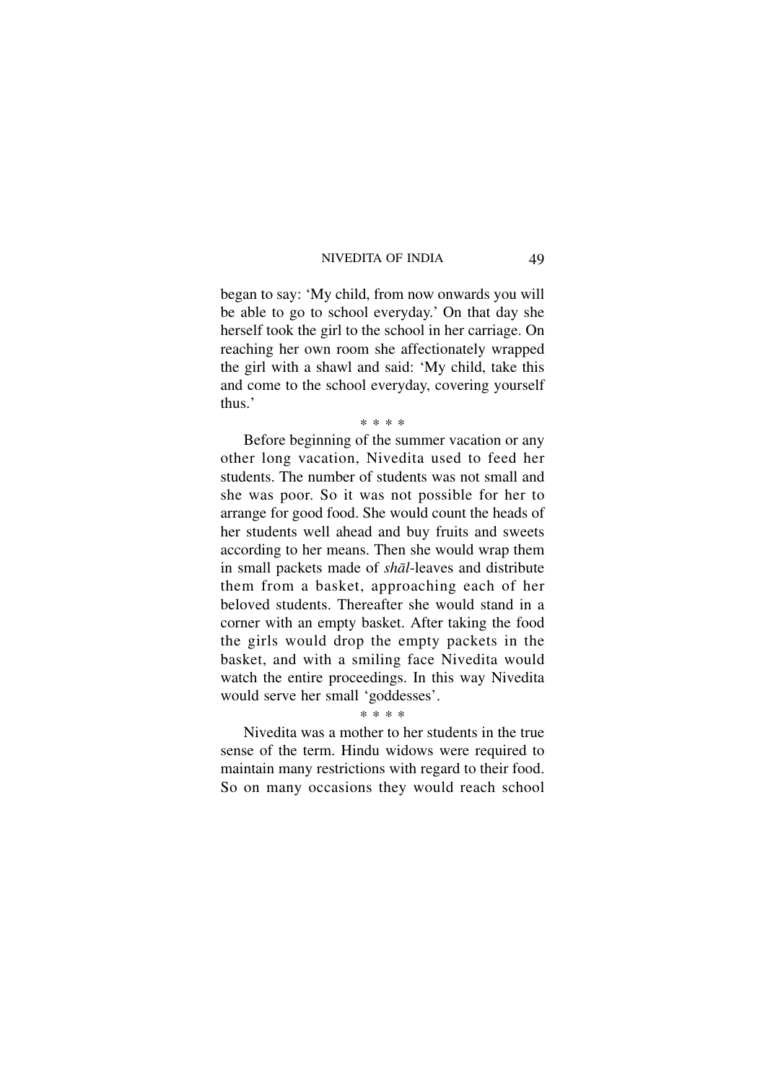began to say: 'My child, from now onwards you will be able to go to school everyday.' On that day she herself took the girl to the school in her carriage. On reaching her own room she affectionately wrapped the girl with a shawl and said: 'My child, take this and come to the school everyday, covering yourself thus.'

## \* \* \* \*

Before beginning of the summer vacation or any other long vacation, Nivedita used to feed her students. The number of students was not small and she was poor. So it was not possible for her to arrange for good food. She would count the heads of her students well ahead and buy fruits and sweets according to her means. Then she would wrap them in small packets made of *sh*à*l*-leaves and distribute them from a basket, approaching each of her beloved students. Thereafter she would stand in a corner with an empty basket. After taking the food the girls would drop the empty packets in the basket, and with a smiling face Nivedita would watch the entire proceedings. In this way Nivedita would serve her small 'goddesses'.

Nivedita was a mother to her students in the true sense of the term. Hindu widows were required to maintain many restrictions with regard to their food. So on many occasions they would reach school

\* \* \* \*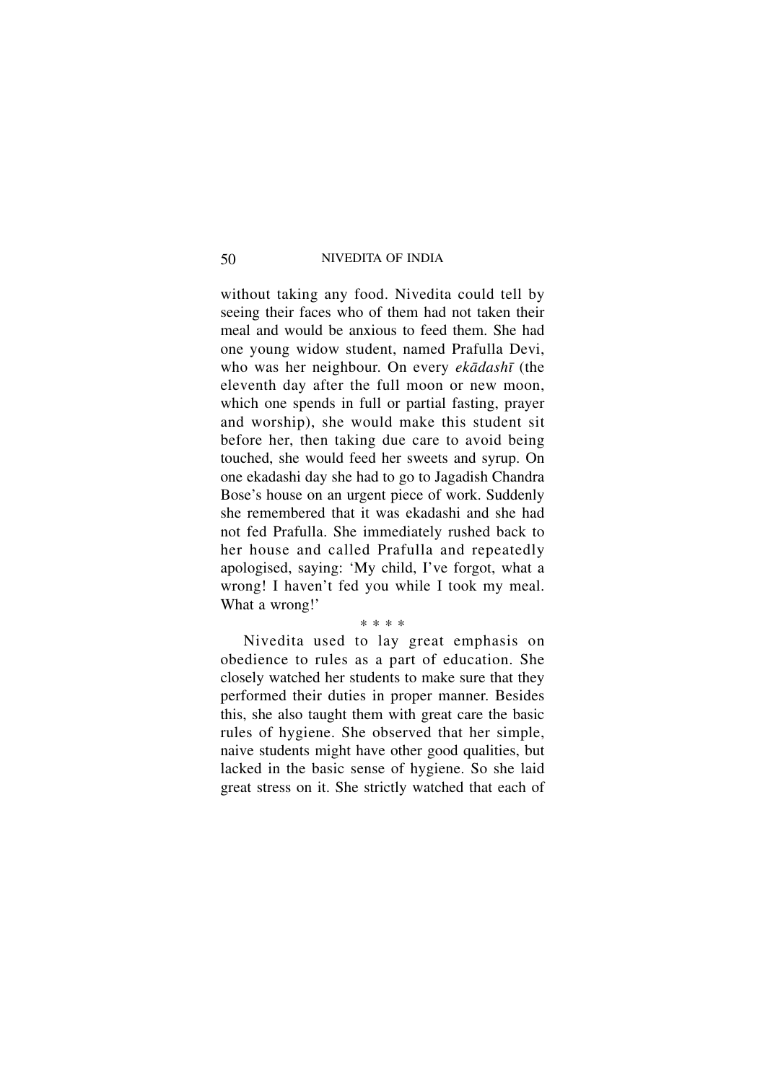without taking any food. Nivedita could tell by seeing their faces who of them had not taken their meal and would be anxious to feed them. She had one young widow student, named Prafulla Devi, who was her neighbour. On every *ek*à*dash*ã (the eleventh day after the full moon or new moon, which one spends in full or partial fasting, prayer and worship), she would make this student sit before her, then taking due care to avoid being touched, she would feed her sweets and syrup. On one ekadashi day she had to go to Jagadish Chandra Bose's house on an urgent piece of work. Suddenly she remembered that it was ekadashi and she had not fed Prafulla. She immediately rushed back to her house and called Prafulla and repeatedly apologised, saying: 'My child, I've forgot, what a wrong! I haven't fed you while I took my meal. What a wrong!'

#### \* \* \* \*

Nivedita used to lay great emphasis on obedience to rules as a part of education. She closely watched her students to make sure that they performed their duties in proper manner. Besides this, she also taught them with great care the basic rules of hygiene. She observed that her simple, naive students might have other good qualities, but lacked in the basic sense of hygiene. So she laid great stress on it. She strictly watched that each of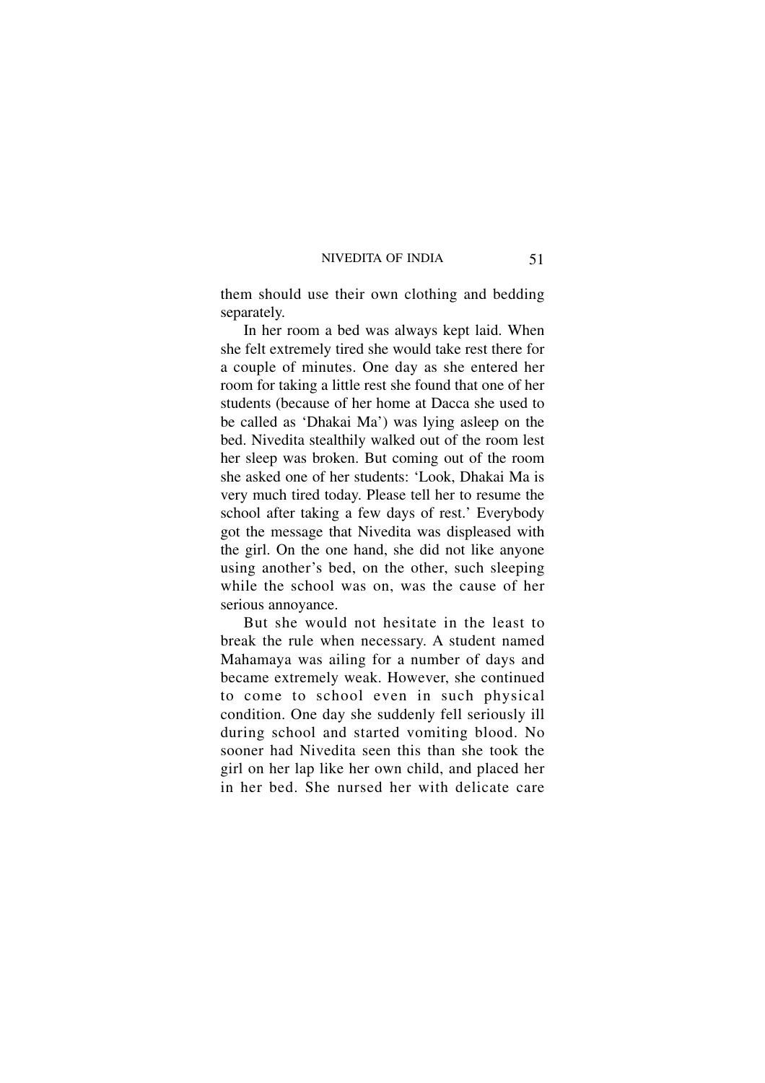them should use their own clothing and bedding separately.

In her room a bed was always kept laid. When she felt extremely tired she would take rest there for a couple of minutes. One day as she entered her room for taking a little rest she found that one of her students (because of her home at Dacca she used to be called as 'Dhakai Ma') was lying asleep on the bed. Nivedita stealthily walked out of the room lest her sleep was broken. But coming out of the room she asked one of her students: 'Look, Dhakai Ma is very much tired today. Please tell her to resume the school after taking a few days of rest.' Everybody got the message that Nivedita was displeased with the girl. On the one hand, she did not like anyone using another's bed, on the other, such sleeping while the school was on, was the cause of her serious annoyance.

But she would not hesitate in the least to break the rule when necessary. A student named Mahamaya was ailing for a number of days and became extremely weak. However, she continued to come to school even in such physical condition. One day she suddenly fell seriously ill during school and started vomiting blood. No sooner had Nivedita seen this than she took the girl on her lap like her own child, and placed her in her bed. She nursed her with delicate care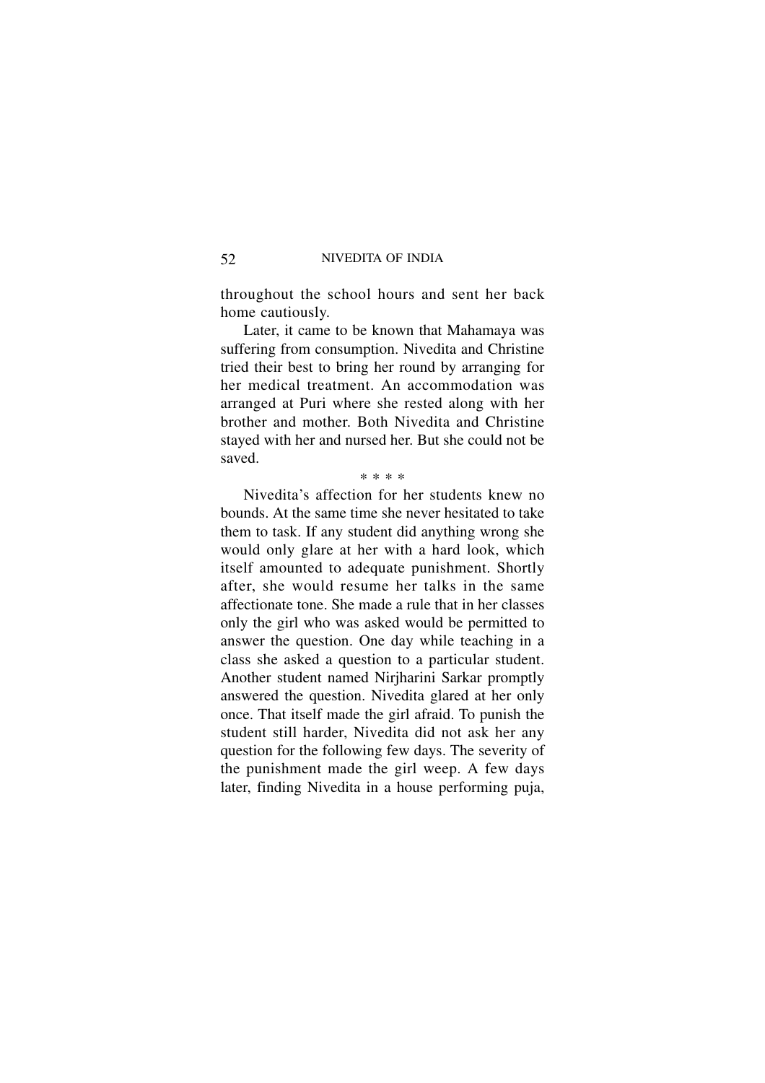throughout the school hours and sent her back home cautiously.

Later, it came to be known that Mahamaya was suffering from consumption. Nivedita and Christine tried their best to bring her round by arranging for her medical treatment. An accommodation was arranged at Puri where she rested along with her brother and mother. Both Nivedita and Christine stayed with her and nursed her. But she could not be saved.

## \* \* \* \*

Nivedita's affection for her students knew no bounds. At the same time she never hesitated to take them to task. If any student did anything wrong she would only glare at her with a hard look, which itself amounted to adequate punishment. Shortly after, she would resume her talks in the same affectionate tone. She made a rule that in her classes only the girl who was asked would be permitted to answer the question. One day while teaching in a class she asked a question to a particular student. Another student named Nirjharini Sarkar promptly answered the question. Nivedita glared at her only once. That itself made the girl afraid. To punish the student still harder, Nivedita did not ask her any question for the following few days. The severity of the punishment made the girl weep. A few days later, finding Nivedita in a house performing puja,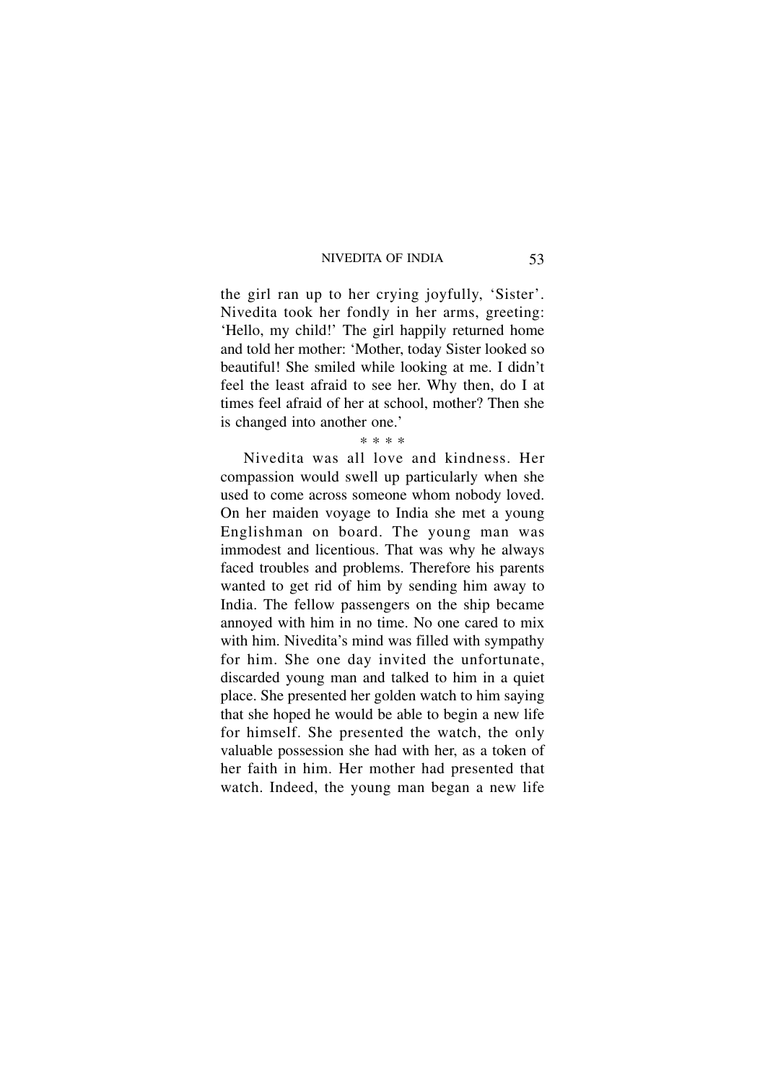the girl ran up to her crying joyfully, 'Sister'. Nivedita took her fondly in her arms, greeting: 'Hello, my child!' The girl happily returned home and told her mother: 'Mother, today Sister looked so beautiful! She smiled while looking at me. I didn't feel the least afraid to see her. Why then, do I at times feel afraid of her at school, mother? Then she is changed into another one.'

\* \* \* \*

Nivedita was all love and kindness. Her compassion would swell up particularly when she used to come across someone whom nobody loved. On her maiden voyage to India she met a young Englishman on board. The young man was immodest and licentious. That was why he always faced troubles and problems. Therefore his parents wanted to get rid of him by sending him away to India. The fellow passengers on the ship became annoyed with him in no time. No one cared to mix with him. Nivedita's mind was filled with sympathy for him. She one day invited the unfortunate, discarded young man and talked to him in a quiet place. She presented her golden watch to him saying that she hoped he would be able to begin a new life for himself. She presented the watch, the only valuable possession she had with her, as a token of her faith in him. Her mother had presented that watch. Indeed, the young man began a new life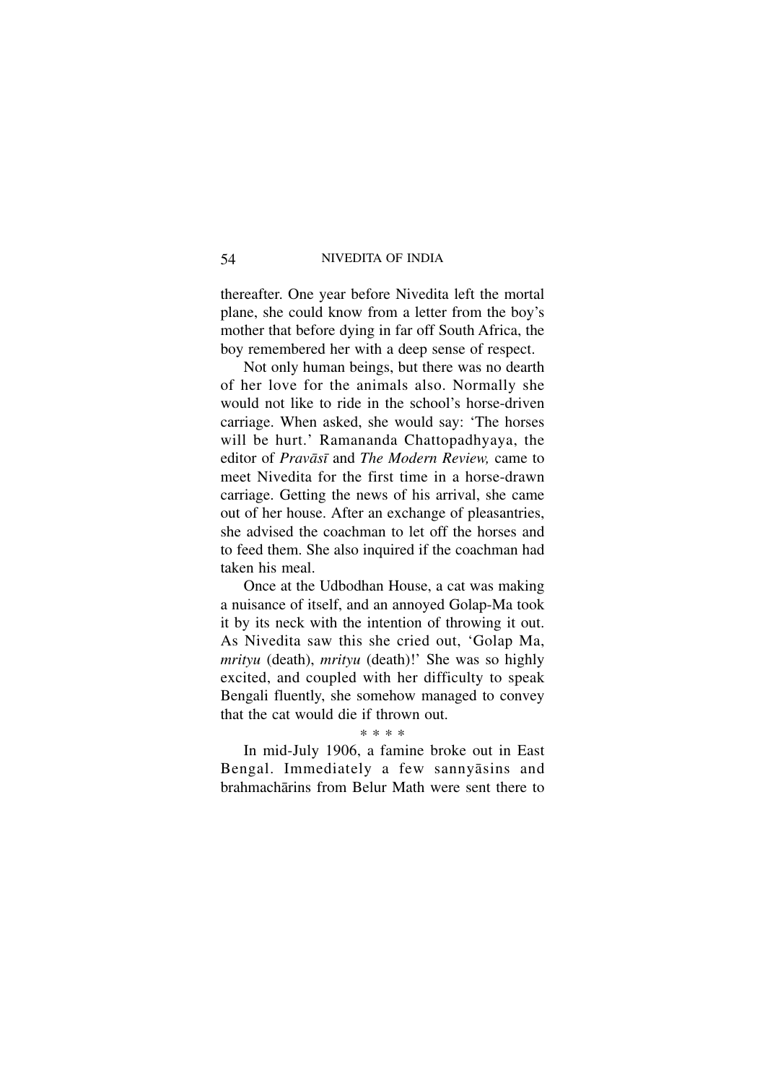thereafter. One year before Nivedita left the mortal plane, she could know from a letter from the boy's mother that before dying in far off South Africa, the boy remembered her with a deep sense of respect.

Not only human beings, but there was no dearth of her love for the animals also. Normally she would not like to ride in the school's horse-driven carriage. When asked, she would say: 'The horses will be hurt.' Ramananda Chattopadhyaya, the editor of *Pr*a*v*à*s*ã and *The Modern Review,* came to meet Nivedita for the first time in a horse-drawn carriage. Getting the news of his arrival, she came out of her house. After an exchange of pleasantries, she advised the coachman to let off the horses and to feed them. She also inquired if the coachman had taken his meal.

Once at the Udbodhan House, a cat was making a nuisance of itself, and an annoyed Golap-Ma took it by its neck with the intention of throwing it out. As Nivedita saw this she cried out, 'Golap Ma, *mrityu* (death), *mrityu* (death)!' She was so highly excited, and coupled with her difficulty to speak Bengali fluently, she somehow managed to convey that the cat would die if thrown out.

#### \* \* \* \*

In mid-July 1906, a famine broke out in East Bengal. Immediately a few sannyàsins and brahmachàrins from Belur Math were sent there to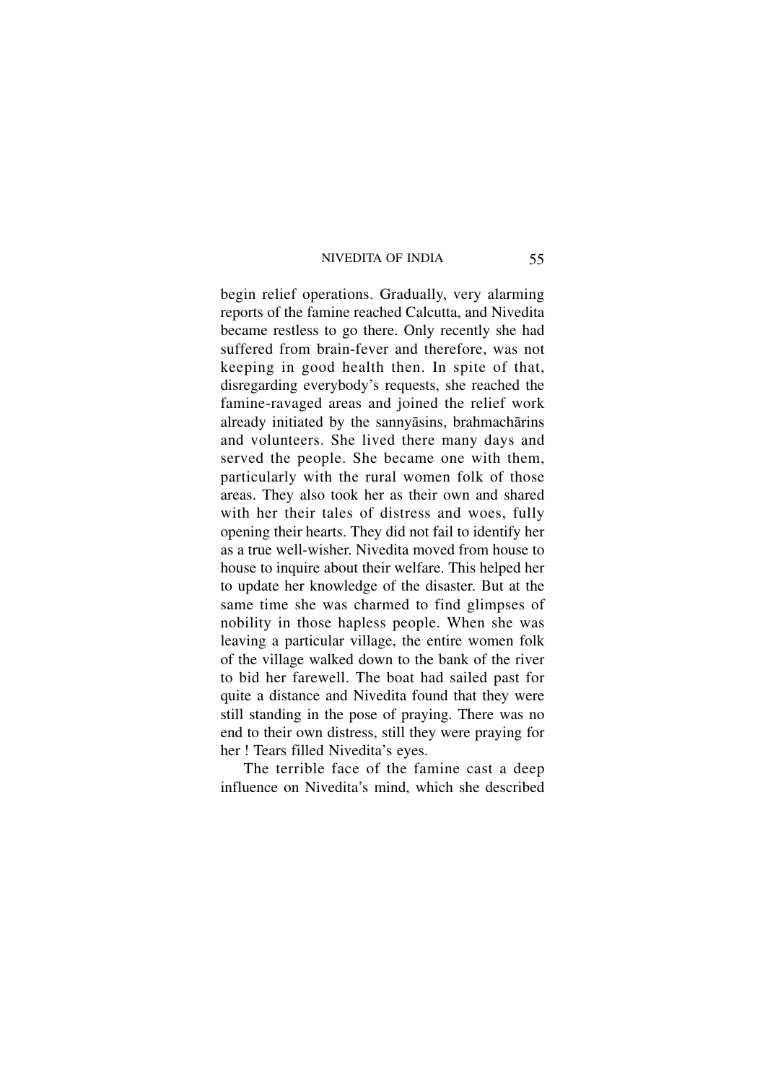begin relief operations. Gradually, very alarming reports of the famine reached Calcutta, and Nivedita became restless to go there. Only recently she had suffered from brain-fever and therefore, was not keeping in good health then. In spite of that, disregarding everybody's requests, she reached the famine-ravaged areas and joined the relief work already initiated by the sannyàsins, brahmachàrins and volunteers. She lived there many days and served the people. She became one with them, particularly with the rural women folk of those areas. They also took her as their own and shared with her their tales of distress and woes, fully opening their hearts. They did not fail to identify her as a true well-wisher. Nivedita moved from house to house to inquire about their welfare. This helped her to update her knowledge of the disaster. But at the same time she was charmed to find glimpses of nobility in those hapless people. When she was leaving a particular village, the entire women folk of the village walked down to the bank of the river to bid her farewell. The boat had sailed past for quite a distance and Nivedita found that they were still standing in the pose of praying. There was no end to their own distress, still they were praying for her ! Tears filled Nivedita's eyes.

The terrible face of the famine cast a deep influence on Nivedita's mind, which she described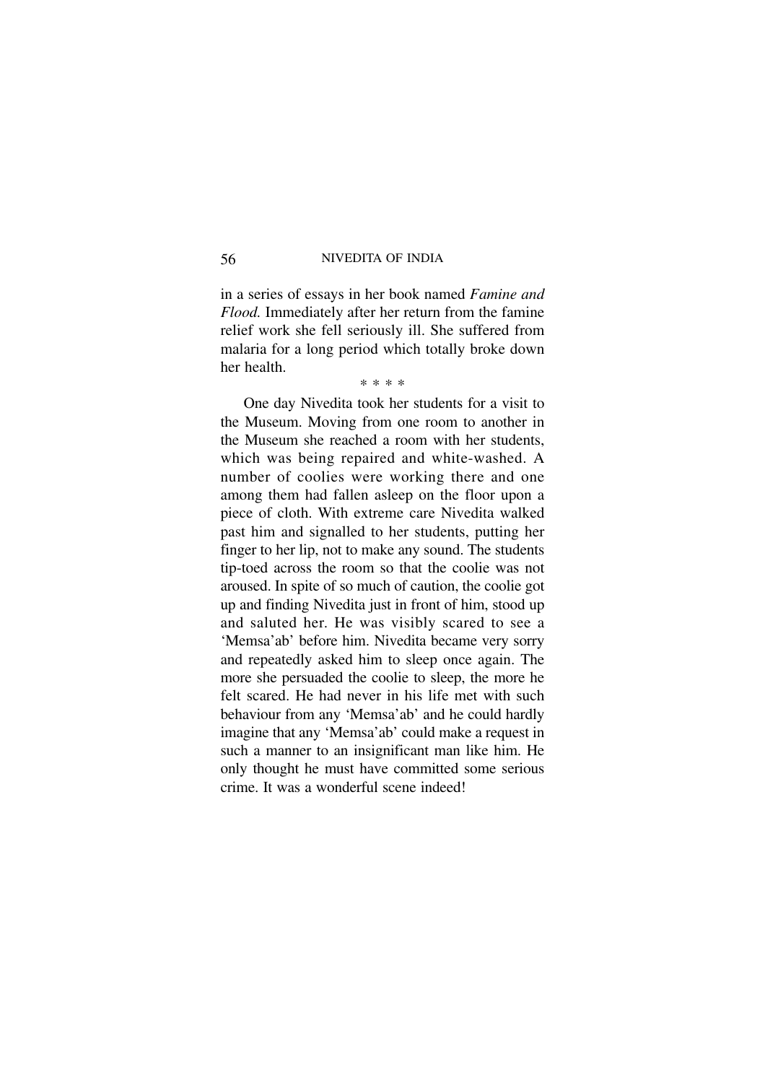in a series of essays in her book named *Famine and Flood.* Immediately after her return from the famine relief work she fell seriously ill. She suffered from malaria for a long period which totally broke down her health.

\* \* \* \*

One day Nivedita took her students for a visit to the Museum. Moving from one room to another in the Museum she reached a room with her students, which was being repaired and white-washed. A number of coolies were working there and one among them had fallen asleep on the floor upon a piece of cloth. With extreme care Nivedita walked past him and signalled to her students, putting her finger to her lip, not to make any sound. The students tip-toed across the room so that the coolie was not aroused. In spite of so much of caution, the coolie got up and finding Nivedita just in front of him, stood up and saluted her. He was visibly scared to see a 'Memsa'ab' before him. Nivedita became very sorry and repeatedly asked him to sleep once again. The more she persuaded the coolie to sleep, the more he felt scared. He had never in his life met with such behaviour from any 'Memsa'ab' and he could hardly imagine that any 'Memsa'ab' could make a request in such a manner to an insignificant man like him. He only thought he must have committed some serious crime. It was a wonderful scene indeed!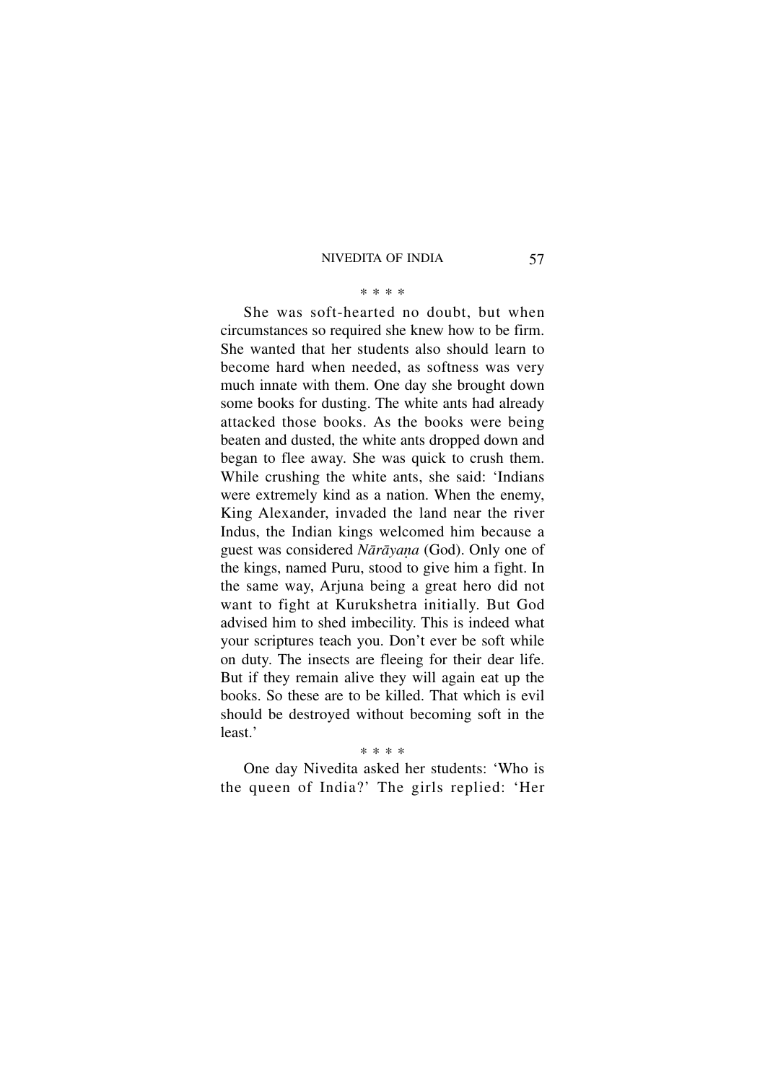# \* \* \* \*

She was soft-hearted no doubt, but when circumstances so required she knew how to be firm. She wanted that her students also should learn to become hard when needed, as softness was very much innate with them. One day she brought down some books for dusting. The white ants had already attacked those books. As the books were being beaten and dusted, the white ants dropped down and began to flee away. She was quick to crush them. While crushing the white ants, she said: 'Indians were extremely kind as a nation. When the enemy, King Alexander, invaded the land near the river Indus, the Indian kings welcomed him because a guest was considered *N*à*r*à*ya*õ*a* (God). Only one of the kings, named Puru, stood to give him a fight. In the same way, Arjuna being a great hero did not want to fight at Kurukshetra initially. But God advised him to shed imbecility. This is indeed what your scriptures teach you. Don't ever be soft while on duty. The insects are fleeing for their dear life. But if they remain alive they will again eat up the books. So these are to be killed. That which is evil should be destroyed without becoming soft in the least.'

# \* \* \* \*

One day Nivedita asked her students: 'Who is the queen of India?' The girls replied: 'Her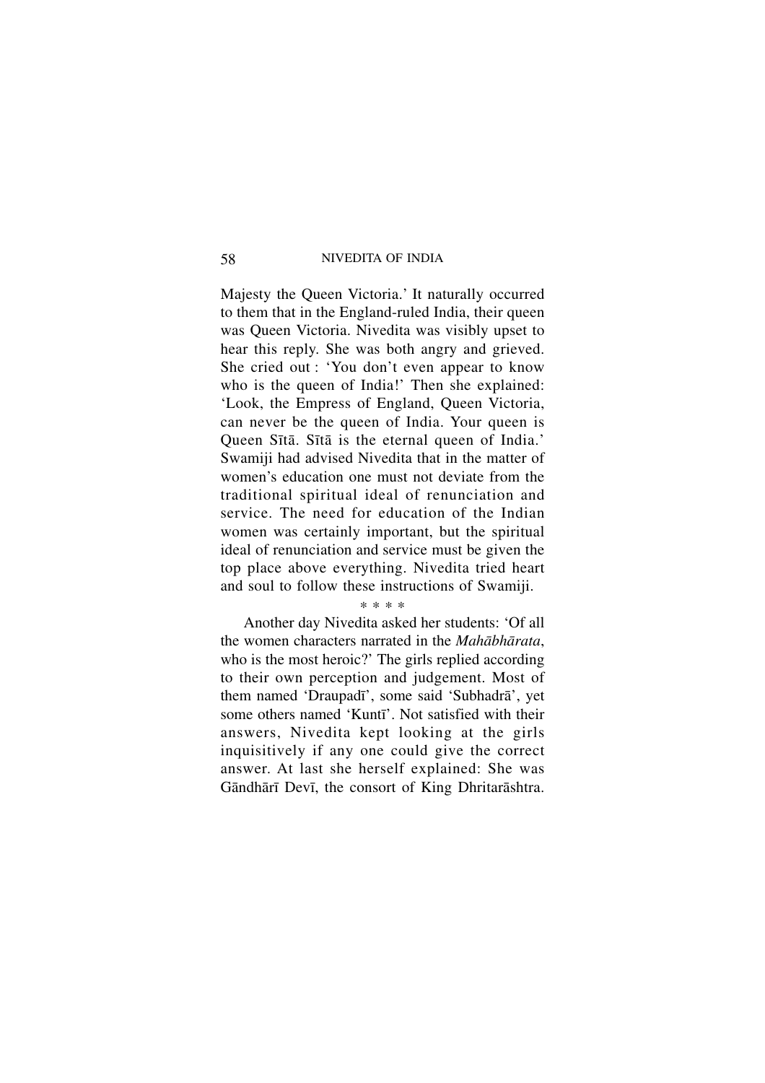Majesty the Queen Victoria.' It naturally occurred to them that in the England-ruled India, their queen was Queen Victoria. Nivedita was visibly upset to hear this reply. She was both angry and grieved. She cried out : 'You don't even appear to know who is the queen of India!' Then she explained: 'Look, the Empress of England, Queen Victoria, can never be the queen of India. Your queen is Queen Sītā. Sītā is the eternal queen of India.' Swamiji had advised Nivedita that in the matter of women's education one must not deviate from the traditional spiritual ideal of renunciation and service. The need for education of the Indian women was certainly important, but the spiritual ideal of renunciation and service must be given the top place above everything. Nivedita tried heart and soul to follow these instructions of Swamiji.

#### \* \* \* \*

Another day Nivedita asked her students: 'Of all the women characters narrated in the *Mah*à*bh*à*rata*, who is the most heroic?' The girls replied according to their own perception and judgement. Most of them named 'Draupadã', some said 'Subhadrà', yet some others named 'Kuntī'. Not satisfied with their answers, Nivedita kept looking at the girls inquisitively if any one could give the correct answer. At last she herself explained: She was Gàndhàrã Devã, the consort of King Dhritaràshtra.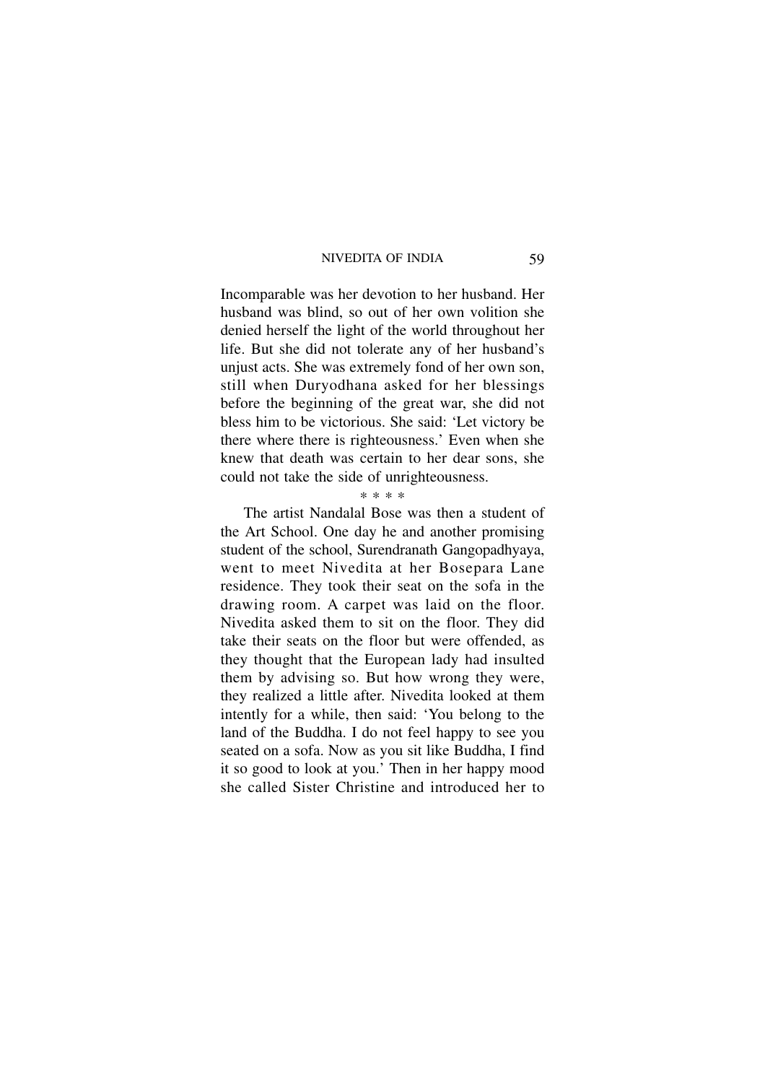Incomparable was her devotion to her husband. Her husband was blind, so out of her own volition she denied herself the light of the world throughout her life. But she did not tolerate any of her husband's unjust acts. She was extremely fond of her own son, still when Duryodhana asked for her blessings before the beginning of the great war, she did not bless him to be victorious. She said: 'Let victory be there where there is righteousness.' Even when she knew that death was certain to her dear sons, she could not take the side of unrighteousness.

#### \* \* \* \*

The artist Nandalal Bose was then a student of the Art School. One day he and another promising student of the school, Surendranath Gangopadhyaya, went to meet Nivedita at her Bosepara Lane residence. They took their seat on the sofa in the drawing room. A carpet was laid on the floor. Nivedita asked them to sit on the floor. They did take their seats on the floor but were offended, as they thought that the European lady had insulted them by advising so. But how wrong they were, they realized a little after. Nivedita looked at them intently for a while, then said: 'You belong to the land of the Buddha. I do not feel happy to see you seated on a sofa. Now as you sit like Buddha, I find it so good to look at you.' Then in her happy mood she called Sister Christine and introduced her to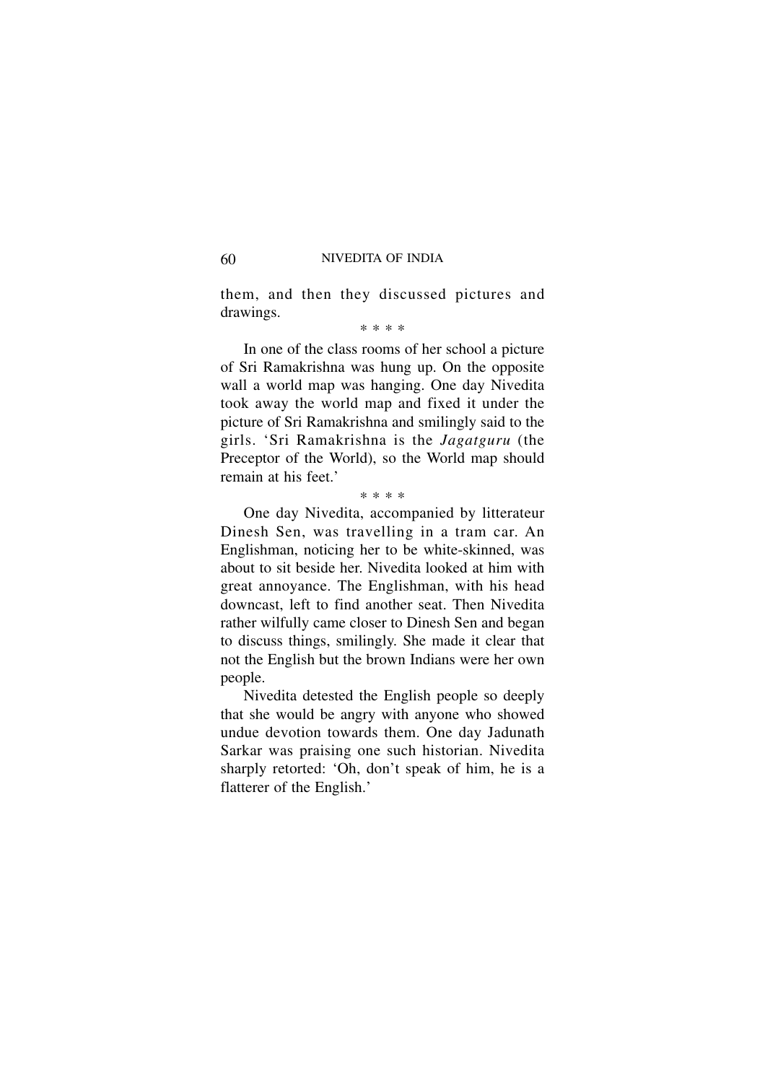them, and then they discussed pictures and drawings.

\* \* \* \*

In one of the class rooms of her school a picture of Sri Ramakrishna was hung up. On the opposite wall a world map was hanging. One day Nivedita took away the world map and fixed it under the picture of Sri Ramakrishna and smilingly said to the girls. 'Sri Ramakrishna is the *Jagatguru* (the Preceptor of the World), so the World map should remain at his feet.'

#### \* \* \* \*

One day Nivedita, accompanied by litterateur Dinesh Sen, was travelling in a tram car. An Englishman, noticing her to be white-skinned, was about to sit beside her. Nivedita looked at him with great annoyance. The Englishman, with his head downcast, left to find another seat. Then Nivedita rather wilfully came closer to Dinesh Sen and began to discuss things, smilingly. She made it clear that not the English but the brown Indians were her own people.

Nivedita detested the English people so deeply that she would be angry with anyone who showed undue devotion towards them. One day Jadunath Sarkar was praising one such historian. Nivedita sharply retorted: 'Oh, don't speak of him, he is a flatterer of the English.'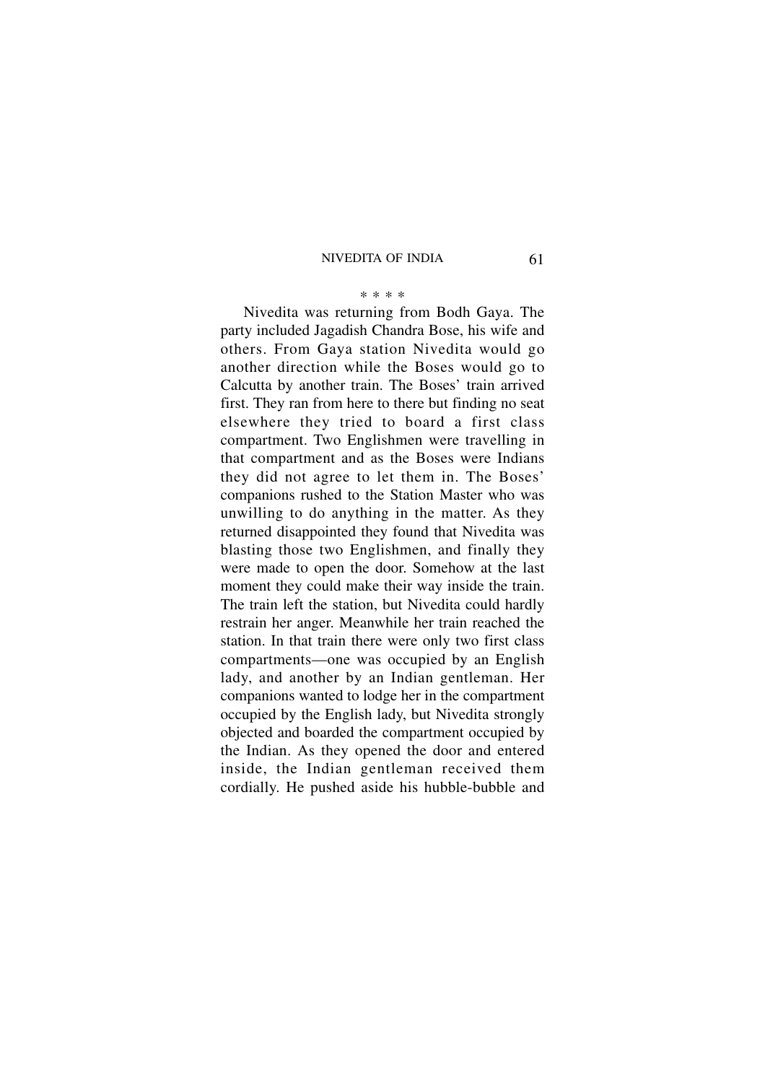# \* \* \* \*

Nivedita was returning from Bodh Gaya. The party included Jagadish Chandra Bose, his wife and others. From Gaya station Nivedita would go another direction while the Boses would go to Calcutta by another train. The Boses' train arrived first. They ran from here to there but finding no seat elsewhere they tried to board a first class compartment. Two Englishmen were travelling in that compartment and as the Boses were Indians they did not agree to let them in. The Boses' companions rushed to the Station Master who was unwilling to do anything in the matter. As they returned disappointed they found that Nivedita was blasting those two Englishmen, and finally they were made to open the door. Somehow at the last moment they could make their way inside the train. The train left the station, but Nivedita could hardly restrain her anger. Meanwhile her train reached the station. In that train there were only two first class compartments—one was occupied by an English lady, and another by an Indian gentleman. Her companions wanted to lodge her in the compartment occupied by the English lady, but Nivedita strongly objected and boarded the compartment occupied by the Indian. As they opened the door and entered inside, the Indian gentleman received them cordially. He pushed aside his hubble-bubble and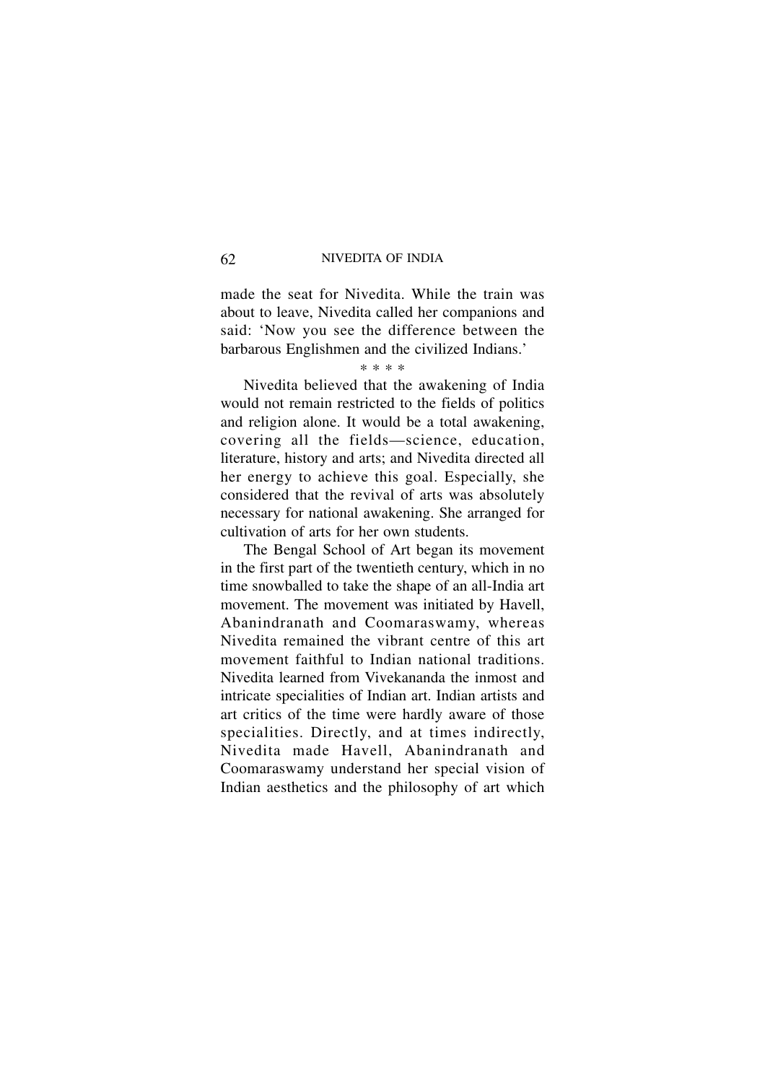made the seat for Nivedita. While the train was about to leave, Nivedita called her companions and said: 'Now you see the difference between the barbarous Englishmen and the civilized Indians.'

\* \* \* \*

Nivedita believed that the awakening of India would not remain restricted to the fields of politics and religion alone. It would be a total awakening, covering all the fields—science, education, literature, history and arts; and Nivedita directed all her energy to achieve this goal. Especially, she considered that the revival of arts was absolutely necessary for national awakening. She arranged for cultivation of arts for her own students.

The Bengal School of Art began its movement in the first part of the twentieth century, which in no time snowballed to take the shape of an all-India art movement. The movement was initiated by Havell, Abanindranath and Coomaraswamy, whereas Nivedita remained the vibrant centre of this art movement faithful to Indian national traditions. Nivedita learned from Vivekananda the inmost and intricate specialities of Indian art. Indian artists and art critics of the time were hardly aware of those specialities. Directly, and at times indirectly, Nivedita made Havell, Abanindranath and Coomaraswamy understand her special vision of Indian aesthetics and the philosophy of art which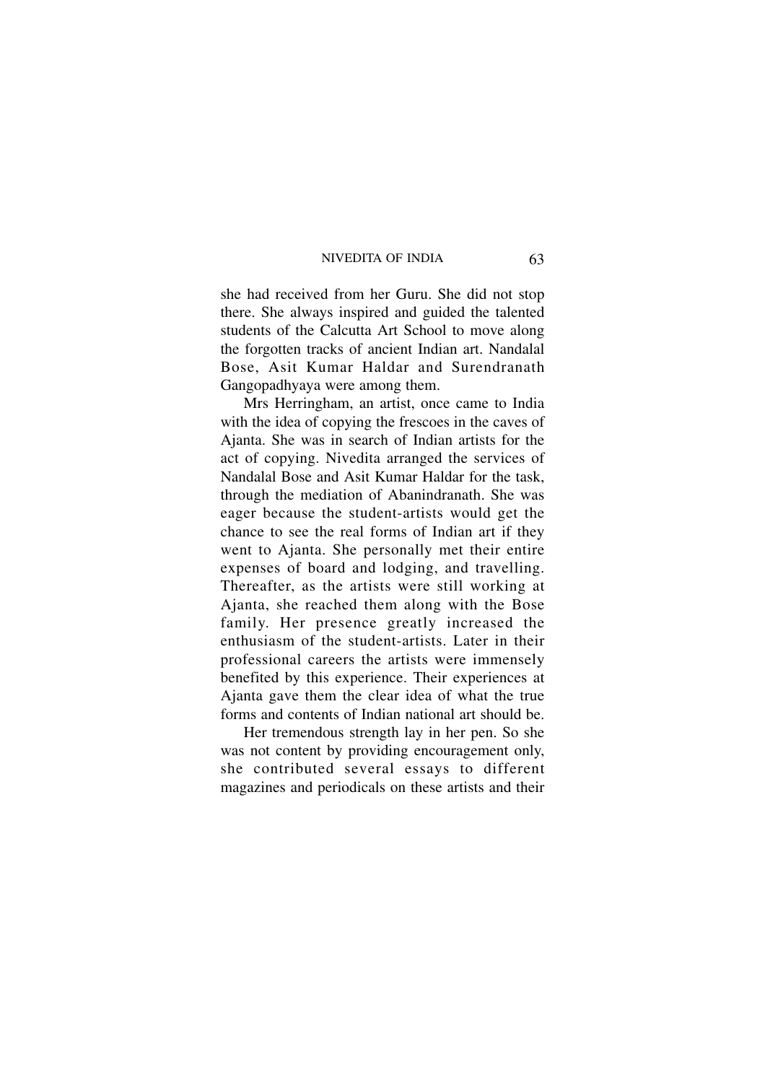she had received from her Guru. She did not stop there. She always inspired and guided the talented students of the Calcutta Art School to move along the forgotten tracks of ancient Indian art. Nandalal Bose, Asit Kumar Haldar and Surendranath Gangopadhyaya were among them.

Mrs Herringham, an artist, once came to India with the idea of copying the frescoes in the caves of Ajanta. She was in search of Indian artists for the act of copying. Nivedita arranged the services of Nandalal Bose and Asit Kumar Haldar for the task, through the mediation of Abanindranath. She was eager because the student-artists would get the chance to see the real forms of Indian art if they went to Ajanta. She personally met their entire expenses of board and lodging, and travelling. Thereafter, as the artists were still working at Ajanta, she reached them along with the Bose family. Her presence greatly increased the enthusiasm of the student-artists. Later in their professional careers the artists were immensely benefited by this experience. Their experiences at Ajanta gave them the clear idea of what the true forms and contents of Indian national art should be.

Her tremendous strength lay in her pen. So she was not content by providing encouragement only, she contributed several essays to different magazines and periodicals on these artists and their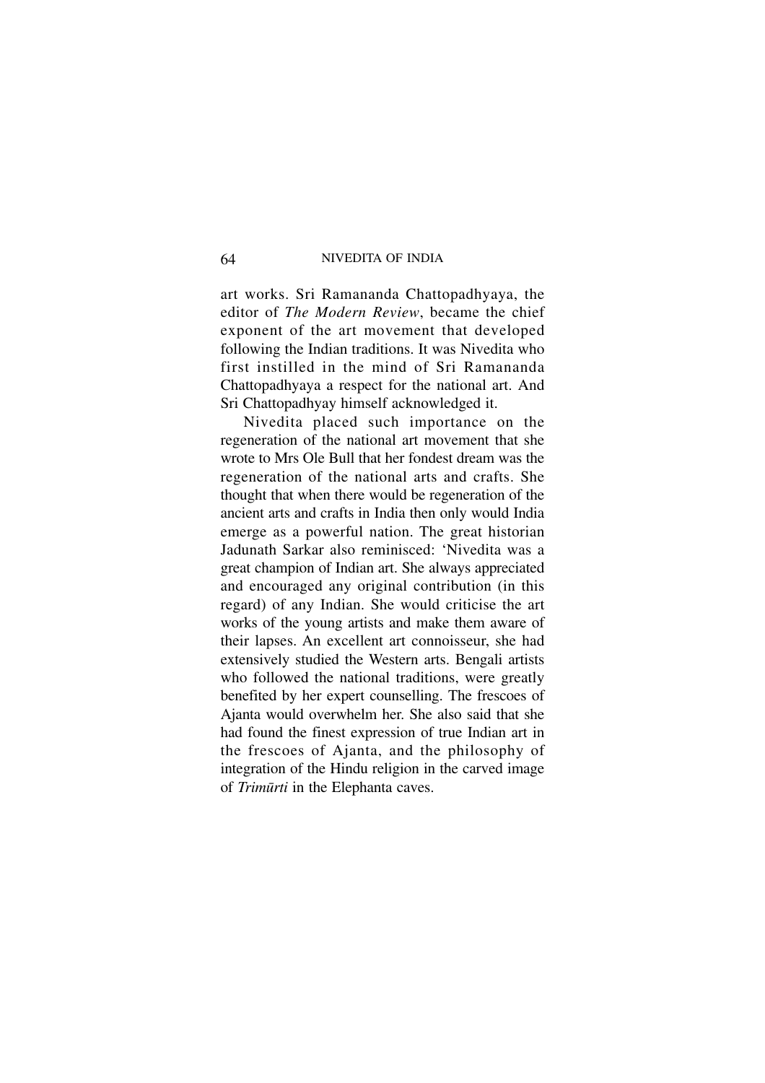art works. Sri Ramananda Chattopadhyaya, the editor of *The Modern Review*, became the chief exponent of the art movement that developed following the Indian traditions. It was Nivedita who first instilled in the mind of Sri Ramananda Chattopadhyaya a respect for the national art. And Sri Chattopadhyay himself acknowledged it.

Nivedita placed such importance on the regeneration of the national art movement that she wrote to Mrs Ole Bull that her fondest dream was the regeneration of the national arts and crafts. She thought that when there would be regeneration of the ancient arts and crafts in India then only would India emerge as a powerful nation. The great historian Jadunath Sarkar also reminisced: 'Nivedita was a great champion of Indian art. She always appreciated and encouraged any original contribution (in this regard) of any Indian. She would criticise the art works of the young artists and make them aware of their lapses. An excellent art connoisseur, she had extensively studied the Western arts. Bengali artists who followed the national traditions, were greatly benefited by her expert counselling. The frescoes of Ajanta would overwhelm her. She also said that she had found the finest expression of true Indian art in the frescoes of Ajanta, and the philosophy of integration of the Hindu religion in the carved image of *Trim*å*rti* in the Elephanta caves.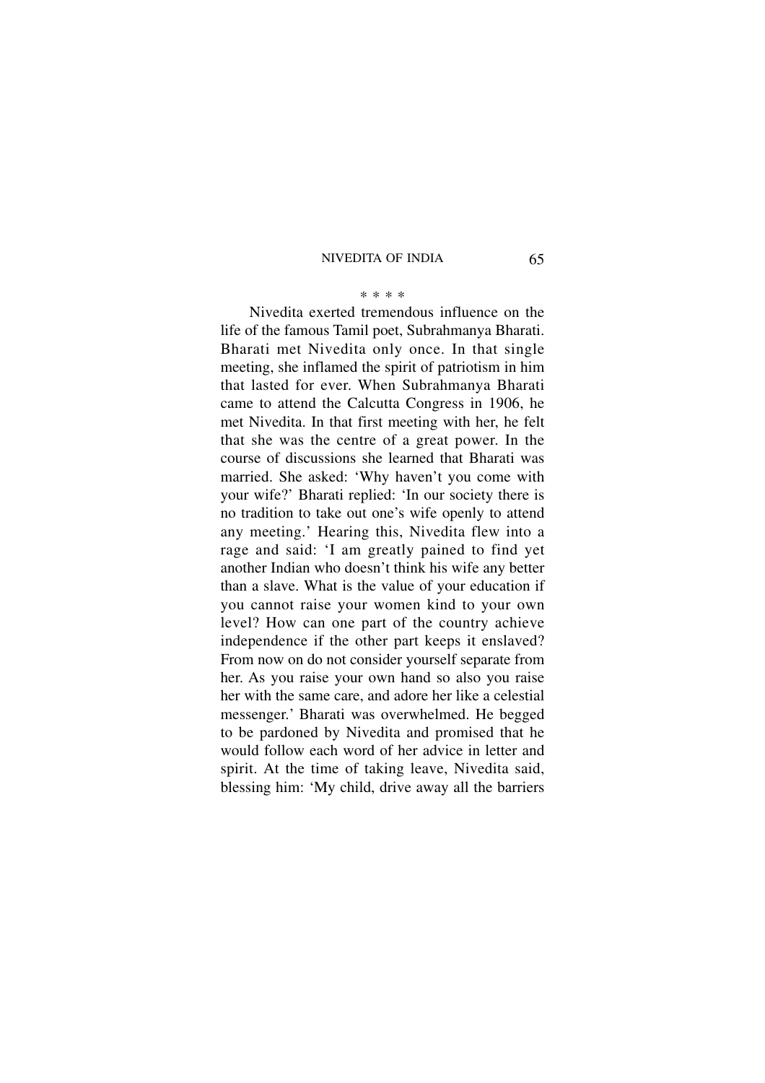## \* \* \* \*

 Nivedita exerted tremendous influence on the life of the famous Tamil poet, Subrahmanya Bharati. Bharati met Nivedita only once. In that single meeting, she inflamed the spirit of patriotism in him that lasted for ever. When Subrahmanya Bharati came to attend the Calcutta Congress in 1906, he met Nivedita. In that first meeting with her, he felt that she was the centre of a great power. In the course of discussions she learned that Bharati was married. She asked: 'Why haven't you come with your wife?' Bharati replied: 'In our society there is no tradition to take out one's wife openly to attend any meeting.' Hearing this, Nivedita flew into a rage and said: 'I am greatly pained to find yet another Indian who doesn't think his wife any better than a slave. What is the value of your education if you cannot raise your women kind to your own level? How can one part of the country achieve independence if the other part keeps it enslaved? From now on do not consider yourself separate from her. As you raise your own hand so also you raise her with the same care, and adore her like a celestial messenger.' Bharati was overwhelmed. He begged to be pardoned by Nivedita and promised that he would follow each word of her advice in letter and spirit. At the time of taking leave, Nivedita said, blessing him: 'My child, drive away all the barriers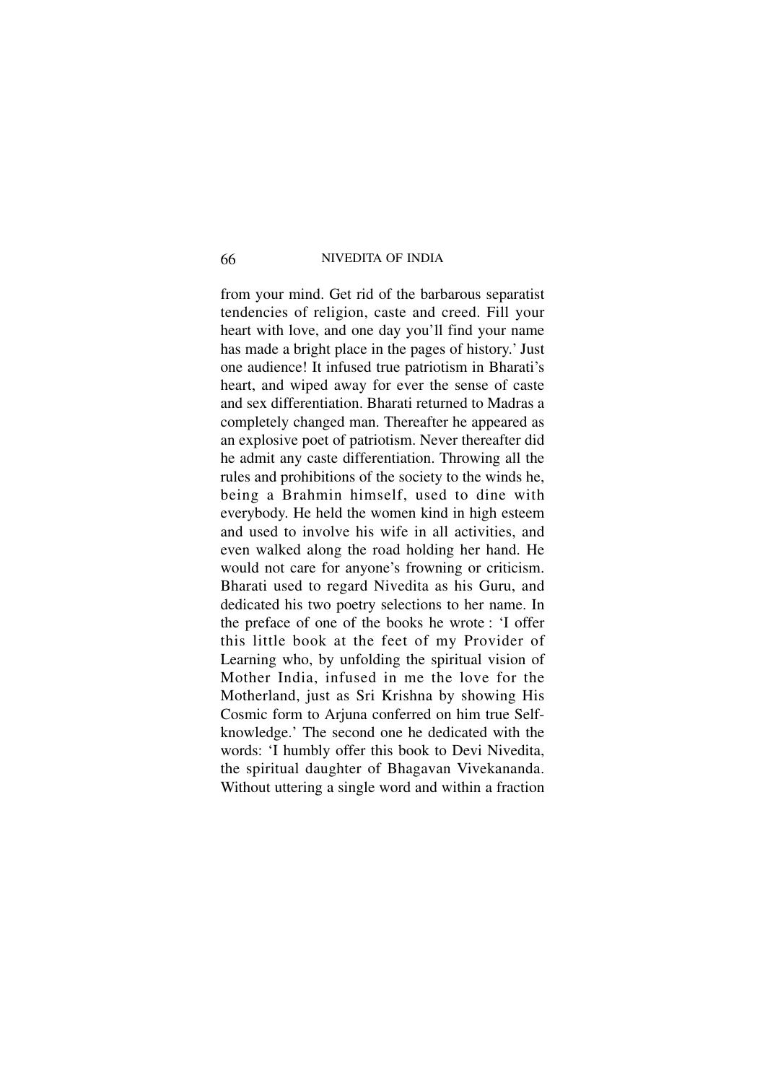from your mind. Get rid of the barbarous separatist tendencies of religion, caste and creed. Fill your heart with love, and one day you'll find your name has made a bright place in the pages of history.' Just one audience! It infused true patriotism in Bharati's heart, and wiped away for ever the sense of caste and sex differentiation. Bharati returned to Madras a completely changed man. Thereafter he appeared as an explosive poet of patriotism. Never thereafter did he admit any caste differentiation. Throwing all the rules and prohibitions of the society to the winds he, being a Brahmin himself, used to dine with everybody. He held the women kind in high esteem and used to involve his wife in all activities, and even walked along the road holding her hand. He would not care for anyone's frowning or criticism. Bharati used to regard Nivedita as his Guru, and dedicated his two poetry selections to her name. In the preface of one of the books he wrote : 'I offer this little book at the feet of my Provider of Learning who, by unfolding the spiritual vision of Mother India, infused in me the love for the Motherland, just as Sri Krishna by showing His Cosmic form to Arjuna conferred on him true Selfknowledge.' The second one he dedicated with the words: 'I humbly offer this book to Devi Nivedita, the spiritual daughter of Bhagavan Vivekananda. Without uttering a single word and within a fraction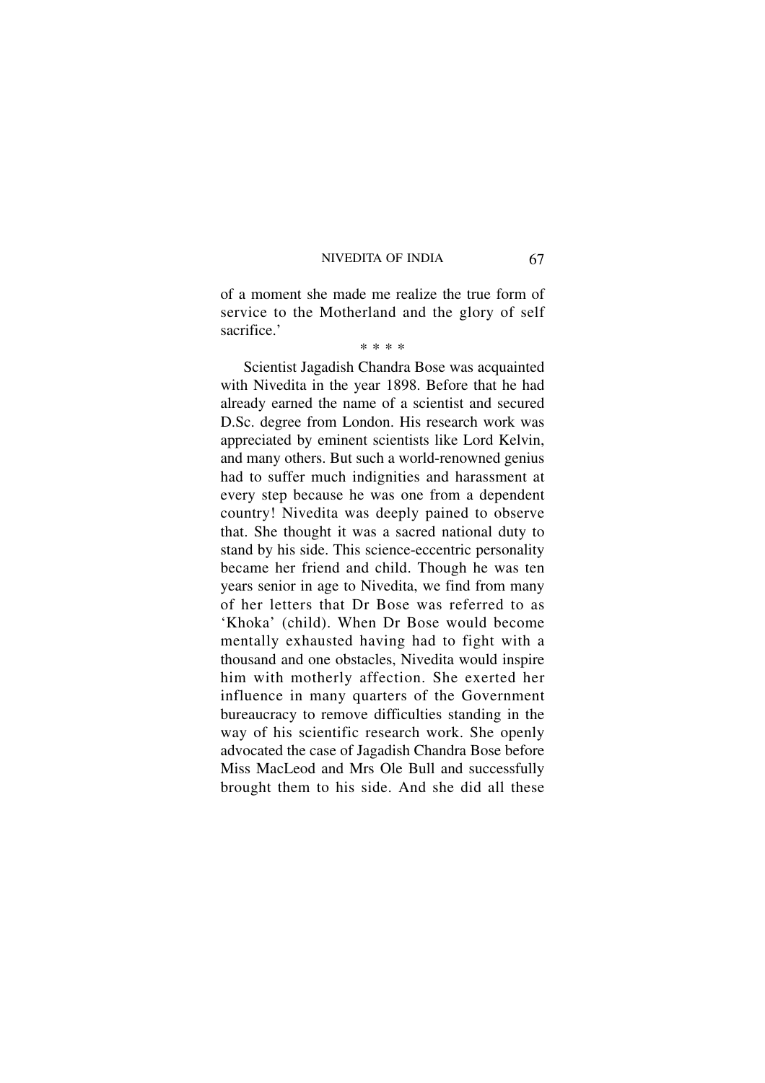of a moment she made me realize the true form of service to the Motherland and the glory of self sacrifice.' \* \* \* \*

Scientist Jagadish Chandra Bose was acquainted with Nivedita in the year 1898. Before that he had already earned the name of a scientist and secured D.Sc. degree from London. His research work was appreciated by eminent scientists like Lord Kelvin, and many others. But such a world-renowned genius had to suffer much indignities and harassment at every step because he was one from a dependent country! Nivedita was deeply pained to observe that. She thought it was a sacred national duty to stand by his side. This science-eccentric personality became her friend and child. Though he was ten years senior in age to Nivedita, we find from many of her letters that Dr Bose was referred to as 'Khoka' (child). When Dr Bose would become mentally exhausted having had to fight with a thousand and one obstacles, Nivedita would inspire him with motherly affection. She exerted her influence in many quarters of the Government bureaucracy to remove difficulties standing in the way of his scientific research work. She openly advocated the case of Jagadish Chandra Bose before Miss MacLeod and Mrs Ole Bull and successfully brought them to his side. And she did all these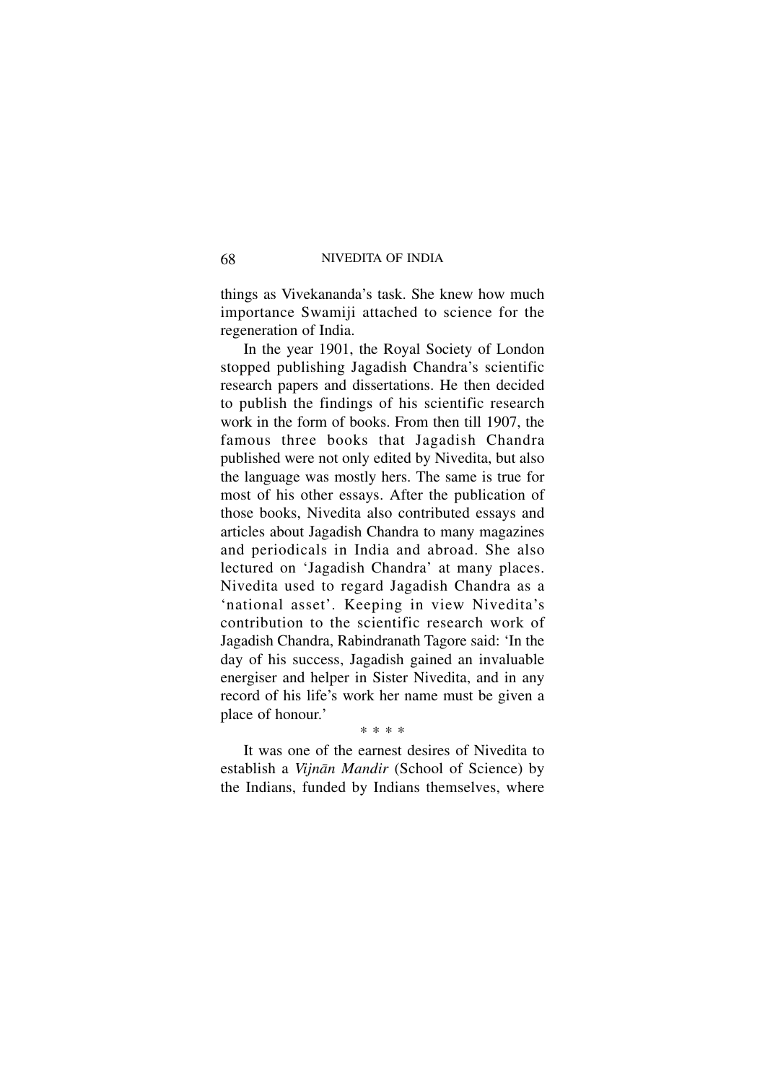things as Vivekananda's task. She knew how much importance Swamiji attached to science for the regeneration of India.

In the year 1901, the Royal Society of London stopped publishing Jagadish Chandra's scientific research papers and dissertations. He then decided to publish the findings of his scientific research work in the form of books. From then till 1907, the famous three books that Jagadish Chandra published were not only edited by Nivedita, but also the language was mostly hers. The same is true for most of his other essays. After the publication of those books, Nivedita also contributed essays and articles about Jagadish Chandra to many magazines and periodicals in India and abroad. She also lectured on 'Jagadish Chandra' at many places. Nivedita used to regard Jagadish Chandra as a 'national asset'*.* Keeping in view Nivedita's contribution to the scientific research work of Jagadish Chandra, Rabindranath Tagore said: 'In the day of his success, Jagadish gained an invaluable energiser and helper in Sister Nivedita, and in any record of his life's work her name must be given a place of honour.'

\* \* \* \*

It was one of the earnest desires of Nivedita to establish a *Vijn*à*n Mandir* (School of Science) by the Indians, funded by Indians themselves, where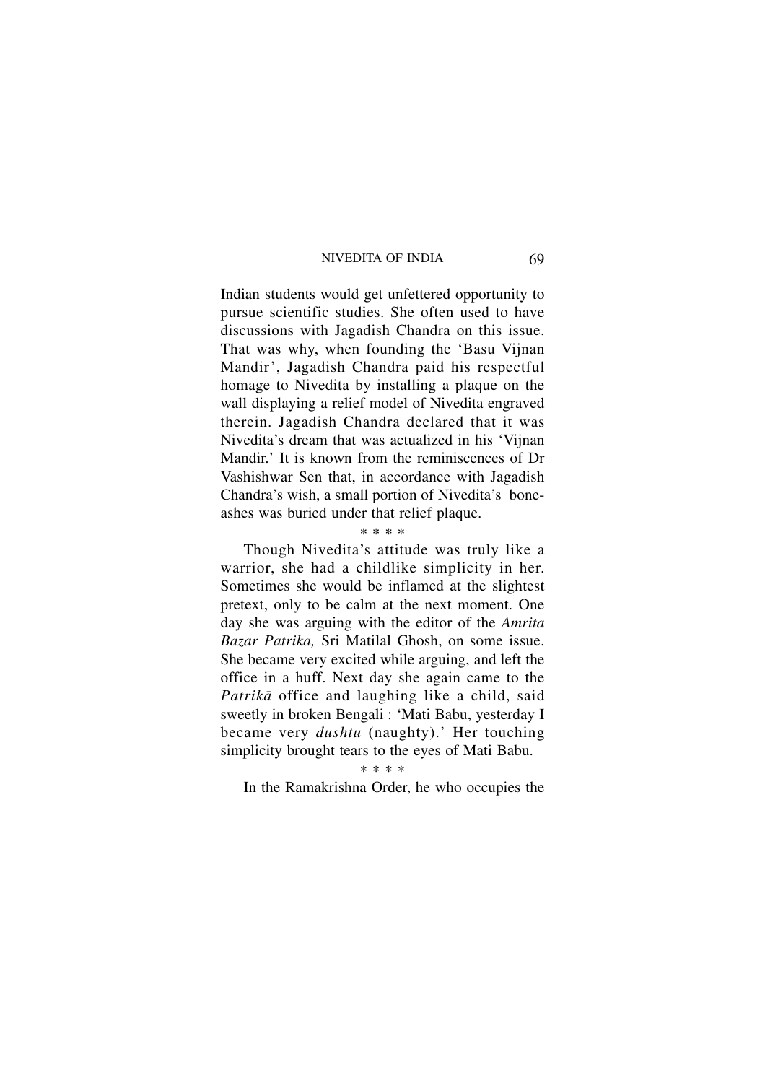Indian students would get unfettered opportunity to pursue scientific studies. She often used to have discussions with Jagadish Chandra on this issue. That was why, when founding the 'Basu Vijnan Mandir', Jagadish Chandra paid his respectful homage to Nivedita by installing a plaque on the wall displaying a relief model of Nivedita engraved therein. Jagadish Chandra declared that it was Nivedita's dream that was actualized in his 'Vijnan Mandir.' It is known from the reminiscences of Dr Vashishwar Sen that, in accordance with Jagadish Chandra's wish, a small portion of Nivedita's boneashes was buried under that relief plaque.

#### \* \* \* \*

Though Nivedita's attitude was truly like a warrior, she had a childlike simplicity in her. Sometimes she would be inflamed at the slightest pretext, only to be calm at the next moment. One day she was arguing with the editor of the *Amrita Bazar Patrika,* Sri Matilal Ghosh, on some issue. She became very excited while arguing, and left the office in a huff. Next day she again came to the *Patrik*à office and laughing like a child, said sweetly in broken Bengali : 'Mati Babu, yesterday I became very *dushtu* (naughty).' Her touching simplicity brought tears to the eyes of Mati Babu.

#### \* \* \* \*

In the Ramakrishna Order, he who occupies the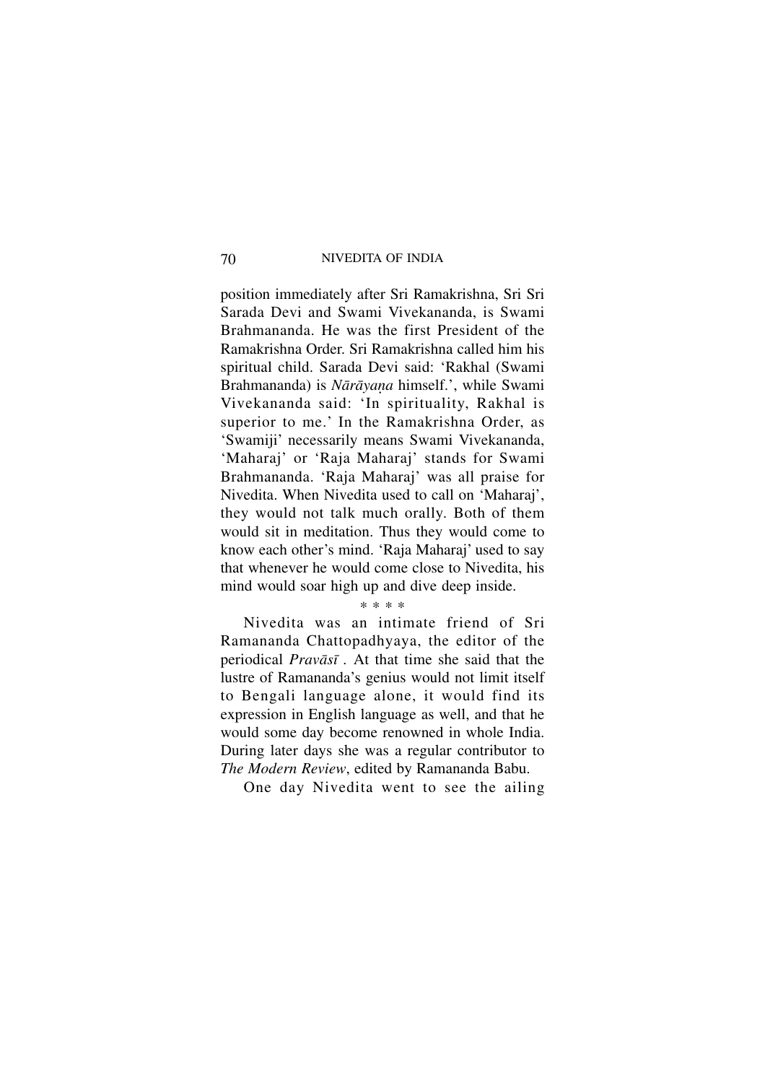position immediately after Sri Ramakrishna, Sri Sri Sarada Devi and Swami Vivekananda, is Swami Brahmananda. He was the first President of the Ramakrishna Order. Sri Ramakrishna called him his spiritual child. Sarada Devi said: 'Rakhal (Swami Brahmananda) is *Nārāyana* himself.', while Swami Vivekananda said: 'In spirituality, Rakhal is superior to me.' In the Ramakrishna Order, as 'Swamiji' necessarily means Swami Vivekananda, 'Maharaj' or 'Raja Maharaj' stands for Swami Brahmananda. 'Raja Maharaj' was all praise for Nivedita. When Nivedita used to call on 'Maharaj', they would not talk much orally. Both of them would sit in meditation. Thus they would come to know each other's mind. 'Raja Maharaj' used to say that whenever he would come close to Nivedita, his mind would soar high up and dive deep inside.

#### \* \* \* \*

Nivedita was an intimate friend of Sri Ramananda Chattopadhyaya, the editor of the periodical *Prav*à*s*ã *.* At that time she said that the lustre of Ramananda's genius would not limit itself to Bengali language alone, it would find its expression in English language as well, and that he would some day become renowned in whole India. During later days she was a regular contributor to *The Modern Review*, edited by Ramananda Babu.

One day Nivedita went to see the ailing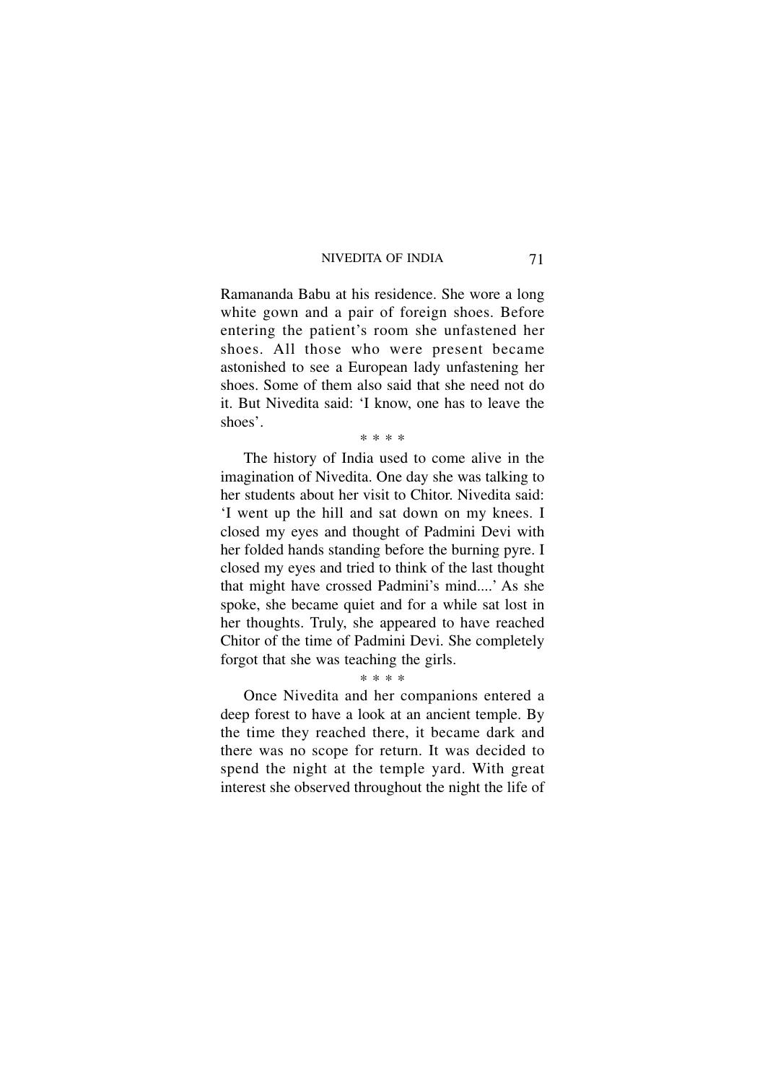Ramananda Babu at his residence. She wore a long white gown and a pair of foreign shoes. Before entering the patient's room she unfastened her shoes. All those who were present became astonished to see a European lady unfastening her shoes. Some of them also said that she need not do it. But Nivedita said: 'I know, one has to leave the shoes'.

## \* \* \* \*

The history of India used to come alive in the imagination of Nivedita. One day she was talking to her students about her visit to Chitor. Nivedita said: 'I went up the hill and sat down on my knees. I closed my eyes and thought of Padmini Devi with her folded hands standing before the burning pyre. I closed my eyes and tried to think of the last thought that might have crossed Padmini's mind....' As she spoke, she became quiet and for a while sat lost in her thoughts. Truly, she appeared to have reached Chitor of the time of Padmini Devi. She completely forgot that she was teaching the girls.

#### \* \* \* \*

Once Nivedita and her companions entered a deep forest to have a look at an ancient temple. By the time they reached there, it became dark and there was no scope for return. It was decided to spend the night at the temple yard. With great interest she observed throughout the night the life of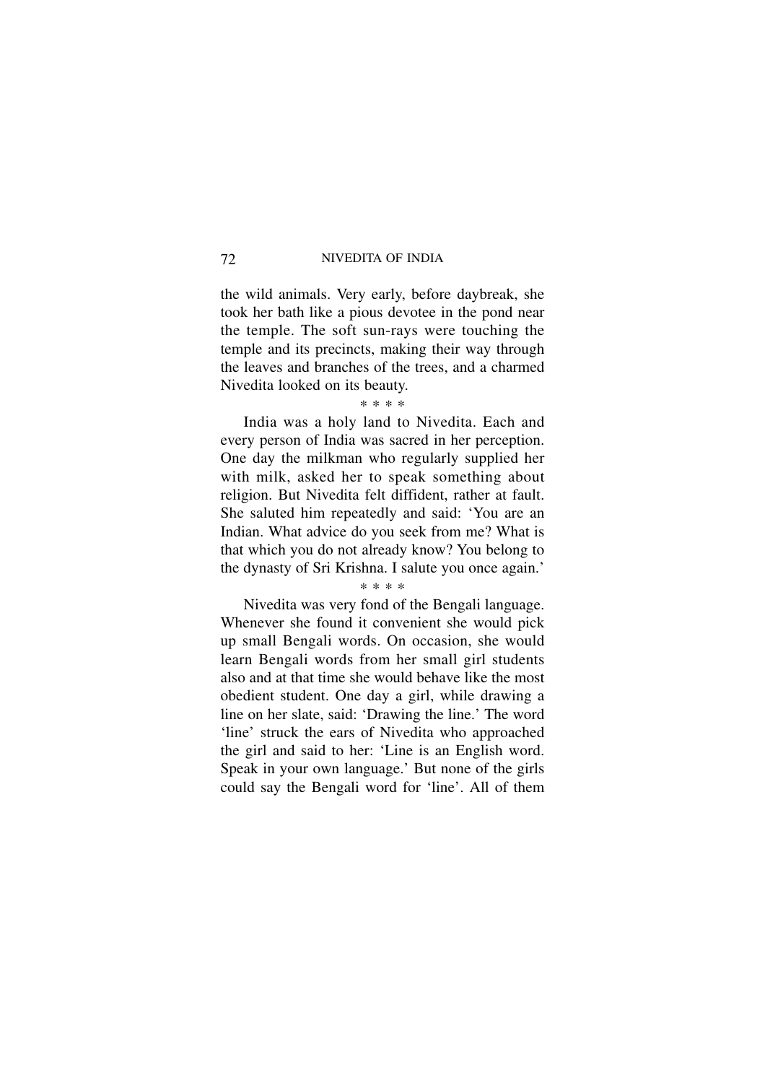the wild animals. Very early, before daybreak, she took her bath like a pious devotee in the pond near the temple. The soft sun-rays were touching the temple and its precincts, making their way through the leaves and branches of the trees, and a charmed Nivedita looked on its beauty.

## \* \* \* \*

India was a holy land to Nivedita. Each and every person of India was sacred in her perception. One day the milkman who regularly supplied her with milk, asked her to speak something about religion. But Nivedita felt diffident, rather at fault. She saluted him repeatedly and said: 'You are an Indian. What advice do you seek from me? What is that which you do not already know? You belong to the dynasty of Sri Krishna. I salute you once again.'

## \* \* \* \*

Nivedita was very fond of the Bengali language. Whenever she found it convenient she would pick up small Bengali words. On occasion, she would learn Bengali words from her small girl students also and at that time she would behave like the most obedient student. One day a girl, while drawing a line on her slate, said: 'Drawing the line.' The word 'line' struck the ears of Nivedita who approached the girl and said to her: 'Line is an English word. Speak in your own language.' But none of the girls could say the Bengali word for 'line'. All of them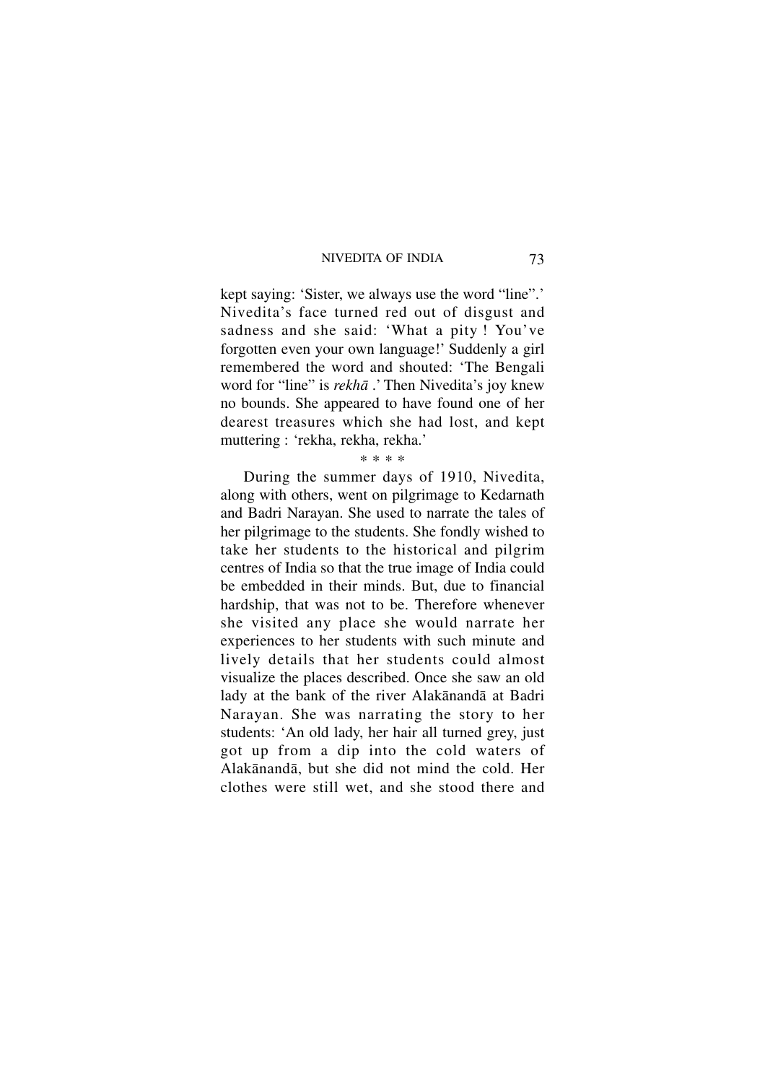kept saying: 'Sister, we always use the word "line".' Nivedita's face turned red out of disgust and sadness and she said: 'What a pity ! You've forgotten even your own language!' Suddenly a girl remembered the word and shouted: 'The Bengali word for "line" is *rekh*à .' Then Nivedita's joy knew no bounds. She appeared to have found one of her dearest treasures which she had lost, and kept muttering : 'rekha, rekha, rekha.'

#### \* \* \* \*

During the summer days of 1910, Nivedita, along with others, went on pilgrimage to Kedarnath and Badri Narayan. She used to narrate the tales of her pilgrimage to the students. She fondly wished to take her students to the historical and pilgrim centres of India so that the true image of India could be embedded in their minds. But, due to financial hardship, that was not to be. Therefore whenever she visited any place she would narrate her experiences to her students with such minute and lively details that her students could almost visualize the places described. Once she saw an old lady at the bank of the river Alakànandà at Badri Narayan. She was narrating the story to her students: 'An old lady, her hair all turned grey, just got up from a dip into the cold waters of Alakànandà, but she did not mind the cold. Her clothes were still wet, and she stood there and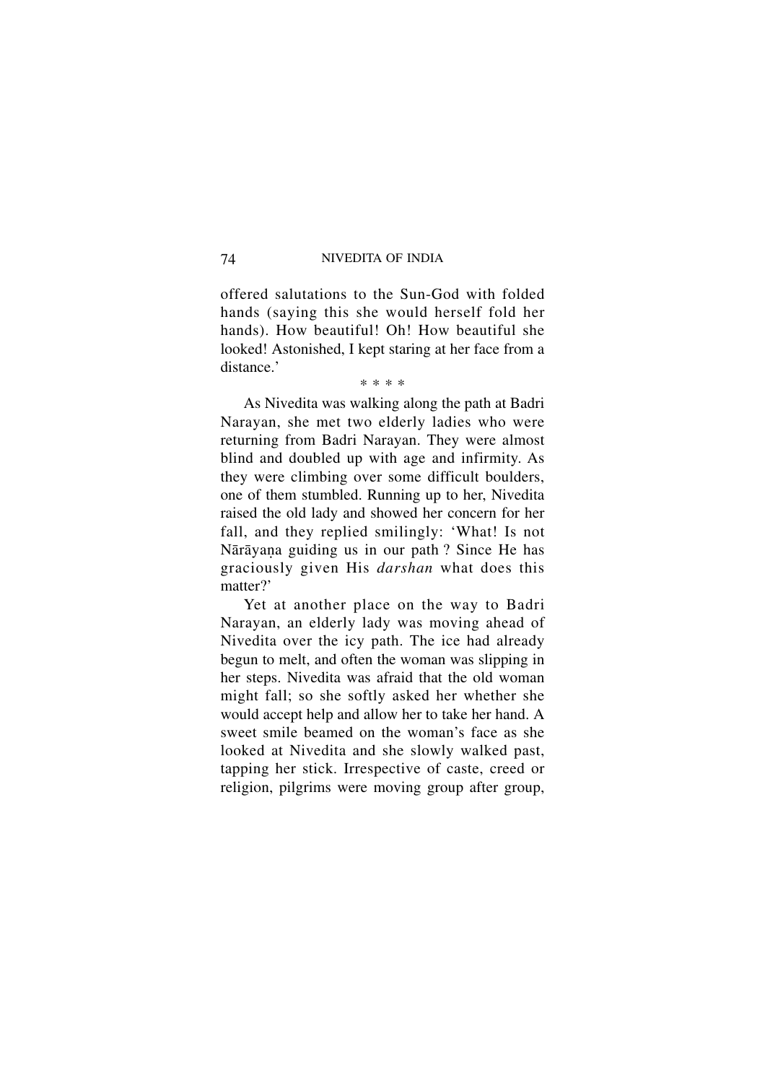offered salutations to the Sun-God with folded hands (saying this she would herself fold her hands). How beautiful! Oh! How beautiful she looked! Astonished, I kept staring at her face from a distance.'

\* \* \* \*

As Nivedita was walking along the path at Badri Narayan, she met two elderly ladies who were returning from Badri Narayan. They were almost blind and doubled up with age and infirmity. As they were climbing over some difficult boulders, one of them stumbled. Running up to her, Nivedita raised the old lady and showed her concern for her fall, and they replied smilingly: 'What! Is not Nārāyana guiding us in our path ? Since He has graciously given His *darshan* what does this matter?'

Yet at another place on the way to Badri Narayan, an elderly lady was moving ahead of Nivedita over the icy path. The ice had already begun to melt, and often the woman was slipping in her steps. Nivedita was afraid that the old woman might fall; so she softly asked her whether she would accept help and allow her to take her hand. A sweet smile beamed on the woman's face as she looked at Nivedita and she slowly walked past, tapping her stick. Irrespective of caste, creed or religion, pilgrims were moving group after group,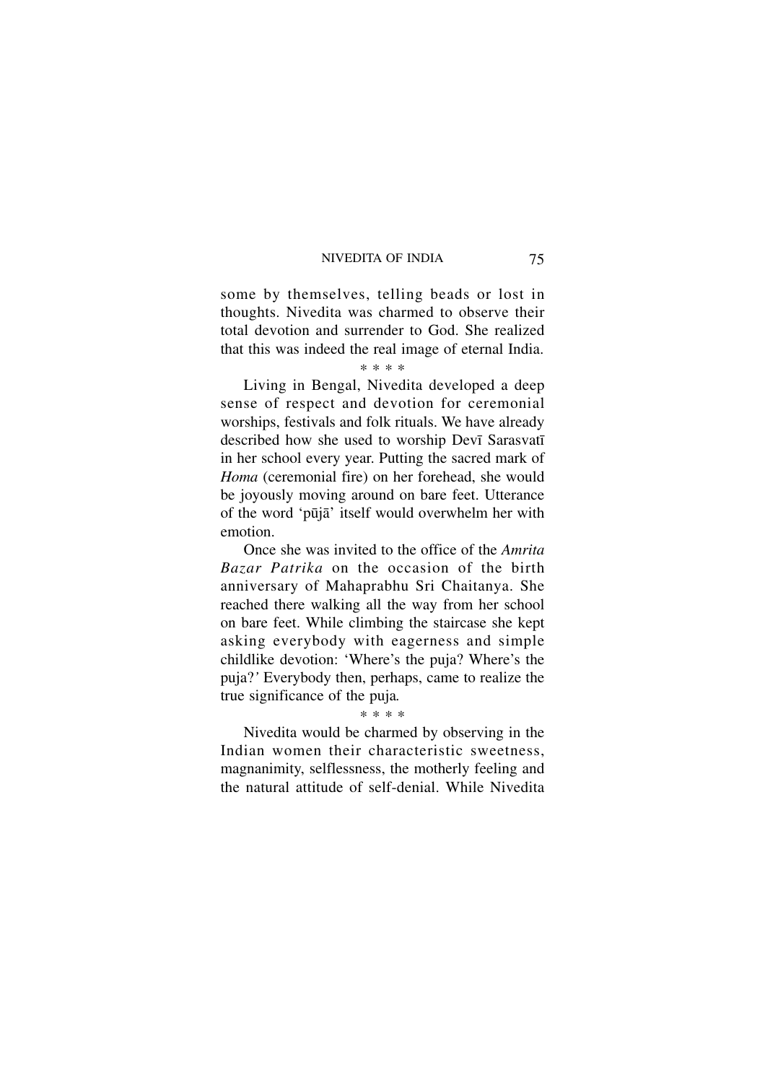some by themselves, telling beads or lost in thoughts. Nivedita was charmed to observe their total devotion and surrender to God. She realized that this was indeed the real image of eternal India.

## \* \* \* \*

Living in Bengal, Nivedita developed a deep sense of respect and devotion for ceremonial worships, festivals and folk rituals. We have already described how she used to worship Devī Sarasvatī in her school every year. Putting the sacred mark of *Homa* (ceremonial fire) on her forehead, she would be joyously moving around on bare feet. Utterance of the word 'påjà' itself would overwhelm her with emotion.

Once she was invited to the office of the *Amrita Bazar Patrika* on the occasion of the birth anniversary of Mahaprabhu Sri Chaitanya. She reached there walking all the way from her school on bare feet. While climbing the staircase she kept asking everybody with eagerness and simple childlike devotion: 'Where's the puja? Where's the puja?*'* Everybody then, perhaps, came to realize the true significance of the puja*.*

#### \* \* \* \*

Nivedita would be charmed by observing in the Indian women their characteristic sweetness, magnanimity, selflessness, the motherly feeling and the natural attitude of self-denial. While Nivedita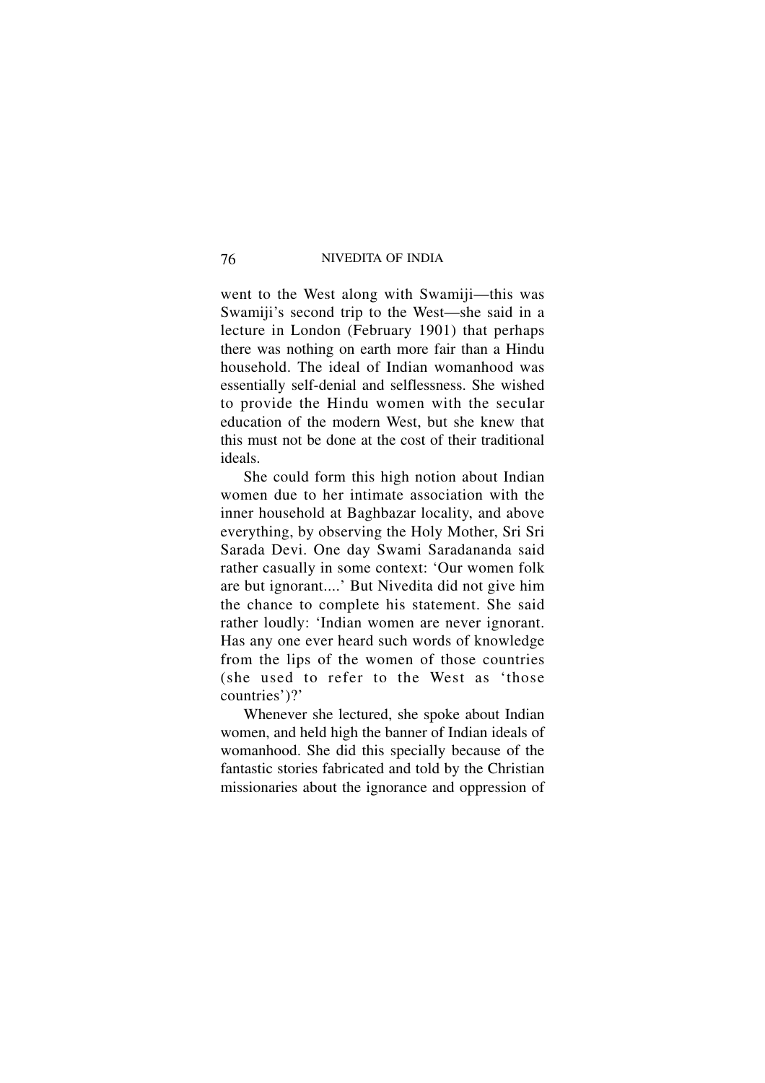went to the West along with Swamiji—this was Swamiji's second trip to the West—she said in a lecture in London (February 1901) that perhaps there was nothing on earth more fair than a Hindu household. The ideal of Indian womanhood was essentially self-denial and selflessness. She wished to provide the Hindu women with the secular education of the modern West, but she knew that this must not be done at the cost of their traditional ideals.

She could form this high notion about Indian women due to her intimate association with the inner household at Baghbazar locality, and above everything, by observing the Holy Mother, Sri Sri Sarada Devi. One day Swami Saradananda said rather casually in some context: 'Our women folk are but ignorant....' But Nivedita did not give him the chance to complete his statement. She said rather loudly: 'Indian women are never ignorant. Has any one ever heard such words of knowledge from the lips of the women of those countries (she used to refer to the West as 'those countries')?'

Whenever she lectured, she spoke about Indian women, and held high the banner of Indian ideals of womanhood. She did this specially because of the fantastic stories fabricated and told by the Christian missionaries about the ignorance and oppression of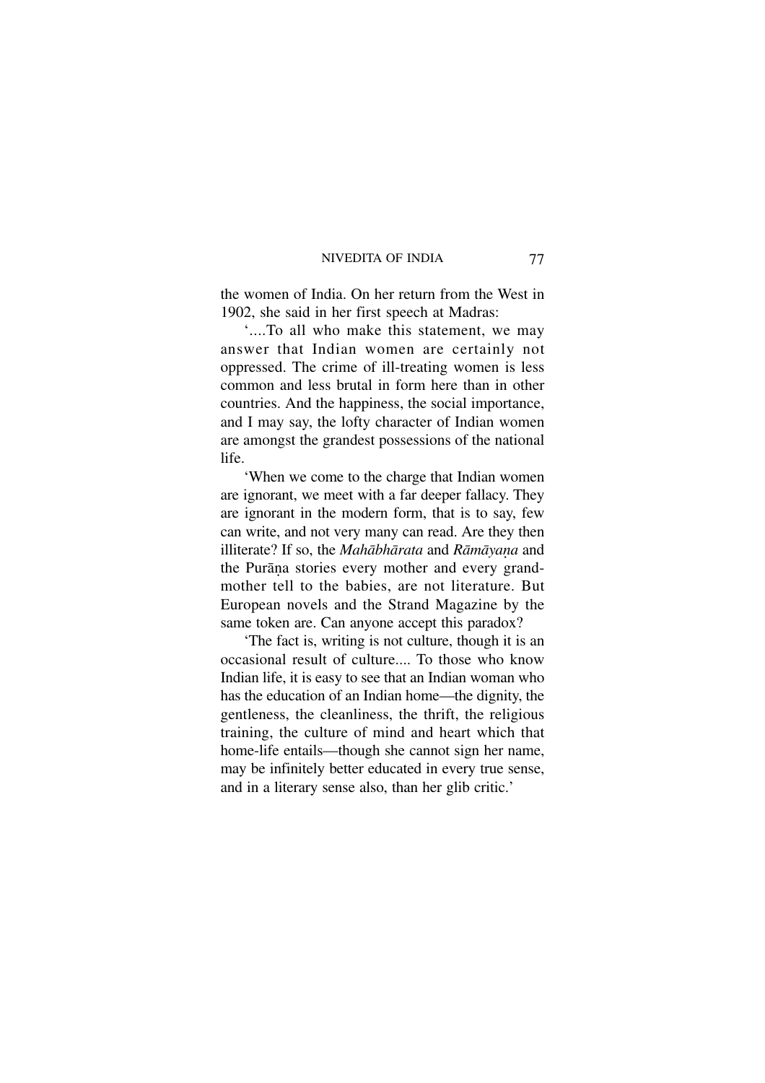the women of India. On her return from the West in 1902, she said in her first speech at Madras:

'....To all who make this statement, we may answer that Indian women are certainly not oppressed. The crime of ill-treating women is less common and less brutal in form here than in other countries. And the happiness, the social importance, and I may say, the lofty character of Indian women are amongst the grandest possessions of the national life.

'When we come to the charge that Indian women are ignorant, we meet with a far deeper fallacy. They are ignorant in the modern form, that is to say, few can write, and not very many can read. Are they then illiterate? If so, the *Mah*à*bh*à*rata* and *R*à*m*à*ya*õ*a* and the Purāna stories every mother and every grandmother tell to the babies, are not literature. But European novels and the Strand Magazine by the same token are. Can anyone accept this paradox?

'The fact is, writing is not culture, though it is an occasional result of culture.... To those who know Indian life, it is easy to see that an Indian woman who has the education of an Indian home—the dignity, the gentleness, the cleanliness, the thrift, the religious training, the culture of mind and heart which that home-life entails—though she cannot sign her name, may be infinitely better educated in every true sense, and in a literary sense also, than her glib critic.'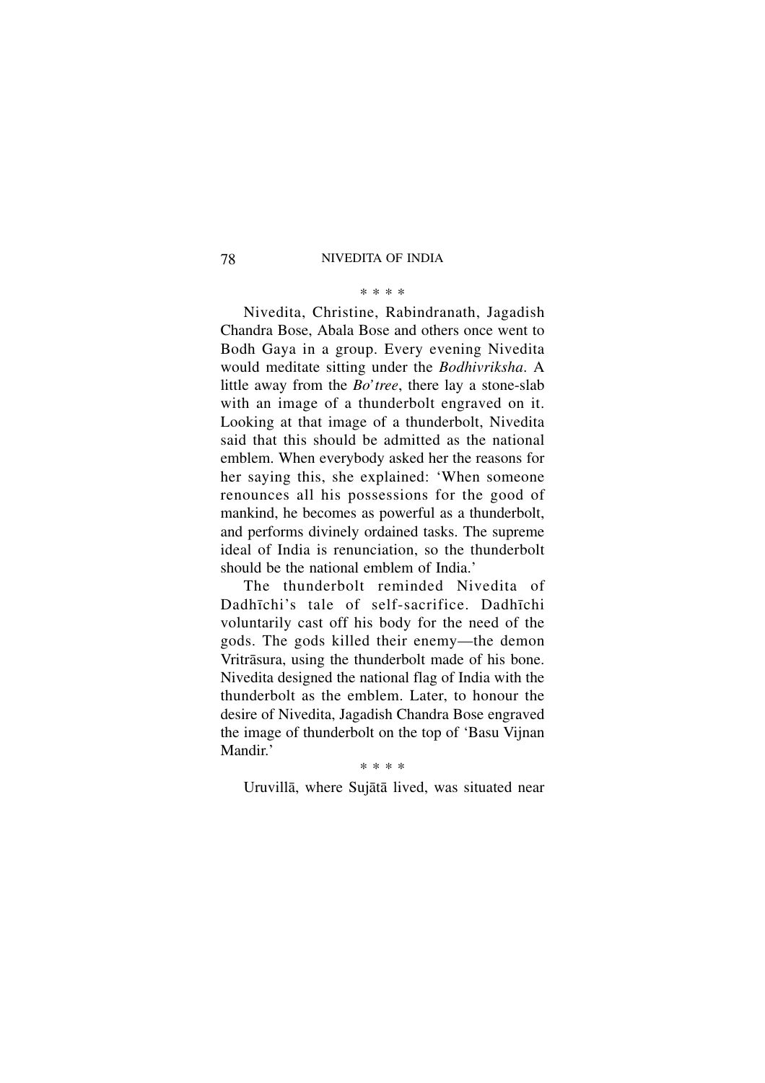## \* \* \* \*

Nivedita, Christine, Rabindranath, Jagadish Chandra Bose, Abala Bose and others once went to Bodh Gaya in a group. Every evening Nivedita would meditate sitting under the *Bodhivriksha*. A little away from the *Bo'tree*, there lay a stone-slab with an image of a thunderbolt engraved on it. Looking at that image of a thunderbolt, Nivedita said that this should be admitted as the national emblem. When everybody asked her the reasons for her saying this, she explained: 'When someone renounces all his possessions for the good of mankind, he becomes as powerful as a thunderbolt, and performs divinely ordained tasks. The supreme ideal of India is renunciation, so the thunderbolt should be the national emblem of India.'

The thunderbolt reminded Nivedita of Dadhīchi's tale of self-sacrifice. Dadhīchi voluntarily cast off his body for the need of the gods. The gods killed their enemy—the demon Vritràsura, using the thunderbolt made of his bone. Nivedita designed the national flag of India with the thunderbolt as the emblem. Later, to honour the desire of Nivedita, Jagadish Chandra Bose engraved the image of thunderbolt on the top of 'Basu Vijnan Mandir.'

## \* \* \* \*

Uruvillà, where Sujàtà lived, was situated near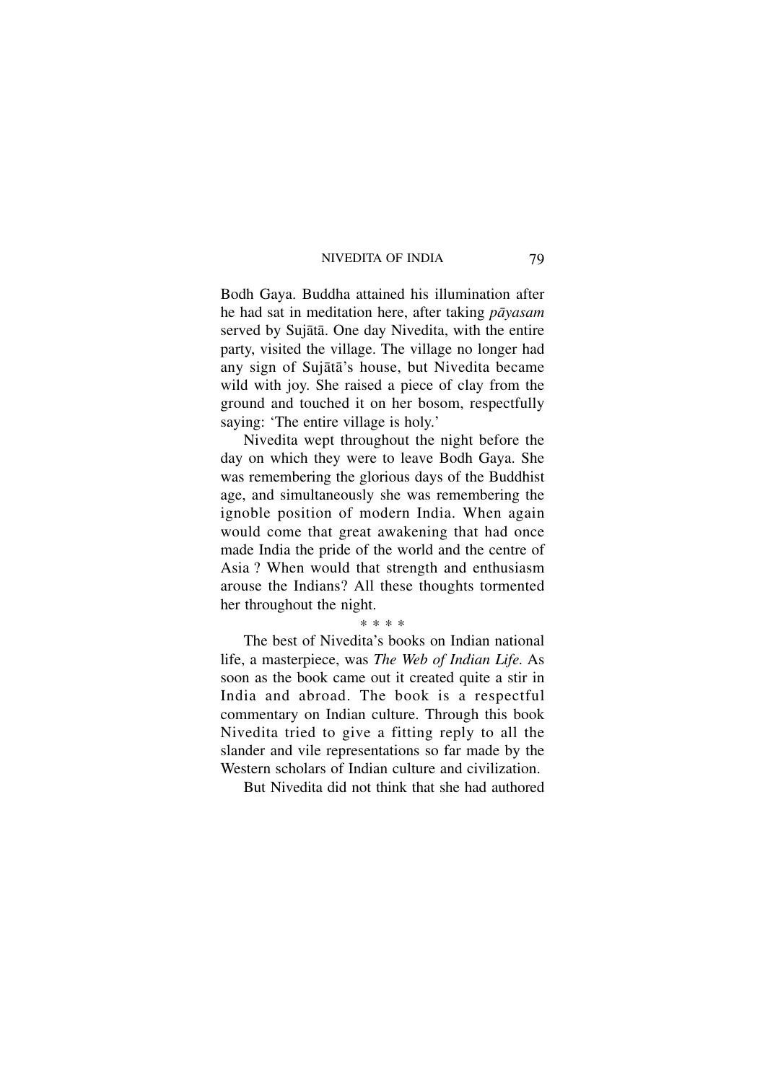Bodh Gaya. Buddha attained his illumination after he had sat in meditation here, after taking *p*à*yasam* served by Sujàtà. One day Nivedita, with the entire party, visited the village. The village no longer had any sign of Sujàtà's house, but Nivedita became wild with joy. She raised a piece of clay from the ground and touched it on her bosom, respectfully saying: 'The entire village is holy.'

Nivedita wept throughout the night before the day on which they were to leave Bodh Gaya. She was remembering the glorious days of the Buddhist age, and simultaneously she was remembering the ignoble position of modern India. When again would come that great awakening that had once made India the pride of the world and the centre of Asia ? When would that strength and enthusiasm arouse the Indians? All these thoughts tormented her throughout the night.

\* \* \* \*

The best of Nivedita's books on Indian national life, a masterpiece, was *The Web of Indian Life.* As soon as the book came out it created quite a stir in India and abroad. The book is a respectful commentary on Indian culture. Through this book Nivedita tried to give a fitting reply to all the slander and vile representations so far made by the Western scholars of Indian culture and civilization.

But Nivedita did not think that she had authored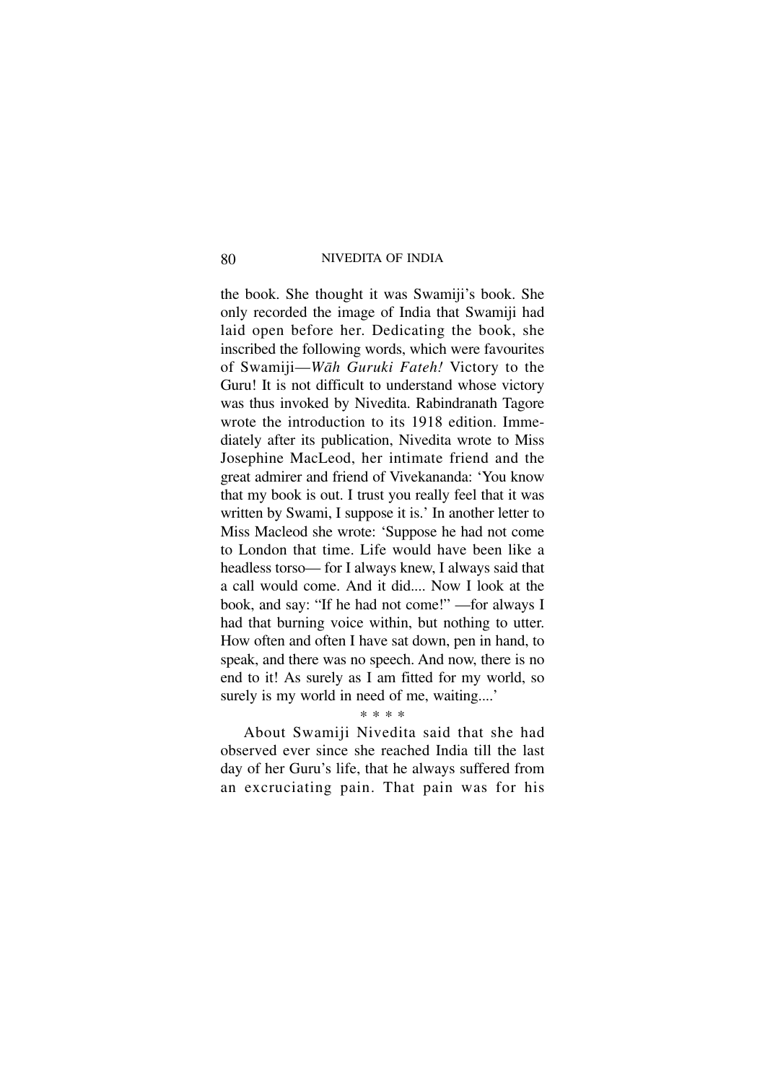the book. She thought it was Swamiji's book. She only recorded the image of India that Swamiji had laid open before her. Dedicating the book, she inscribed the following words, which were favourites of Swamiji—*W*à*h Guruki Fateh!* Victory to the Guru! It is not difficult to understand whose victory was thus invoked by Nivedita. Rabindranath Tagore wrote the introduction to its 1918 edition. Immediately after its publication, Nivedita wrote to Miss Josephine MacLeod, her intimate friend and the great admirer and friend of Vivekananda: 'You know that my book is out. I trust you really feel that it was written by Swami, I suppose it is.' In another letter to Miss Macleod she wrote: 'Suppose he had not come to London that time. Life would have been like a headless torso— for I always knew, I always said that a call would come. And it did.... Now I look at the book, and say: "If he had not come!" —for always I had that burning voice within, but nothing to utter. How often and often I have sat down, pen in hand, to speak, and there was no speech. And now, there is no end to it! As surely as I am fitted for my world, so surely is my world in need of me, waiting....'

## \* \* \* \*

About Swamiji Nivedita said that she had observed ever since she reached India till the last day of her Guru's life, that he always suffered from an excruciating pain. That pain was for his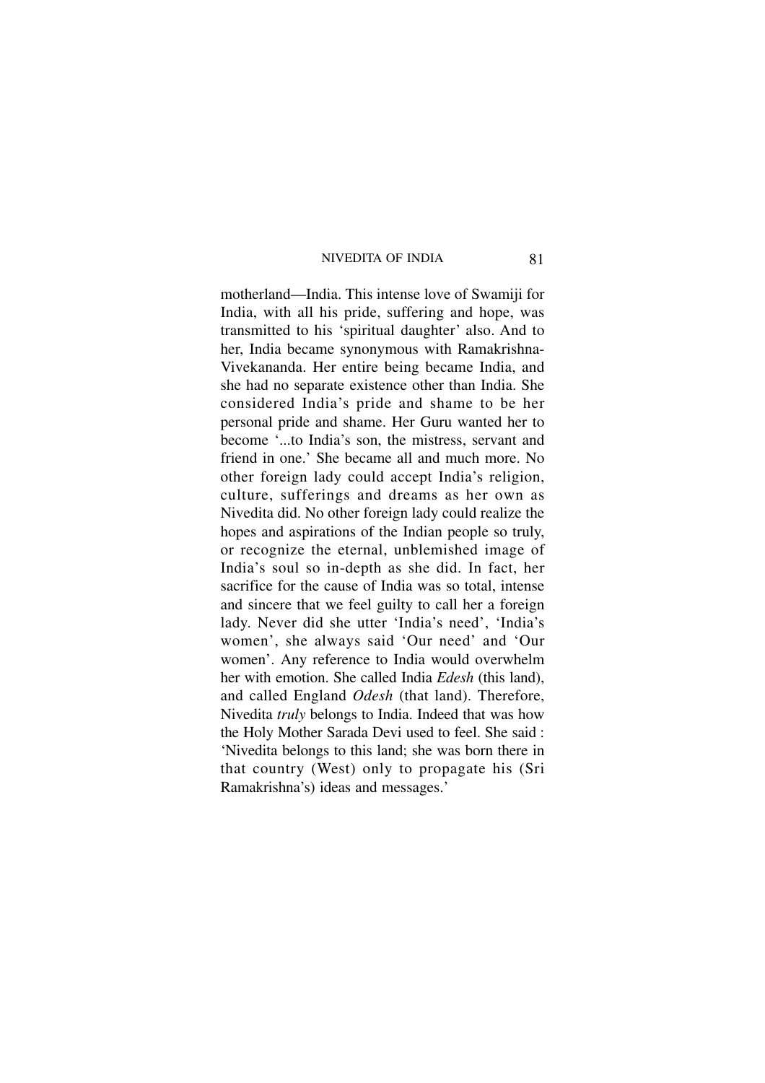motherland—India. This intense love of Swamiji for India, with all his pride, suffering and hope, was transmitted to his 'spiritual daughter' also. And to her, India became synonymous with Ramakrishna-Vivekananda. Her entire being became India, and she had no separate existence other than India. She considered India's pride and shame to be her personal pride and shame. Her Guru wanted her to become '...to India's son, the mistress, servant and friend in one.' She became all and much more. No other foreign lady could accept India's religion, culture, sufferings and dreams as her own as Nivedita did. No other foreign lady could realize the hopes and aspirations of the Indian people so truly, or recognize the eternal, unblemished image of India's soul so in-depth as she did. In fact, her sacrifice for the cause of India was so total, intense and sincere that we feel guilty to call her a foreign lady. Never did she utter 'India's need', 'India's women', she always said 'Our need' and 'Our women'. Any reference to India would overwhelm her with emotion. She called India *Edesh* (this land), and called England *Odesh* (that land). Therefore, Nivedita *truly* belongs to India. Indeed that was how the Holy Mother Sarada Devi used to feel. She said : 'Nivedita belongs to this land; she was born there in that country (West) only to propagate his (Sri Ramakrishna's) ideas and messages.'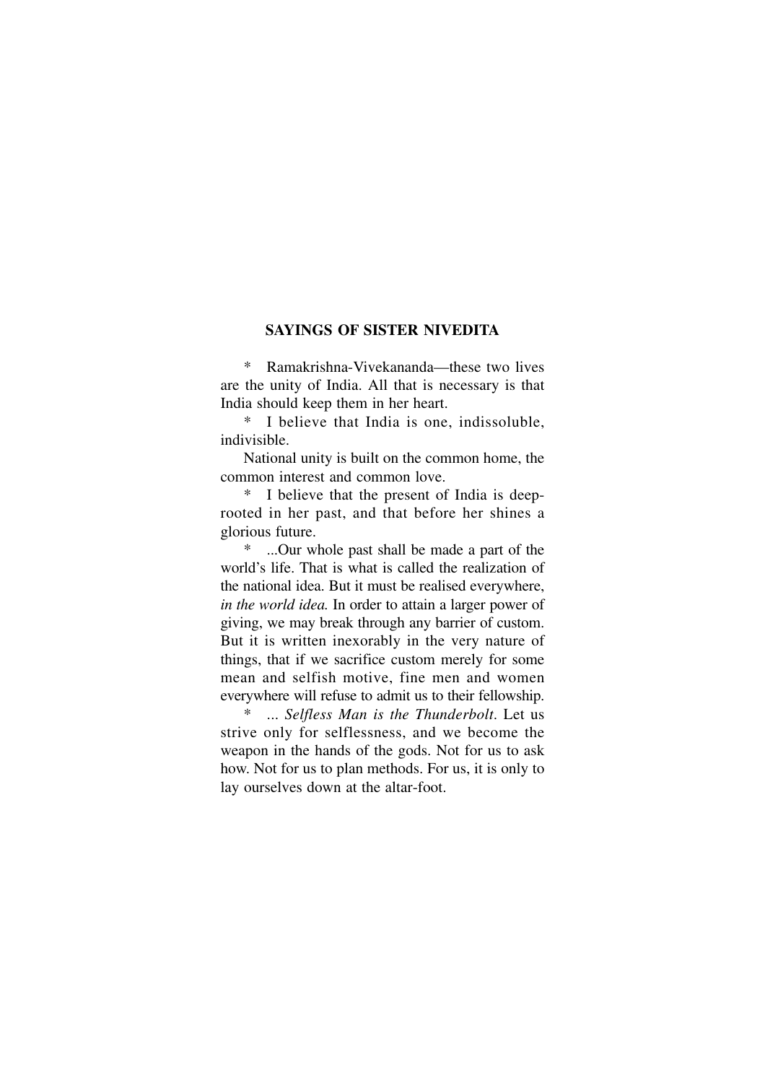## **SAYINGS OF SISTER NIVEDITA**

\* Ramakrishna-Vivekananda—these two lives are the unity of India. All that is necessary is that India should keep them in her heart.

\* I believe that India is one, indissoluble, indivisible.

National unity is built on the common home, the common interest and common love.

\* I believe that the present of India is deeprooted in her past, and that before her shines a glorious future.

\* ...Our whole past shall be made a part of the world's life. That is what is called the realization of the national idea. But it must be realised everywhere, *in the world idea.* In order to attain a larger power of giving, we may break through any barrier of custom. But it is written inexorably in the very nature of things, that if we sacrifice custom merely for some mean and selfish motive, fine men and women everywhere will refuse to admit us to their fellowship.

... *Selfless Man is the Thunderbolt*. Let us strive only for selflessness, and we become the weapon in the hands of the gods. Not for us to ask how. Not for us to plan methods. For us, it is only to lay ourselves down at the altar-foot.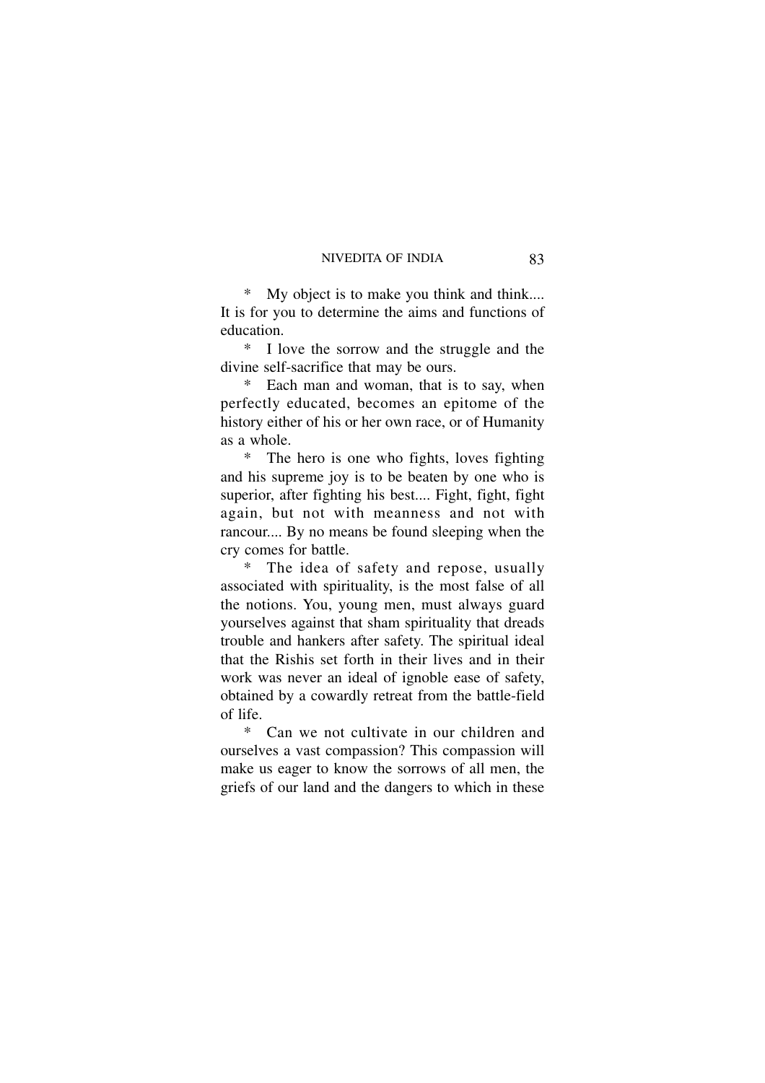\* My object is to make you think and think.... It is for you to determine the aims and functions of education.

\* I love the sorrow and the struggle and the divine self-sacrifice that may be ours.

\* Each man and woman, that is to say, when perfectly educated, becomes an epitome of the history either of his or her own race, or of Humanity as a whole.

\* The hero is one who fights, loves fighting and his supreme joy is to be beaten by one who is superior, after fighting his best.... Fight, fight, fight again, but not with meanness and not with rancour.... By no means be found sleeping when the cry comes for battle.

\* The idea of safety and repose, usually associated with spirituality, is the most false of all the notions. You, young men, must always guard yourselves against that sham spirituality that dreads trouble and hankers after safety. The spiritual ideal that the Rishis set forth in their lives and in their work was never an ideal of ignoble ease of safety, obtained by a cowardly retreat from the battle-field of life.

\* Can we not cultivate in our children and ourselves a vast compassion? This compassion will make us eager to know the sorrows of all men, the griefs of our land and the dangers to which in these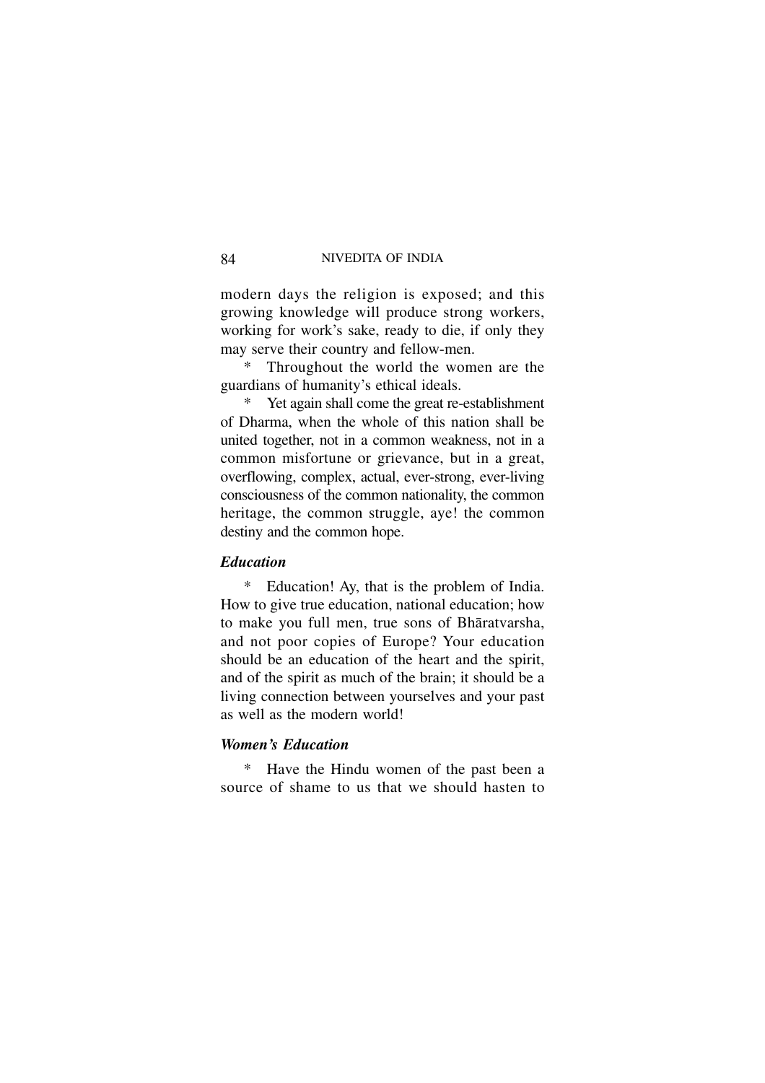modern days the religion is exposed; and this growing knowledge will produce strong workers, working for work's sake, ready to die, if only they may serve their country and fellow-men.

Throughout the world the women are the guardians of humanity's ethical ideals.

\* Yet again shall come the great re-establishment of Dharma, when the whole of this nation shall be united together, not in a common weakness, not in a common misfortune or grievance, but in a great, overflowing, complex, actual, ever-strong, ever-living consciousness of the common nationality, the common heritage, the common struggle, aye! the common destiny and the common hope.

## *Education*

\* Education! Ay, that is the problem of India. How to give true education, national education; how to make you full men, true sons of Bhàratvarsha, and not poor copies of Europe? Your education should be an education of the heart and the spirit, and of the spirit as much of the brain; it should be a living connection between yourselves and your past as well as the modern world!

## *Women's Education*

\* Have the Hindu women of the past been a source of shame to us that we should hasten to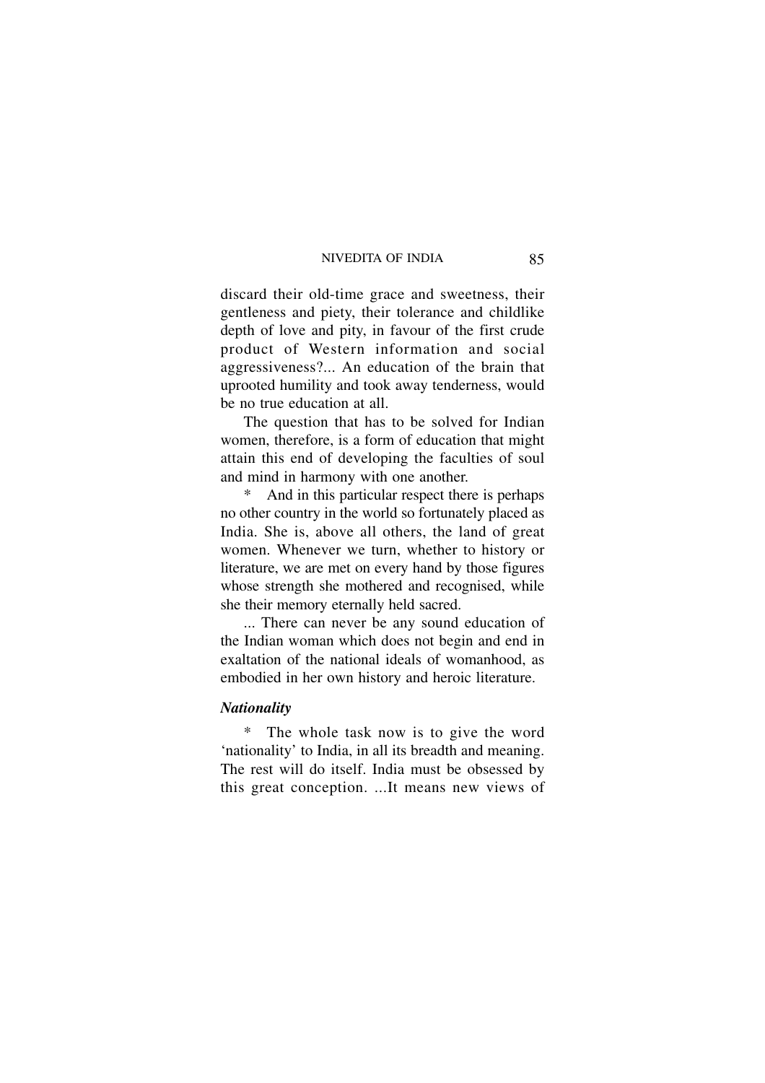discard their old-time grace and sweetness, their gentleness and piety, their tolerance and childlike depth of love and pity, in favour of the first crude product of Western information and social aggressiveness?... An education of the brain that uprooted humility and took away tenderness, would be no true education at all.

The question that has to be solved for Indian women, therefore, is a form of education that might attain this end of developing the faculties of soul and mind in harmony with one another.

\* And in this particular respect there is perhaps no other country in the world so fortunately placed as India. She is, above all others, the land of great women. Whenever we turn, whether to history or literature, we are met on every hand by those figures whose strength she mothered and recognised, while she their memory eternally held sacred.

... There can never be any sound education of the Indian woman which does not begin and end in exaltation of the national ideals of womanhood, as embodied in her own history and heroic literature.

## *Nationality*

\* The whole task now is to give the word 'nationality' to India, in all its breadth and meaning. The rest will do itself. India must be obsessed by this great conception. ...It means new views of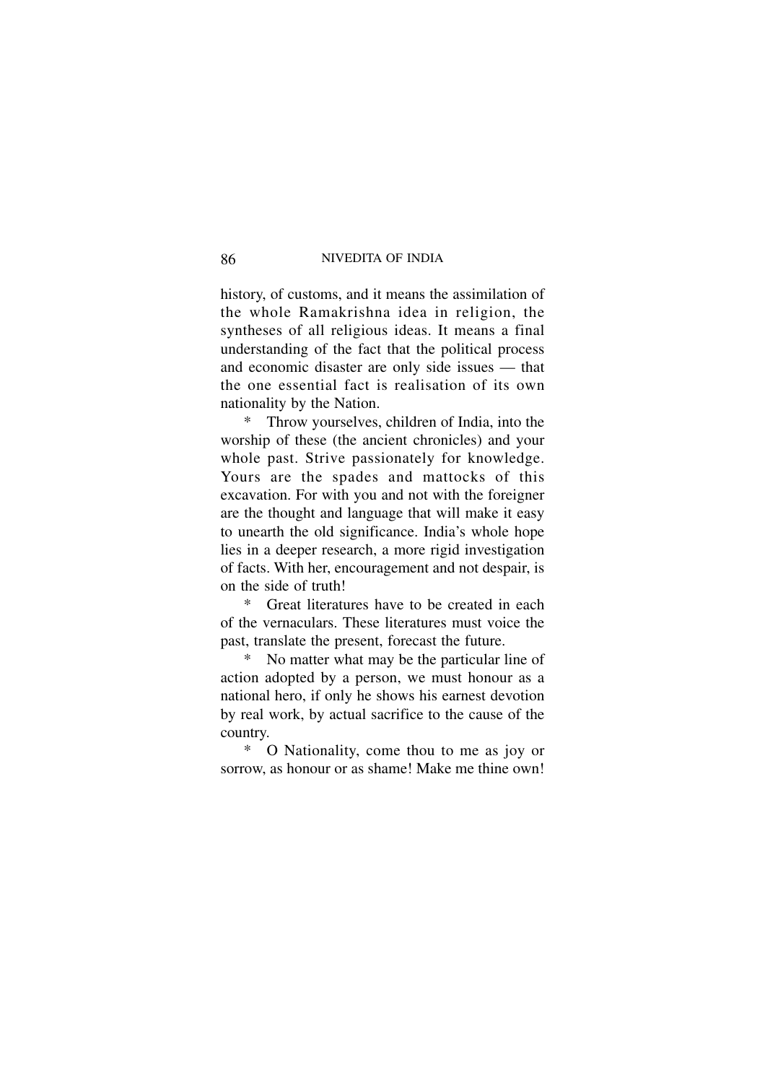history, of customs, and it means the assimilation of the whole Ramakrishna idea in religion, the syntheses of all religious ideas. It means a final understanding of the fact that the political process and economic disaster are only side issues — that the one essential fact is realisation of its own nationality by the Nation.

\* Throw yourselves, children of India, into the worship of these (the ancient chronicles) and your whole past. Strive passionately for knowledge. Yours are the spades and mattocks of this excavation. For with you and not with the foreigner are the thought and language that will make it easy to unearth the old significance. India's whole hope lies in a deeper research, a more rigid investigation of facts. With her, encouragement and not despair, is on the side of truth!

\* Great literatures have to be created in each of the vernaculars. These literatures must voice the past, translate the present, forecast the future.

\* No matter what may be the particular line of action adopted by a person, we must honour as a national hero, if only he shows his earnest devotion by real work, by actual sacrifice to the cause of the country.

\* O Nationality, come thou to me as joy or sorrow, as honour or as shame! Make me thine own!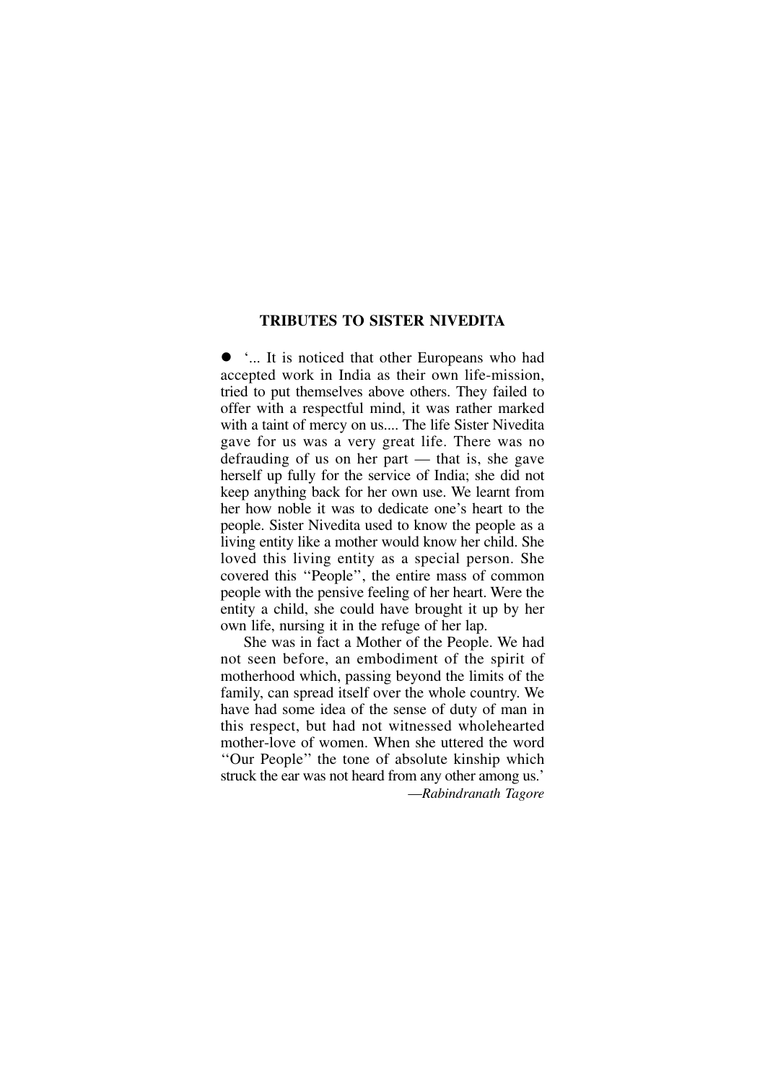## **TRIBUTES TO SISTER NIVEDITA**

• '... It is noticed that other Europeans who had accepted work in India as their own life-mission, tried to put themselves above others. They failed to offer with a respectful mind, it was rather marked with a taint of mercy on us.... The life Sister Nivedita gave for us was a very great life. There was no defrauding of us on her part — that is, she gave herself up fully for the service of India; she did not keep anything back for her own use. We learnt from her how noble it was to dedicate one's heart to the people. Sister Nivedita used to know the people as a living entity like a mother would know her child. She loved this living entity as a special person. She covered this ''People'', the entire mass of common people with the pensive feeling of her heart. Were the entity a child, she could have brought it up by her own life, nursing it in the refuge of her lap.

She was in fact a Mother of the People. We had not seen before, an embodiment of the spirit of motherhood which, passing beyond the limits of the family, can spread itself over the whole country. We have had some idea of the sense of duty of man in this respect, but had not witnessed wholehearted mother-love of women. When she uttered the word ''Our People'' the tone of absolute kinship which struck the ear was not heard from any other among us.' —*Rabindranath Tagore*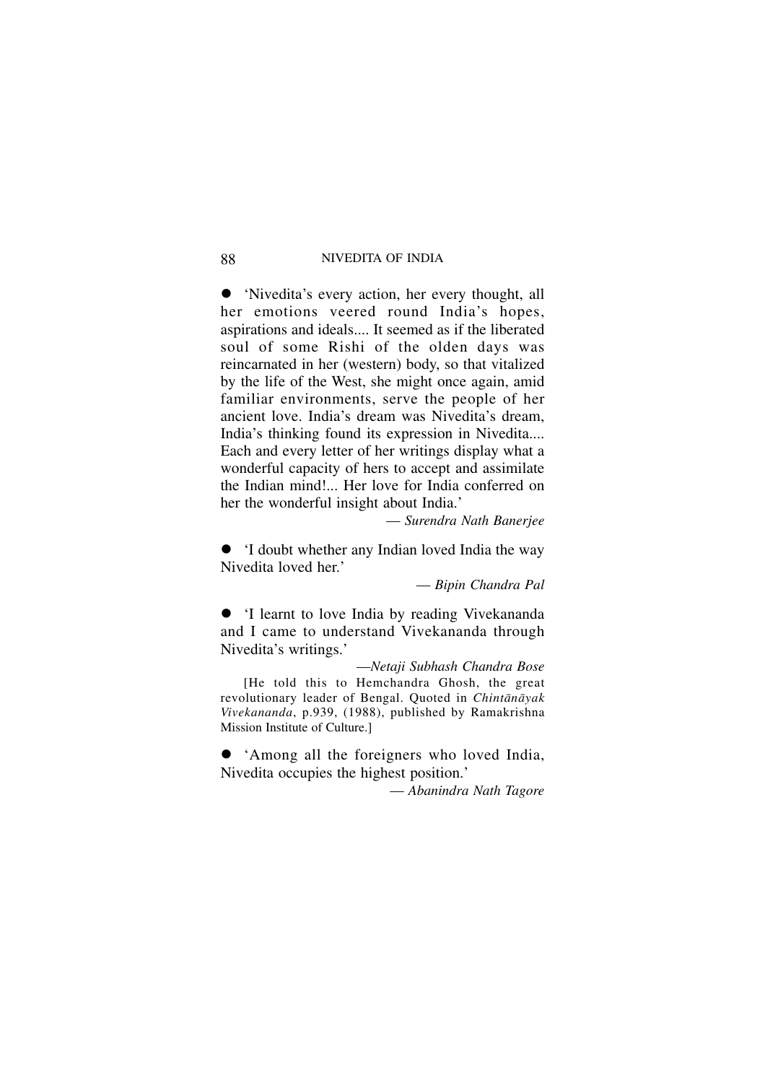• 'Nivedita's every action, her every thought, all her emotions veered round India's hopes, aspirations and ideals.... It seemed as if the liberated soul of some Rishi of the olden days was reincarnated in her (western) body, so that vitalized by the life of the West, she might once again, amid familiar environments, serve the people of her ancient love. India's dream was Nivedita's dream, India's thinking found its expression in Nivedita.... Each and every letter of her writings display what a wonderful capacity of hers to accept and assimilate the Indian mind!... Her love for India conferred on her the wonderful insight about India.'

— *Surendra Nath Banerjee*

l 'I doubt whether any Indian loved India the way Nivedita loved her.'

— *Bipin Chandra Pal*

• 'I learnt to love India by reading Vivekananda and I came to understand Vivekananda through Nivedita's writings.'

—*Netaji Subhash Chandra Bose* [He told this to Hemchandra Ghosh, the great revolutionary leader of Bengal. Quoted in *Chint*à*n*à*yak Vivekananda*, p.939, (1988), published by Ramakrishna Mission Institute of Culture.]

• 'Among all the foreigners who loved India, Nivedita occupies the highest position.'

— *Abanindra Nath Tagore*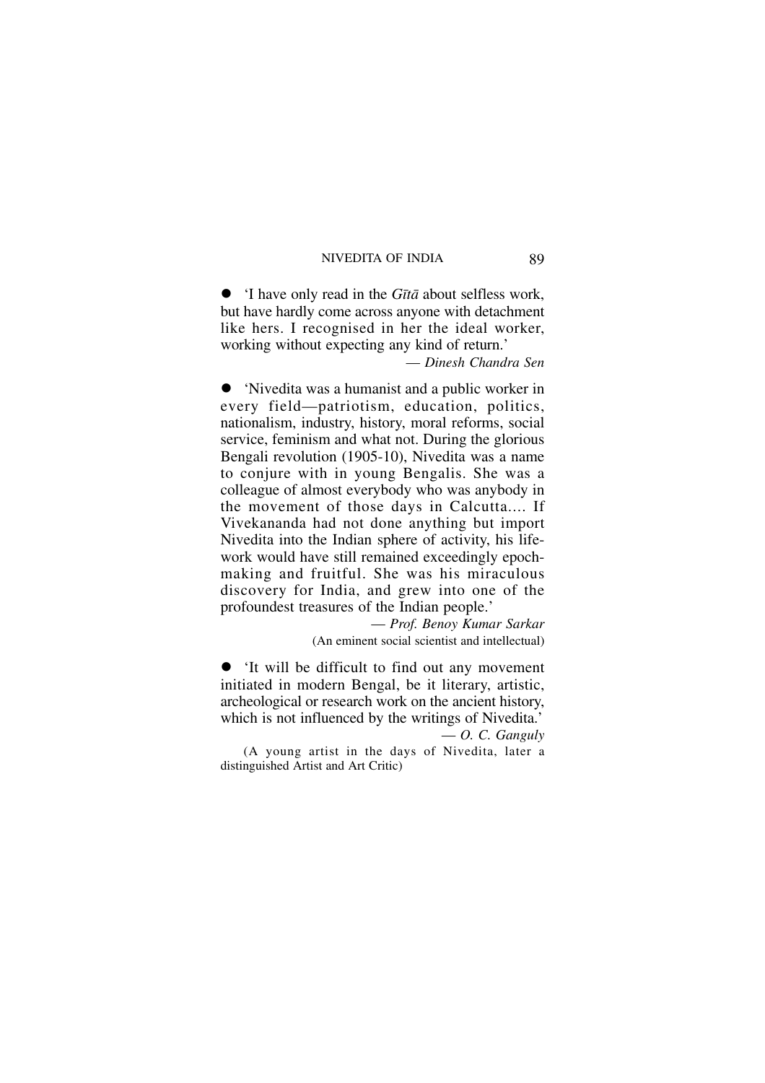l 'I have only read in the *G*ã*t*à about selfless work, but have hardly come across anyone with detachment like hers. I recognised in her the ideal worker, working without expecting any kind of return.'

— *Dinesh Chandra Sen*

• 'Nivedita was a humanist and a public worker in every field—patriotism, education, politics, nationalism, industry, history, moral reforms, social service, feminism and what not. During the glorious Bengali revolution (1905-10), Nivedita was a name to conjure with in young Bengalis. She was a colleague of almost everybody who was anybody in the movement of those days in Calcutta.... If Vivekananda had not done anything but import Nivedita into the Indian sphere of activity, his lifework would have still remained exceedingly epochmaking and fruitful. She was his miraculous discovery for India, and grew into one of the profoundest treasures of the Indian people.'

 — *Prof. Benoy Kumar Sarkar* (An eminent social scientist and intellectual)

• It will be difficult to find out any movement initiated in modern Bengal, be it literary, artistic, archeological or research work on the ancient history, which is not influenced by the writings of Nivedita.'

— *O. C. Ganguly*

(A young artist in the days of Nivedita, later a distinguished Artist and Art Critic)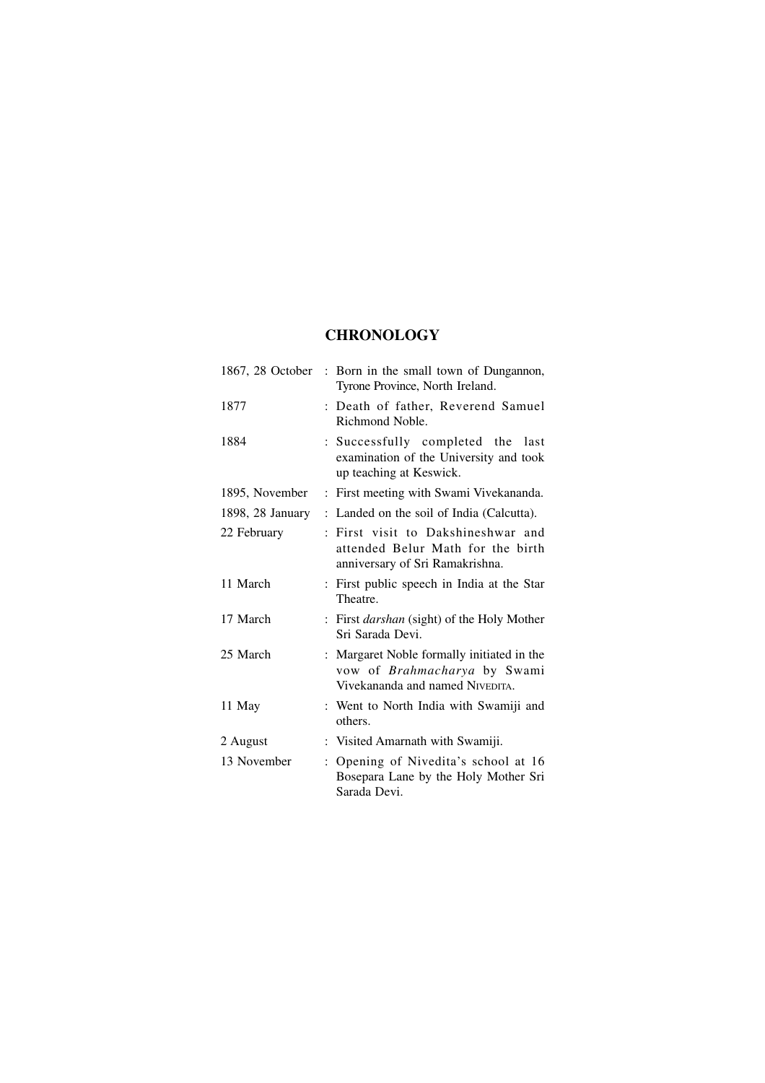# **CHRONOLOGY**

|                  | 1867, 28 October : Born in the small town of Dungannon,<br>Tyrone Province, North Ireland.                    |
|------------------|---------------------------------------------------------------------------------------------------------------|
| 1877             | : Death of father, Reverend Samuel<br>Richmond Noble.                                                         |
| 1884             | : Successfully completed the last<br>examination of the University and took<br>up teaching at Keswick.        |
| 1895, November   | : First meeting with Swami Vivekananda.                                                                       |
| 1898, 28 January | : Landed on the soil of India (Calcutta).                                                                     |
| 22 February      | : First visit to Dakshineshwar and<br>attended Belur Math for the birth<br>anniversary of Sri Ramakrishna.    |
| 11 March         | : First public speech in India at the Star<br>Theatre                                                         |
| 17 March         | : First <i>darshan</i> (sight) of the Holy Mother<br>Sri Sarada Devi.                                         |
| 25 March         | : Margaret Noble formally initiated in the<br>vow of Brahmacharya by Swami<br>Vivekananda and named NIVEDITA. |
| 11 May           | : Went to North India with Swamiji and<br>others.                                                             |
| 2 August         | : Visited Amarnath with Swamiji.                                                                              |
| 13 November      | : Opening of Nivedita's school at 16<br>Bosepara Lane by the Holy Mother Sri<br>Sarada Devi.                  |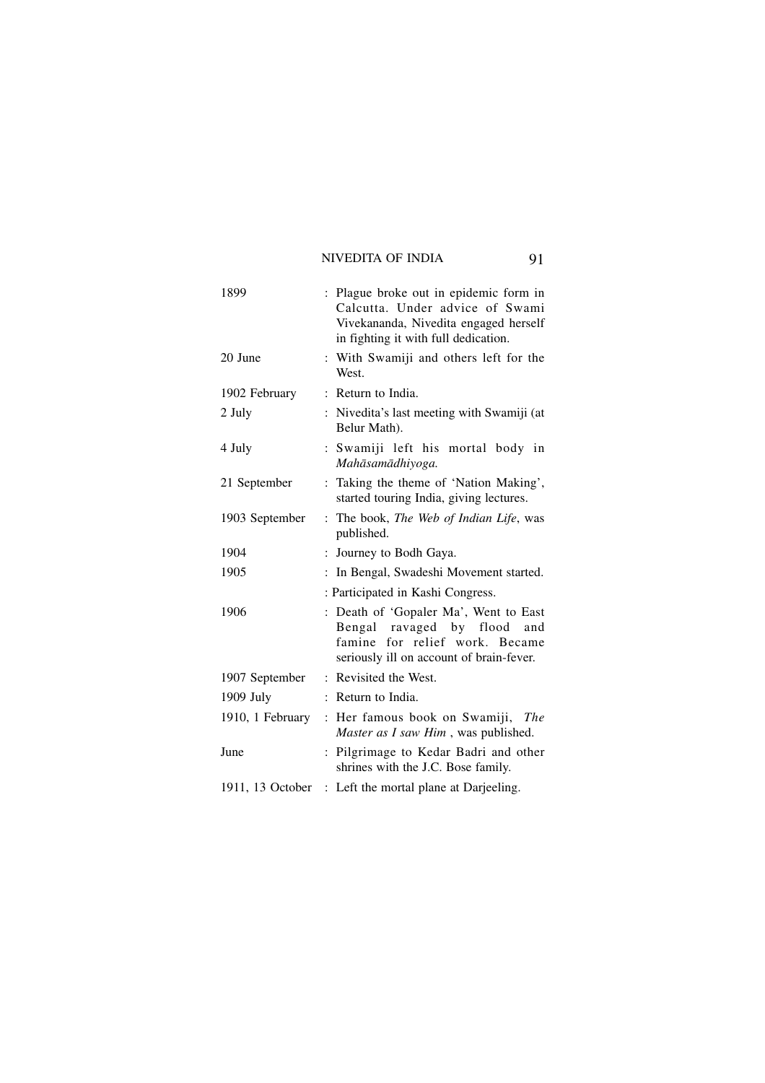| 1899             | : Plague broke out in epidemic form in<br>Calcutta. Under advice of Swami<br>Vivekananda, Nivedita engaged herself<br>in fighting it with full dedication. |
|------------------|------------------------------------------------------------------------------------------------------------------------------------------------------------|
| 20 June          | : With Swamiji and others left for the<br>West.                                                                                                            |
| 1902 February    | : Return to India.                                                                                                                                         |
| 2 July           | Nivedita's last meeting with Swamiji (at<br>Belur Math).                                                                                                   |
| 4 July           | : Swamiji left his mortal body in<br>Mahāsamādhiyoga.                                                                                                      |
| 21 September     | : Taking the theme of 'Nation Making',<br>started touring India, giving lectures.                                                                          |
| 1903 September   | : The book, <i>The Web of Indian Life</i> , was<br>published.                                                                                              |
| 1904             | : Journey to Bodh Gaya.                                                                                                                                    |
| 1905             | In Bengal, Swadeshi Movement started.                                                                                                                      |
|                  | : Participated in Kashi Congress.                                                                                                                          |
| 1906             | : Death of 'Gopaler Ma', Went to East<br>Bengal ravaged by flood<br>and<br>famine for relief work. Became<br>seriously ill on account of brain-fever.      |
| 1907 September   | : Revisited the West.                                                                                                                                      |
| 1909 July        | : Return to India.                                                                                                                                         |
| 1910, 1 February | : Her famous book on Swamiji,<br><i>The</i><br>Master as I saw Him, was published.                                                                         |
| June             | : Pilgrimage to Kedar Badri and other<br>shrines with the J.C. Bose family.                                                                                |
| 1911, 13 October | : Left the mortal plane at Darjeeling.                                                                                                                     |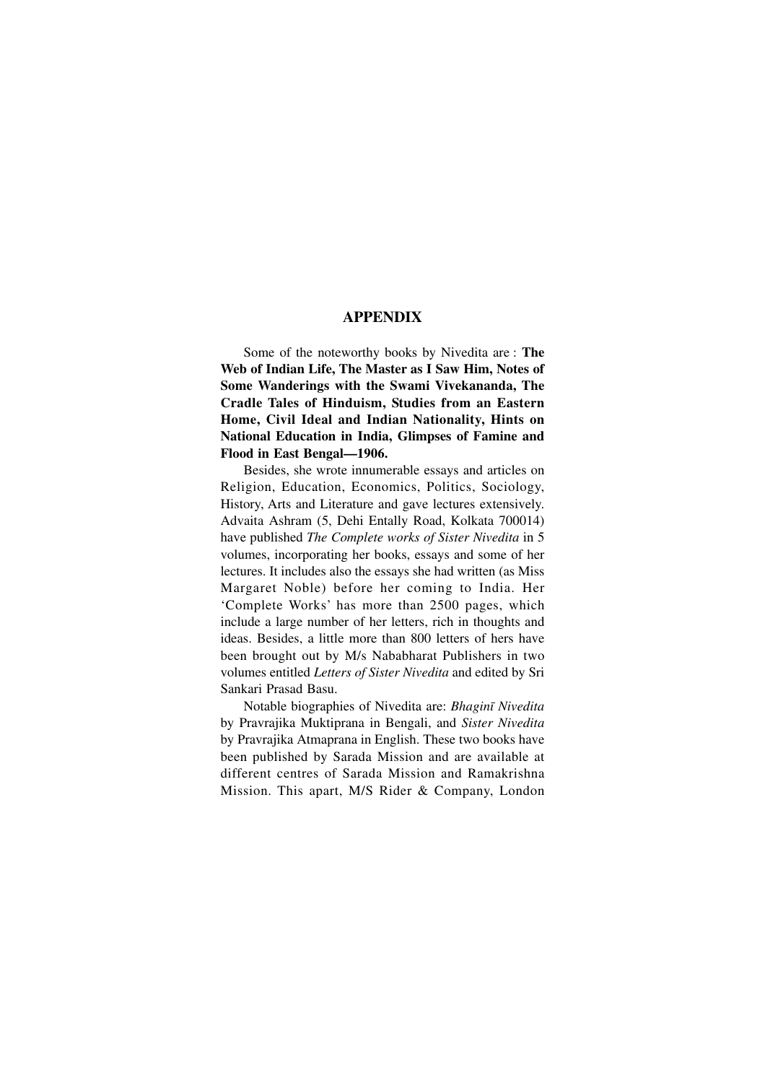## **APPENDIX**

Some of the noteworthy books by Nivedita are : **The Web of Indian Life, The Master as I Saw Him, Notes of Some Wanderings with the Swami Vivekananda, The Cradle Tales of Hinduism, Studies from an Eastern Home, Civil Ideal and Indian Nationality, Hints on National Education in India, Glimpses of Famine and Flood in East Bengal—1906.**

Besides, she wrote innumerable essays and articles on Religion, Education, Economics, Politics, Sociology, History, Arts and Literature and gave lectures extensively. Advaita Ashram (5, Dehi Entally Road, Kolkata 700014) have published *The Complete works of Sister Nivedita* in 5 volumes, incorporating her books, essays and some of her lectures. It includes also the essays she had written (as Miss Margaret Noble) before her coming to India. Her 'Complete Works' has more than 2500 pages, which include a large number of her letters, rich in thoughts and ideas. Besides, a little more than 800 letters of hers have been brought out by M/s Nababharat Publishers in two volumes entitled *Letters of Sister Nivedita* and edited by Sri Sankari Prasad Basu.

Notable biographies of Nivedita are: *Bhagin*ã *Nivedita* by Pravrajika Muktiprana in Bengali, and *Sister Nivedita* by Pravrajika Atmaprana in English. These two books have been published by Sarada Mission and are available at different centres of Sarada Mission and Ramakrishna Mission. This apart, M/S Rider & Company, London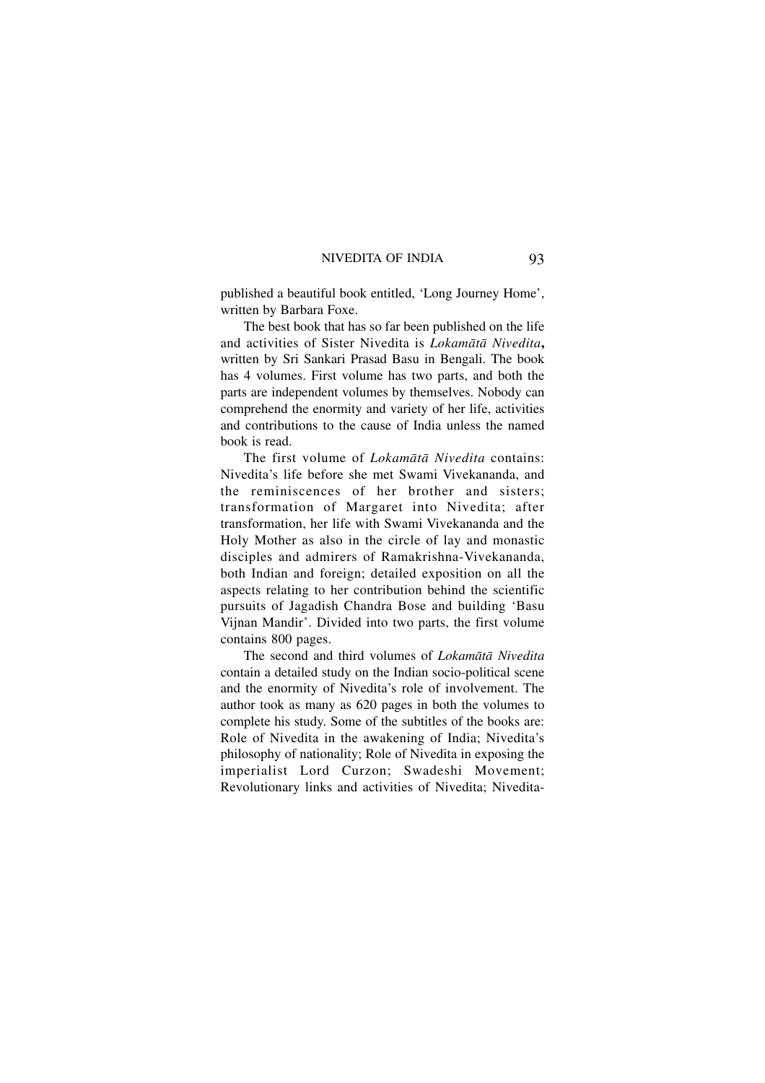published a beautiful book entitled, 'Long Journey Home', written by Barbara Foxe.

The best book that has so far been published on the life and activities of Sister Nivedita is *Lokam*à*t*à *Nivedita***,** written by Sri Sankari Prasad Basu in Bengali. The book has 4 volumes. First volume has two parts, and both the parts are independent volumes by themselves. Nobody can comprehend the enormity and variety of her life, activities and contributions to the cause of India unless the named book is read.

The first volume of *Lokam*à*t*à *Nivedita* contains: Nivedita's life before she met Swami Vivekananda, and the reminiscences of her brother and sisters; transformation of Margaret into Nivedita; after transformation, her life with Swami Vivekananda and the Holy Mother as also in the circle of lay and monastic disciples and admirers of Ramakrishna-Vivekananda, both Indian and foreign; detailed exposition on all the aspects relating to her contribution behind the scientific pursuits of Jagadish Chandra Bose and building 'Basu Vijnan Mandir'. Divided into two parts, the first volume contains 800 pages.

The second and third volumes of *Lokam*à*t*à *Nivedita* contain a detailed study on the Indian socio-political scene and the enormity of Nivedita's role of involvement. The author took as many as 620 pages in both the volumes to complete his study. Some of the subtitles of the books are: Role of Nivedita in the awakening of India; Nivedita's philosophy of nationality; Role of Nivedita in exposing the imperialist Lord Curzon; Swadeshi Movement; Revolutionary links and activities of Nivedita; Nivedita-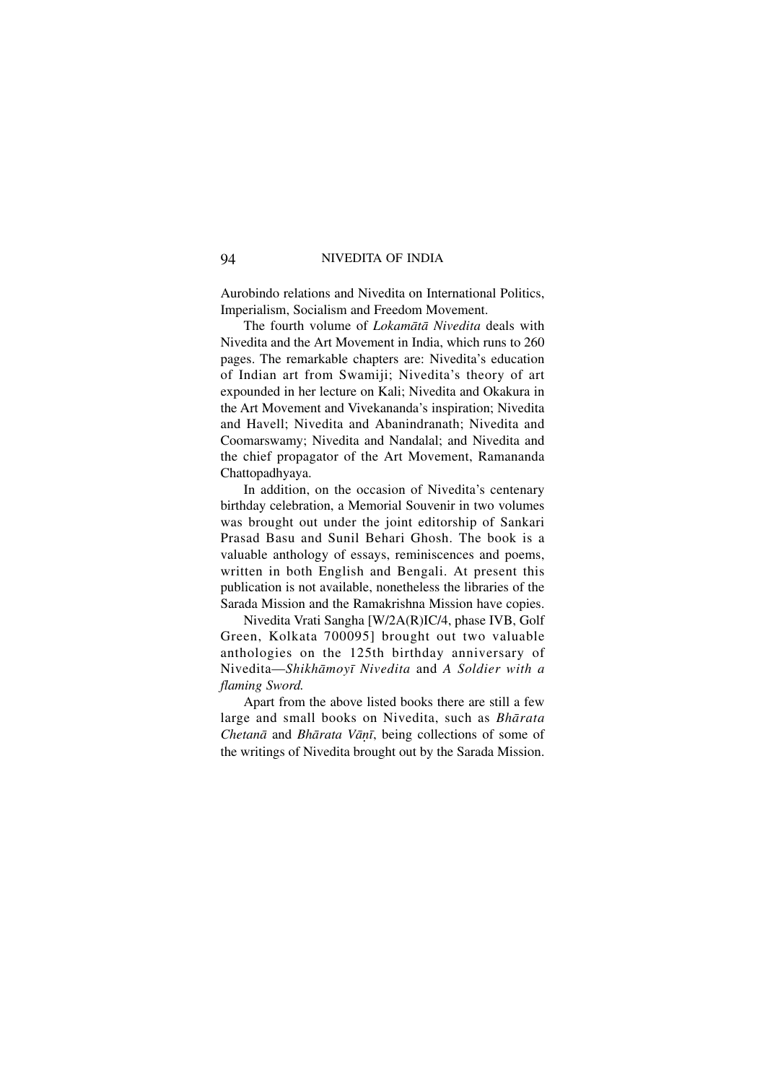Aurobindo relations and Nivedita on International Politics, Imperialism, Socialism and Freedom Movement.

The fourth volume of *Lokam*à*t*à *Nivedita* deals with Nivedita and the Art Movement in India, which runs to 260 pages. The remarkable chapters are: Nivedita's education of Indian art from Swamiji; Nivedita's theory of art expounded in her lecture on Kali; Nivedita and Okakura in the Art Movement and Vivekananda's inspiration; Nivedita and Havell; Nivedita and Abanindranath; Nivedita and Coomarswamy; Nivedita and Nandalal; and Nivedita and the chief propagator of the Art Movement, Ramananda Chattopadhyaya.

In addition, on the occasion of Nivedita's centenary birthday celebration, a Memorial Souvenir in two volumes was brought out under the joint editorship of Sankari Prasad Basu and Sunil Behari Ghosh. The book is a valuable anthology of essays, reminiscences and poems, written in both English and Bengali. At present this publication is not available, nonetheless the libraries of the Sarada Mission and the Ramakrishna Mission have copies.

Nivedita Vrati Sangha [W/2A(R)IC/4, phase IVB, Golf Green, Kolkata 700095] brought out two valuable anthologies on the 125th birthday anniversary of Nivedita—*Shikh*à*moy*ã *Nivedita* and *A Soldier with a flaming Sword.*

Apart from the above listed books there are still a few large and small books on Nivedita, such as *Bh*à*rata Chetan*à and *Bh*à*rata V*àõã, being collections of some of the writings of Nivedita brought out by the Sarada Mission.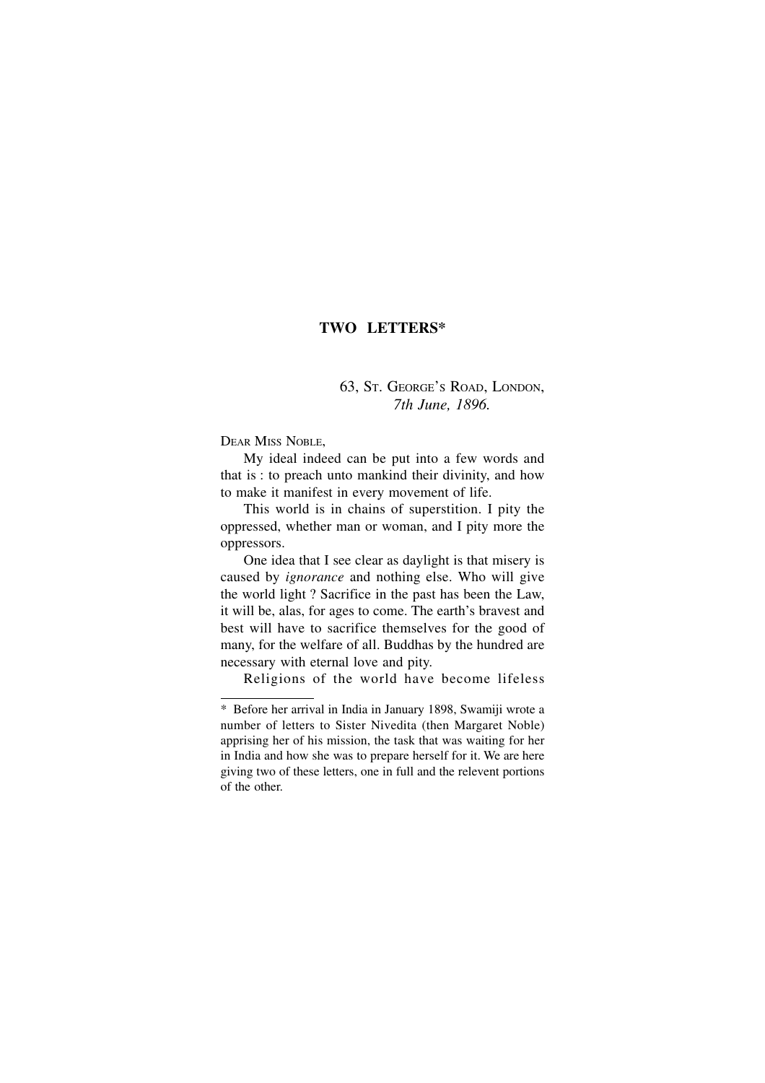## **TWO LETTERS\***

## 63, ST. GEORGE'S ROAD, LONDON, *7th June, 1896.*

DEAR MISS NOBLE,

My ideal indeed can be put into a few words and that is : to preach unto mankind their divinity, and how to make it manifest in every movement of life.

This world is in chains of superstition. I pity the oppressed, whether man or woman, and I pity more the oppressors.

One idea that I see clear as daylight is that misery is caused by *ignorance* and nothing else. Who will give the world light ? Sacrifice in the past has been the Law, it will be, alas, for ages to come. The earth's bravest and best will have to sacrifice themselves for the good of many, for the welfare of all. Buddhas by the hundred are necessary with eternal love and pity.

Religions of the world have become lifeless

<sup>\*</sup> Before her arrival in India in January 1898, Swamiji wrote a number of letters to Sister Nivedita (then Margaret Noble) apprising her of his mission, the task that was waiting for her in India and how she was to prepare herself for it. We are here giving two of these letters, one in full and the relevent portions of the other.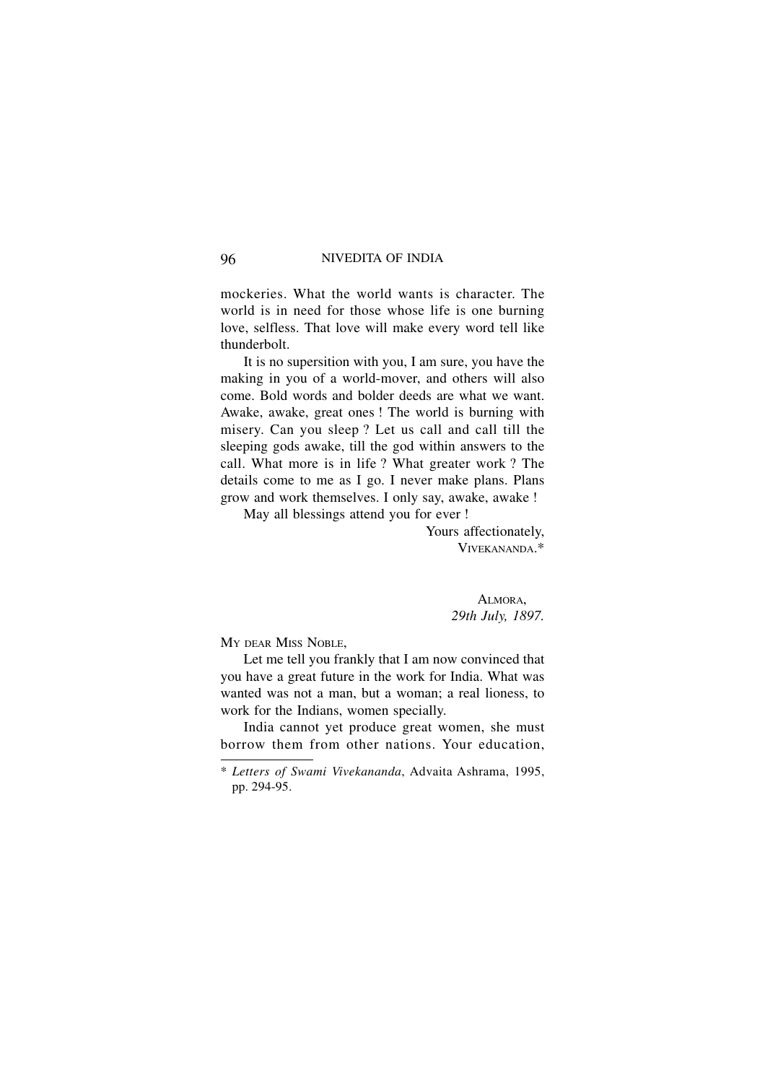mockeries. What the world wants is character. The world is in need for those whose life is one burning love, selfless. That love will make every word tell like thunderbolt.

It is no supersition with you, I am sure, you have the making in you of a world-mover, and others will also come. Bold words and bolder deeds are what we want. Awake, awake, great ones ! The world is burning with misery. Can you sleep ? Let us call and call till the sleeping gods awake, till the god within answers to the call. What more is in life ? What greater work ? The details come to me as I go. I never make plans. Plans grow and work themselves. I only say, awake, awake !

May all blessings attend you for ever !

Yours affectionately, VIVEKANANDA.\*

> ALMORA, *29th July, 1897.*

M<sup>Y</sup> DEAR MISS NOBLE,

Let me tell you frankly that I am now convinced that you have a great future in the work for India. What was wanted was not a man, but a woman; a real lioness, to work for the Indians, women specially.

India cannot yet produce great women, she must borrow them from other nations. Your education,

<sup>\*</sup> *Letters of Swami Vivekananda*, Advaita Ashrama, 1995, pp. 294-95.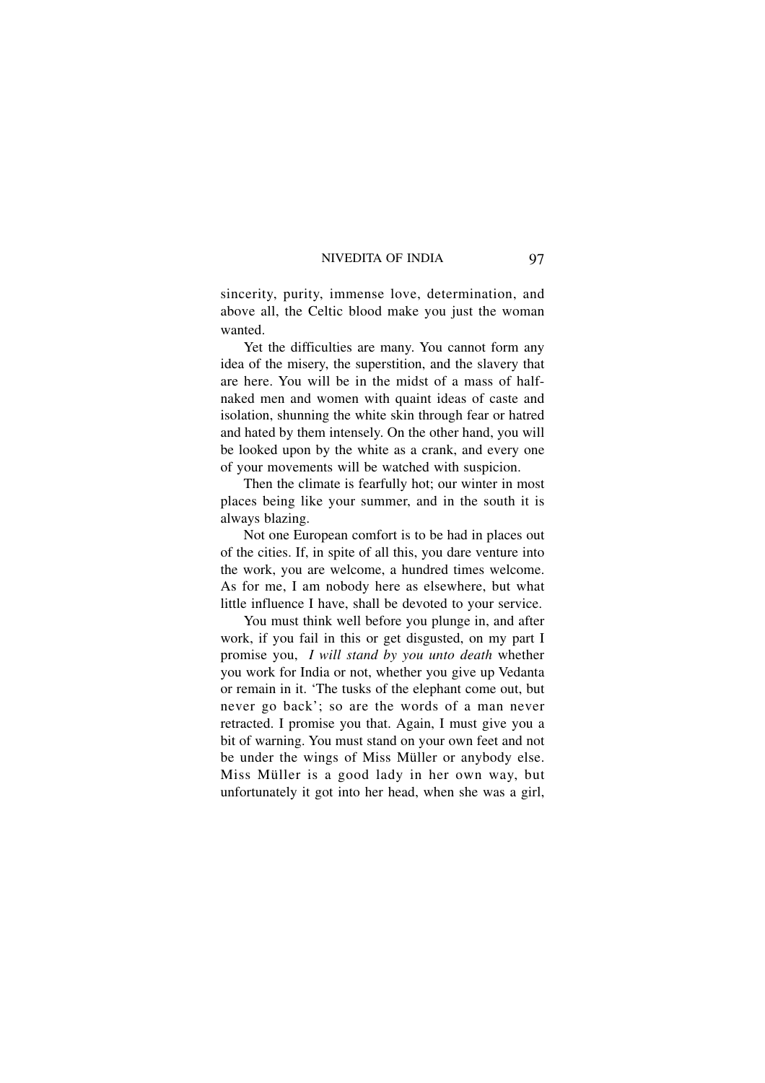sincerity, purity, immense love, determination, and above all, the Celtic blood make you just the woman wanted.

Yet the difficulties are many. You cannot form any idea of the misery, the superstition, and the slavery that are here. You will be in the midst of a mass of halfnaked men and women with quaint ideas of caste and isolation, shunning the white skin through fear or hatred and hated by them intensely. On the other hand, you will be looked upon by the white as a crank, and every one of your movements will be watched with suspicion.

Then the climate is fearfully hot; our winter in most places being like your summer, and in the south it is always blazing.

Not one European comfort is to be had in places out of the cities. If, in spite of all this, you dare venture into the work, you are welcome, a hundred times welcome. As for me, I am nobody here as elsewhere, but what little influence I have, shall be devoted to your service.

You must think well before you plunge in, and after work, if you fail in this or get disgusted, on my part I promise you, *I will stand by you unto death* whether you work for India or not, whether you give up Vedanta or remain in it. 'The tusks of the elephant come out, but never go back'; so are the words of a man never retracted. I promise you that. Again, I must give you a bit of warning. You must stand on your own feet and not be under the wings of Miss Müller or anybody else. Miss Müller is a good lady in her own way, but unfortunately it got into her head, when she was a girl,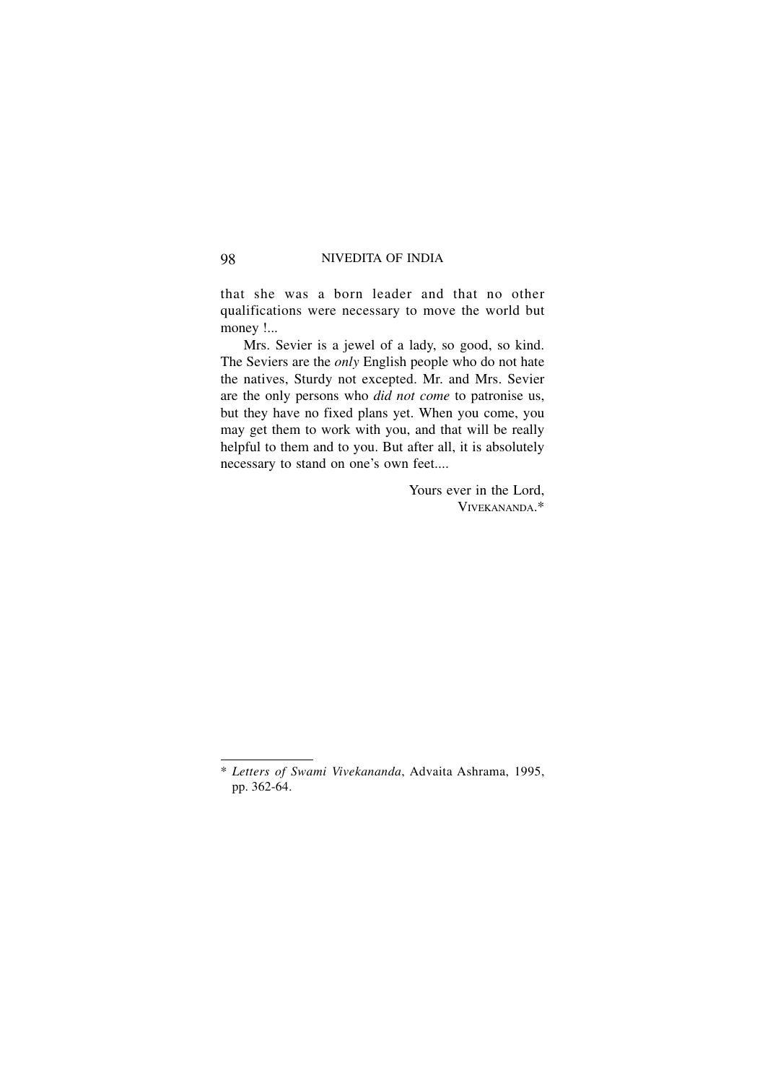that she was a born leader and that no other qualifications were necessary to move the world but money !...

Mrs. Sevier is a jewel of a lady, so good, so kind. The Seviers are the *only* English people who do not hate the natives, Sturdy not excepted. Mr. and Mrs. Sevier are the only persons who *did not come* to patronise us, but they have no fixed plans yet. When you come, you may get them to work with you, and that will be really helpful to them and to you. But after all, it is absolutely necessary to stand on one's own feet....

> Yours ever in the Lord, VIVEKANANDA.\*

<sup>\*</sup> *Letters of Swami Vivekananda*, Advaita Ashrama, 1995, pp. 362-64.